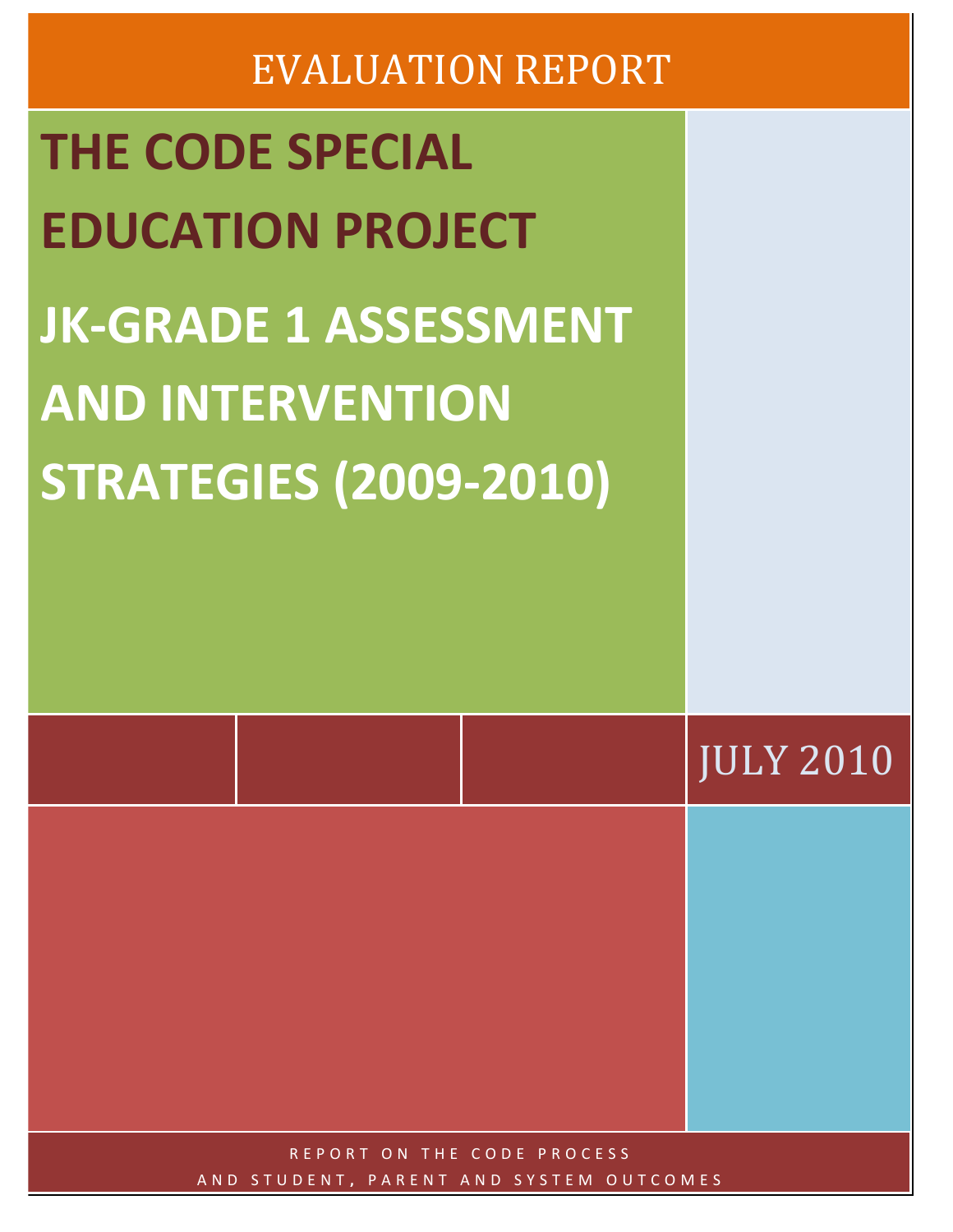# **EVALUATION REPORT**

| <b>THE CODE SPECIAL</b><br><b>EDUCATION PROJECT</b><br><b>JK-GRADE 1 ASSESSMENT</b><br><b>AND INTERVENTION</b><br><b>STRATEGIES (2009-2010)</b> |  |                  |
|-------------------------------------------------------------------------------------------------------------------------------------------------|--|------------------|
|                                                                                                                                                 |  | <b>JULY 2010</b> |
| REPORT ON THE CODE PROCESS                                                                                                                      |  |                  |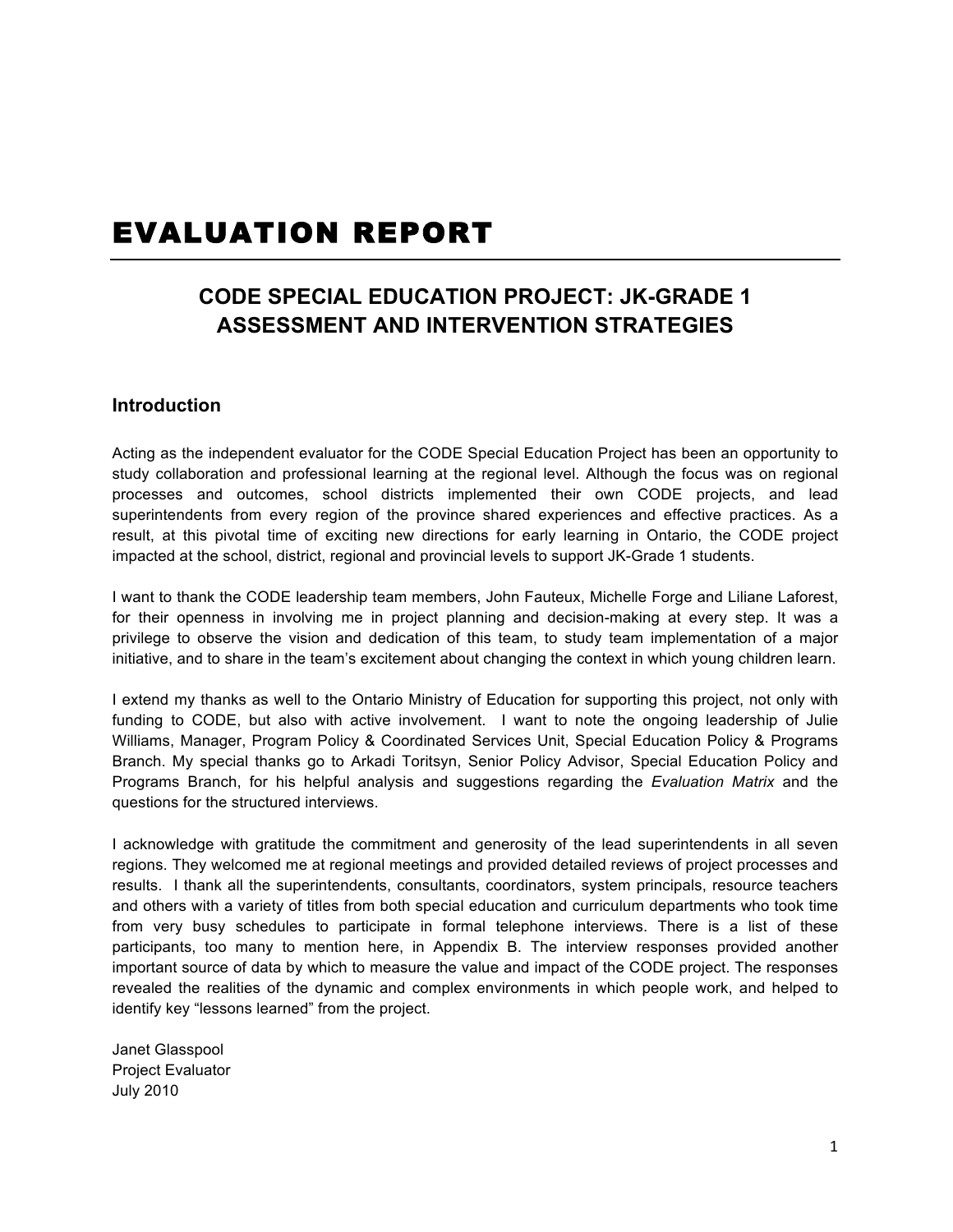## EVALUATION REPORT

## **CODE SPECIAL EDUCATION PROJECT: JK-GRADE 1 ASSESSMENT AND INTERVENTION STRATEGIES**

#### **Introduction**

Acting as the independent evaluator for the CODE Special Education Project has been an opportunity to study collaboration and professional learning at the regional level. Although the focus was on regional processes and outcomes, school districts implemented their own CODE projects, and lead superintendents from every region of the province shared experiences and effective practices. As a result, at this pivotal time of exciting new directions for early learning in Ontario, the CODE project impacted at the school, district, regional and provincial levels to support JK-Grade 1 students.

I want to thank the CODE leadership team members, John Fauteux, Michelle Forge and Liliane Laforest, for their openness in involving me in project planning and decision-making at every step. It was a privilege to observe the vision and dedication of this team, to study team implementation of a major initiative, and to share in the team's excitement about changing the context in which young children learn.

I extend my thanks as well to the Ontario Ministry of Education for supporting this project, not only with funding to CODE, but also with active involvement. I want to note the ongoing leadership of Julie Williams, Manager, Program Policy & Coordinated Services Unit, Special Education Policy & Programs Branch. My special thanks go to Arkadi Toritsyn, Senior Policy Advisor, Special Education Policy and Programs Branch, for his helpful analysis and suggestions regarding the *Evaluation Matrix* and the questions for the structured interviews.

I acknowledge with gratitude the commitment and generosity of the lead superintendents in all seven regions. They welcomed me at regional meetings and provided detailed reviews of project processes and results. I thank all the superintendents, consultants, coordinators, system principals, resource teachers and others with a variety of titles from both special education and curriculum departments who took time from very busy schedules to participate in formal telephone interviews. There is a list of these participants, too many to mention here, in Appendix B. The interview responses provided another important source of data by which to measure the value and impact of the CODE project. The responses revealed the realities of the dynamic and complex environments in which people work, and helped to identify key "lessons learned" from the project.

Janet Glasspool Project Evaluator July 2010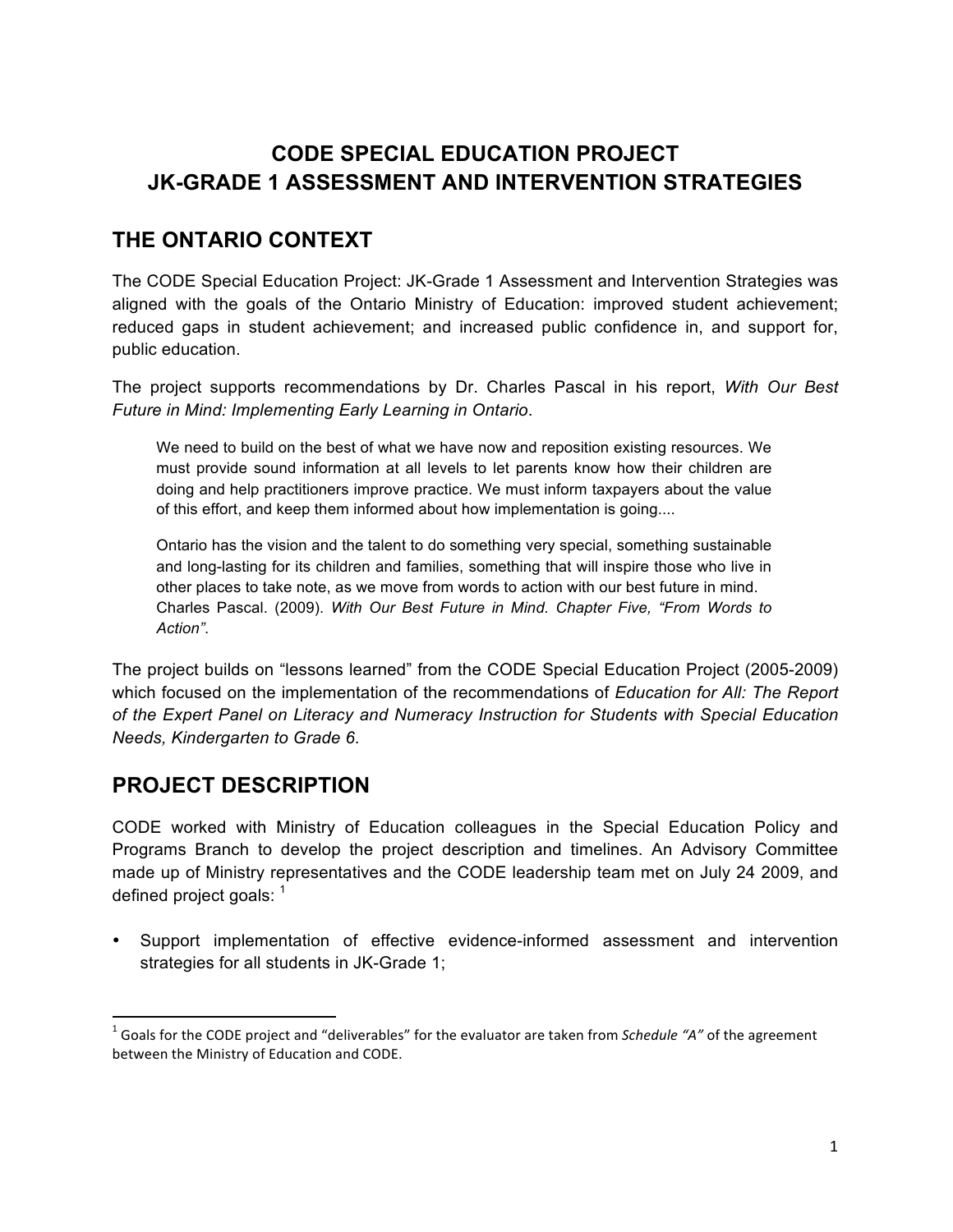## **CODE SPECIAL EDUCATION PROJECT JK-GRADE 1 ASSESSMENT AND INTERVENTION STRATEGIES**

## **THE ONTARIO CONTEXT**

The CODE Special Education Project: JK-Grade 1 Assessment and Intervention Strategies was aligned with the goals of the Ontario Ministry of Education: improved student achievement; reduced gaps in student achievement; and increased public confidence in, and support for, public education.

The project supports recommendations by Dr. Charles Pascal in his report, *With Our Best Future in Mind: Implementing Early Learning in Ontario*.

We need to build on the best of what we have now and reposition existing resources. We must provide sound information at all levels to let parents know how their children are doing and help practitioners improve practice. We must inform taxpayers about the value of this effort, and keep them informed about how implementation is going....

Ontario has the vision and the talent to do something very special, something sustainable and long-lasting for its children and families, something that will inspire those who live in other places to take note, as we move from words to action with our best future in mind. Charles Pascal. (2009). *With Our Best Future in Mind. Chapter Five, "From Words to Action"*.

The project builds on "lessons learned" from the CODE Special Education Project (2005-2009) which focused on the implementation of the recommendations of *Education for All: The Report of the Expert Panel on Literacy and Numeracy Instruction for Students with Special Education Needs, Kindergarten to Grade 6*.

## **PROJECT DESCRIPTION**

""""""""""""""""""""""""""""""""""""""""""""""""""""""""""""

CODE worked with Ministry of Education colleagues in the Special Education Policy and Programs Branch to develop the project description and timelines. An Advisory Committee made up of Ministry representatives and the CODE leadership team met on July 24 2009, and defined project goals:  $1$ 

• Support implementation of effective evidence-informed assessment and intervention strategies for all students in JK-Grade 1;

<sup>&</sup>lt;sup>1</sup> Goals for the CODE project and "deliverables" for the evaluator are taken from Schedule "A" of the agreement between the Ministry of Education and CODE.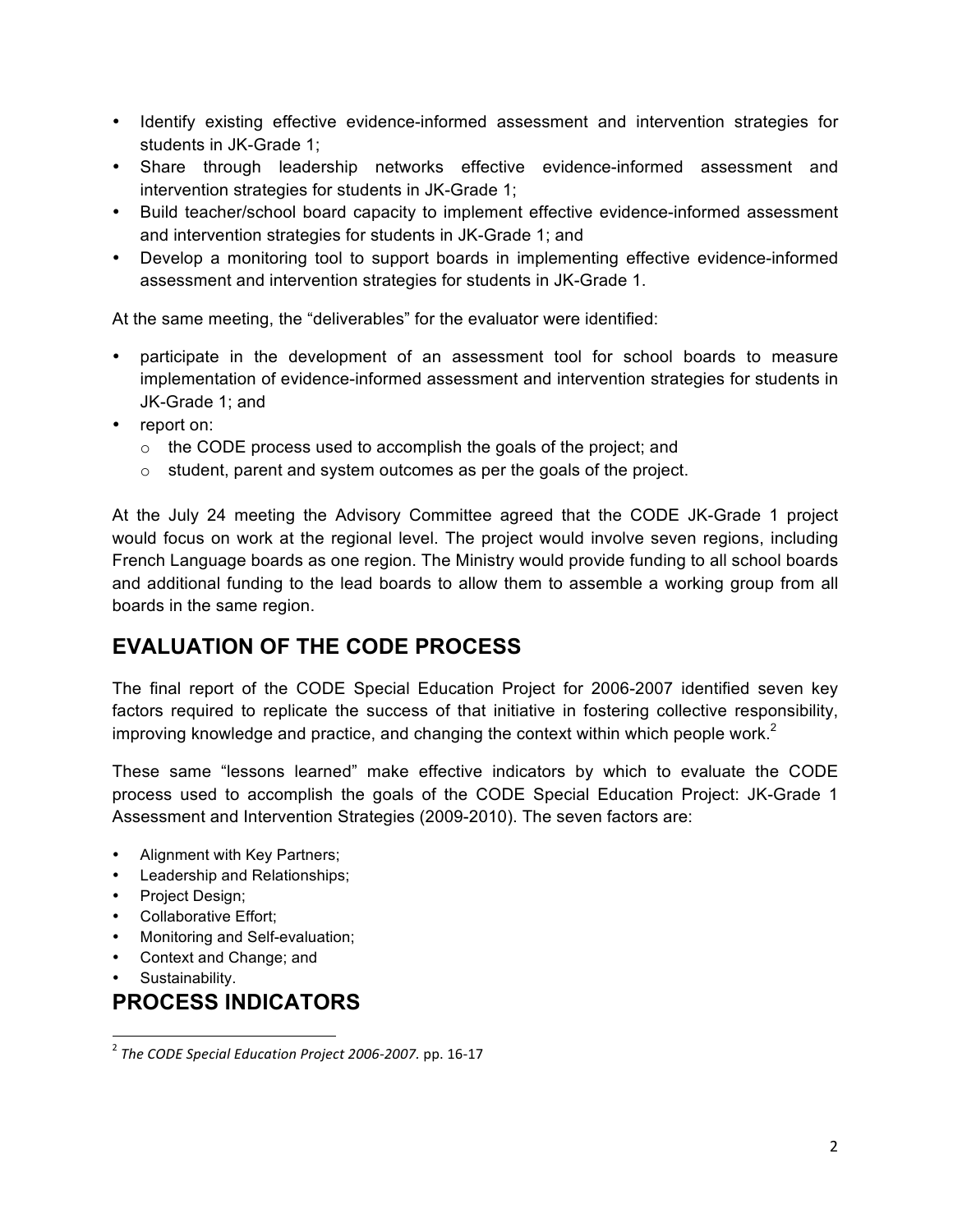- Identify existing effective evidence-informed assessment and intervention strategies for students in JK-Grade 1;
- Share through leadership networks effective evidence-informed assessment and intervention strategies for students in JK-Grade 1;
- Build teacher/school board capacity to implement effective evidence-informed assessment and intervention strategies for students in JK-Grade 1; and
- Develop a monitoring tool to support boards in implementing effective evidence-informed assessment and intervention strategies for students in JK-Grade 1.

At the same meeting, the "deliverables" for the evaluator were identified:

- participate in the development of an assessment tool for school boards to measure implementation of evidence-informed assessment and intervention strategies for students in JK-Grade 1; and
- report on:
	- o the CODE process used to accomplish the goals of the project; and
	- o student, parent and system outcomes as per the goals of the project.

At the July 24 meeting the Advisory Committee agreed that the CODE JK-Grade 1 project would focus on work at the regional level. The project would involve seven regions, including French Language boards as one region. The Ministry would provide funding to all school boards and additional funding to the lead boards to allow them to assemble a working group from all boards in the same region.

## **EVALUATION OF THE CODE PROCESS**

The final report of the CODE Special Education Project for 2006-2007 identified seven key factors required to replicate the success of that initiative in fostering collective responsibility, improving knowledge and practice, and changing the context within which people work. $2$ 

These same "lessons learned" make effective indicators by which to evaluate the CODE process used to accomplish the goals of the CODE Special Education Project: JK-Grade 1 Assessment and Intervention Strategies (2009-2010). The seven factors are:

- Alignment with Key Partners;
- Leadership and Relationships;
- Project Design;
- Collaborative Effort;
- Monitoring and Self-evaluation;
- Context and Change; and
- Sustainability.

## **PROCESS INDICATORS**

""""""""""""""""""""""""""""""""""""""""""""""""""""""""""""

<sup>&</sup>lt;sup>2</sup> The CODE Special Education Project 2006-2007. pp. 16-17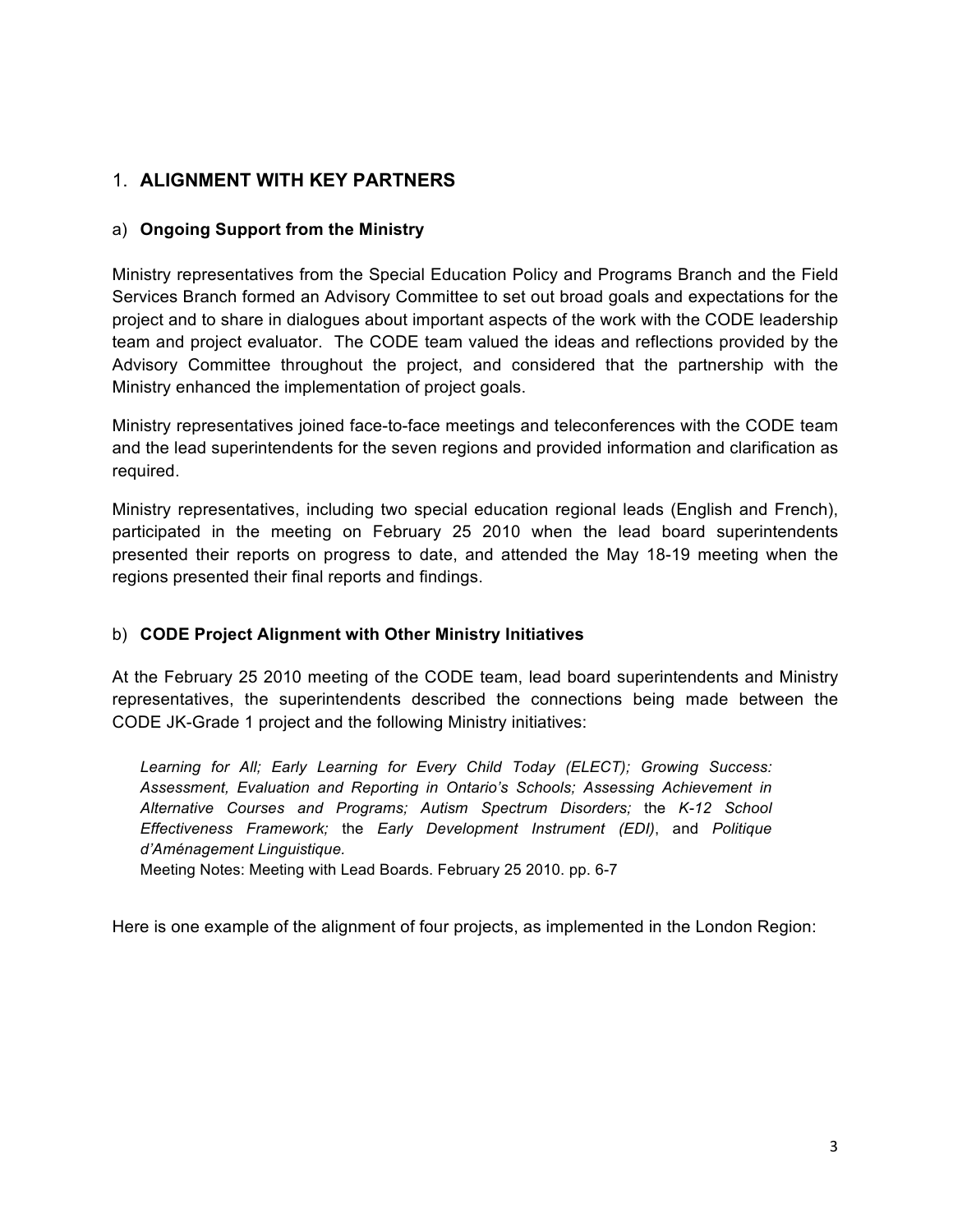## 1. **ALIGNMENT WITH KEY PARTNERS**

#### a) **Ongoing Support from the Ministry**

Ministry representatives from the Special Education Policy and Programs Branch and the Field Services Branch formed an Advisory Committee to set out broad goals and expectations for the project and to share in dialogues about important aspects of the work with the CODE leadership team and project evaluator. The CODE team valued the ideas and reflections provided by the Advisory Committee throughout the project, and considered that the partnership with the Ministry enhanced the implementation of project goals.

Ministry representatives joined face-to-face meetings and teleconferences with the CODE team and the lead superintendents for the seven regions and provided information and clarification as required.

Ministry representatives, including two special education regional leads (English and French), participated in the meeting on February 25 2010 when the lead board superintendents presented their reports on progress to date, and attended the May 18-19 meeting when the regions presented their final reports and findings.

#### b) **CODE Project Alignment with Other Ministry Initiatives**

At the February 25 2010 meeting of the CODE team, lead board superintendents and Ministry representatives, the superintendents described the connections being made between the CODE JK-Grade 1 project and the following Ministry initiatives:

Learning for All; Early Learning for Every Child Today (ELECT); Growing Success: *Assessment, Evaluation and Reporting in Ontario's Schools; Assessing Achievement in Alternative Courses and Programs; Autism Spectrum Disorders;* the *K-12 School Effectiveness Framework;* the *Early Development Instrument (EDI)*, and *Politique d'Aménagement Linguistique.*

Meeting Notes: Meeting with Lead Boards. February 25 2010. pp. 6-7

Here is one example of the alignment of four projects, as implemented in the London Region: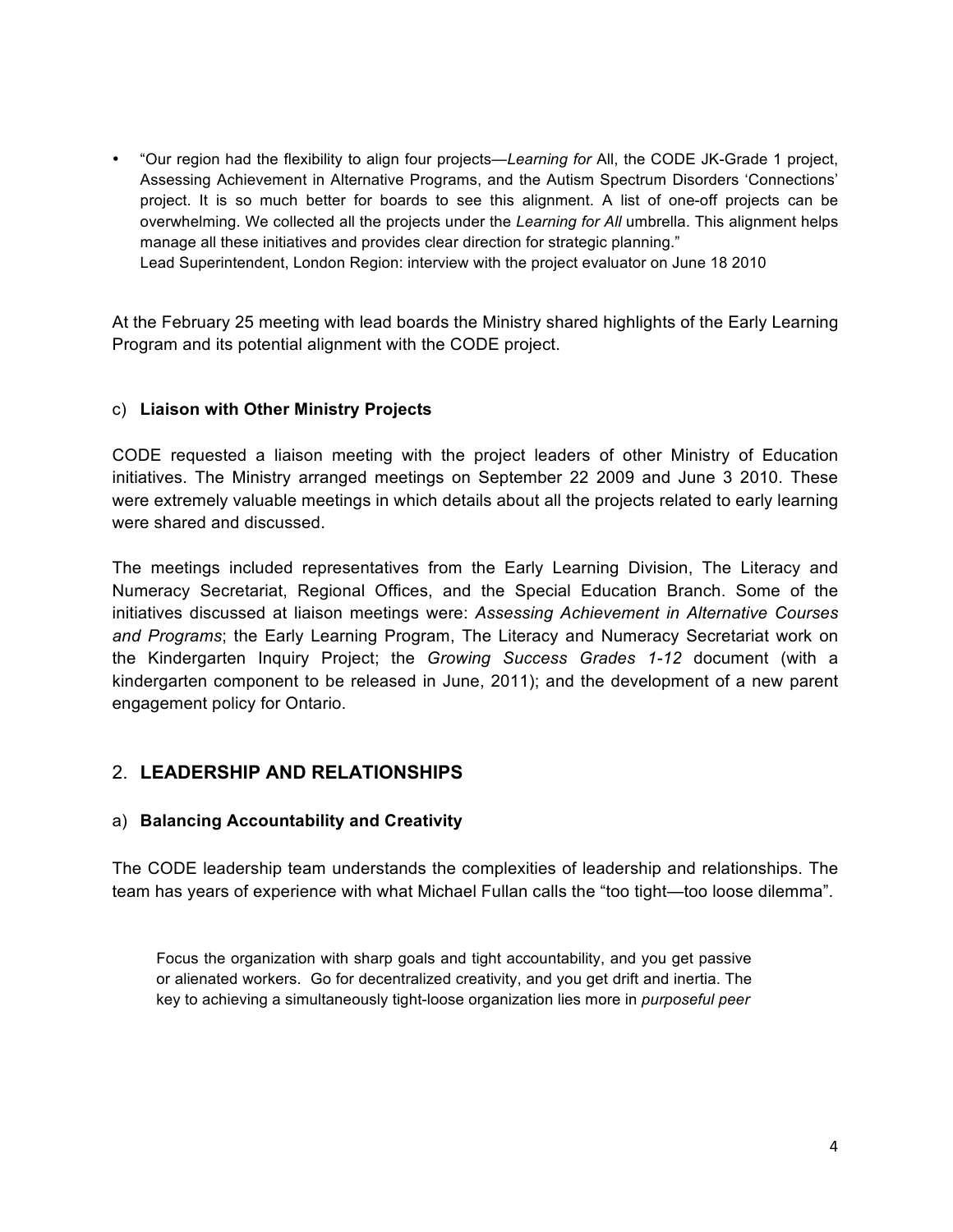• "Our region had the flexibility to align four projects—*Learning for* All, the CODE JK-Grade 1 project, Assessing Achievement in Alternative Programs, and the Autism Spectrum Disorders 'Connections' project. It is so much better for boards to see this alignment. A list of one-off projects can be overwhelming. We collected all the projects under the *Learning for All* umbrella. This alignment helps manage all these initiatives and provides clear direction for strategic planning." Lead Superintendent, London Region: interview with the project evaluator on June 18 2010

At the February 25 meeting with lead boards the Ministry shared highlights of the Early Learning Program and its potential alignment with the CODE project.

#### c) **Liaison with Other Ministry Projects**

CODE requested a liaison meeting with the project leaders of other Ministry of Education initiatives. The Ministry arranged meetings on September 22 2009 and June 3 2010. These were extremely valuable meetings in which details about all the projects related to early learning were shared and discussed.

The meetings included representatives from the Early Learning Division, The Literacy and Numeracy Secretariat, Regional Offices, and the Special Education Branch. Some of the initiatives discussed at liaison meetings were: *Assessing Achievement in Alternative Courses and Programs*; the Early Learning Program, The Literacy and Numeracy Secretariat work on the Kindergarten Inquiry Project; the *Growing Success Grades 1-12* document (with a kindergarten component to be released in June, 2011); and the development of a new parent engagement policy for Ontario.

#### 2. **LEADERSHIP AND RELATIONSHIPS**

#### a) **Balancing Accountability and Creativity**

The CODE leadership team understands the complexities of leadership and relationships. The team has years of experience with what Michael Fullan calls the "too tight—too loose dilemma".

Focus the organization with sharp goals and tight accountability, and you get passive or alienated workers. Go for decentralized creativity, and you get drift and inertia. The key to achieving a simultaneously tight-loose organization lies more in *purposeful peer*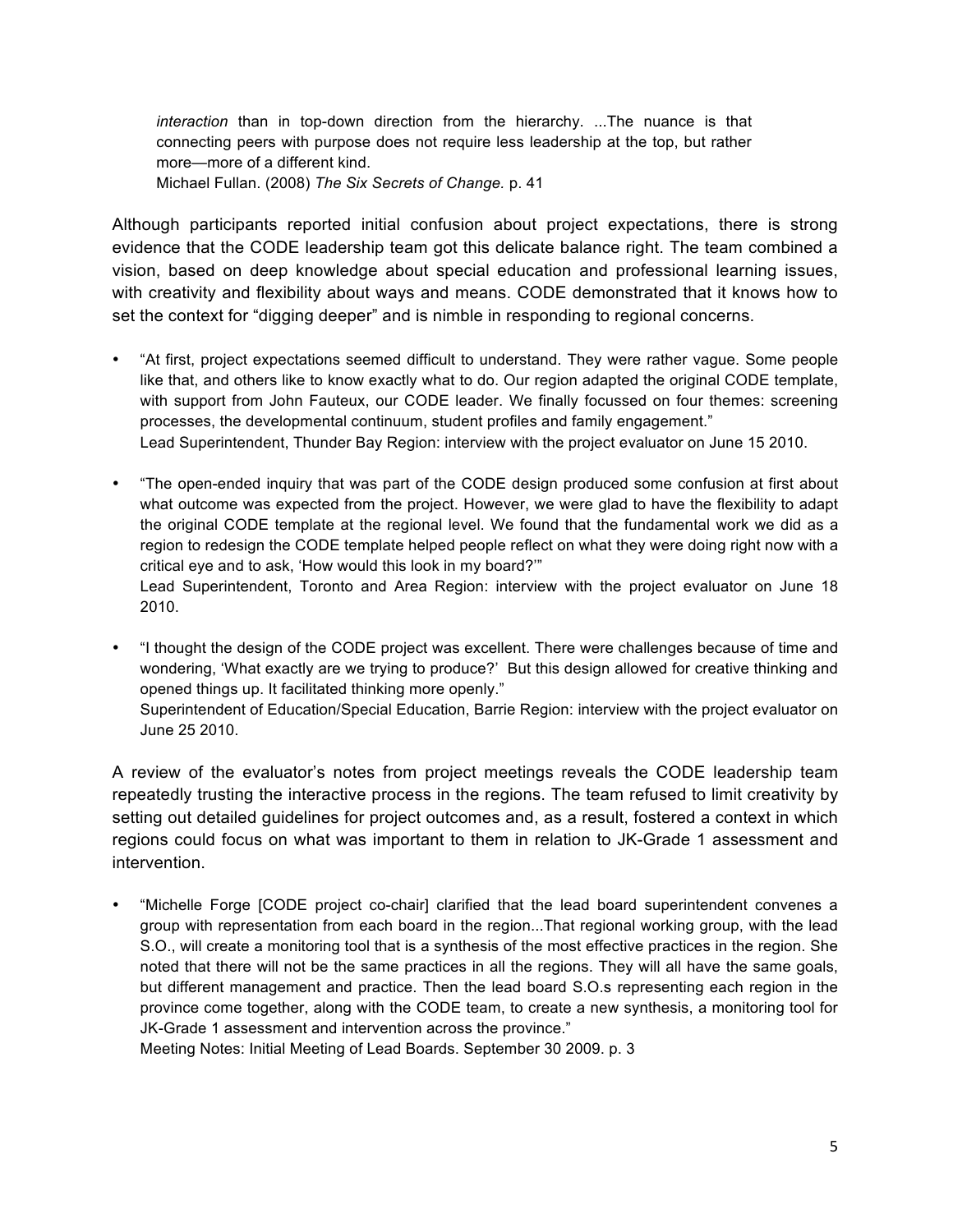*interaction* than in top-down direction from the hierarchy. ...The nuance is that connecting peers with purpose does not require less leadership at the top, but rather more—more of a different kind. Michael Fullan. (2008) *The Six Secrets of Change.* p. 41

Although participants reported initial confusion about project expectations, there is strong evidence that the CODE leadership team got this delicate balance right. The team combined a vision, based on deep knowledge about special education and professional learning issues, with creativity and flexibility about ways and means. CODE demonstrated that it knows how to set the context for "digging deeper" and is nimble in responding to regional concerns.

- "At first, project expectations seemed difficult to understand. They were rather vague. Some people like that, and others like to know exactly what to do. Our region adapted the original CODE template, with support from John Fauteux, our CODE leader. We finally focussed on four themes: screening processes, the developmental continuum, student profiles and family engagement." Lead Superintendent, Thunder Bay Region: interview with the project evaluator on June 15 2010.
- "The open-ended inquiry that was part of the CODE design produced some confusion at first about what outcome was expected from the project. However, we were glad to have the flexibility to adapt the original CODE template at the regional level. We found that the fundamental work we did as a region to redesign the CODE template helped people reflect on what they were doing right now with a critical eye and to ask, 'How would this look in my board?'" Lead Superintendent, Toronto and Area Region: interview with the project evaluator on June 18 2010.
- "I thought the design of the CODE project was excellent. There were challenges because of time and wondering, 'What exactly are we trying to produce?' But this design allowed for creative thinking and opened things up. It facilitated thinking more openly." Superintendent of Education/Special Education, Barrie Region: interview with the project evaluator on June 25 2010.

A review of the evaluator's notes from project meetings reveals the CODE leadership team repeatedly trusting the interactive process in the regions. The team refused to limit creativity by setting out detailed guidelines for project outcomes and, as a result, fostered a context in which regions could focus on what was important to them in relation to JK-Grade 1 assessment and intervention.

• "Michelle Forge [CODE project co-chair] clarified that the lead board superintendent convenes a group with representation from each board in the region...That regional working group, with the lead S.O., will create a monitoring tool that is a synthesis of the most effective practices in the region. She noted that there will not be the same practices in all the regions. They will all have the same goals, but different management and practice. Then the lead board S.O.s representing each region in the province come together, along with the CODE team, to create a new synthesis, a monitoring tool for JK-Grade 1 assessment and intervention across the province."

Meeting Notes: Initial Meeting of Lead Boards. September 30 2009. p. 3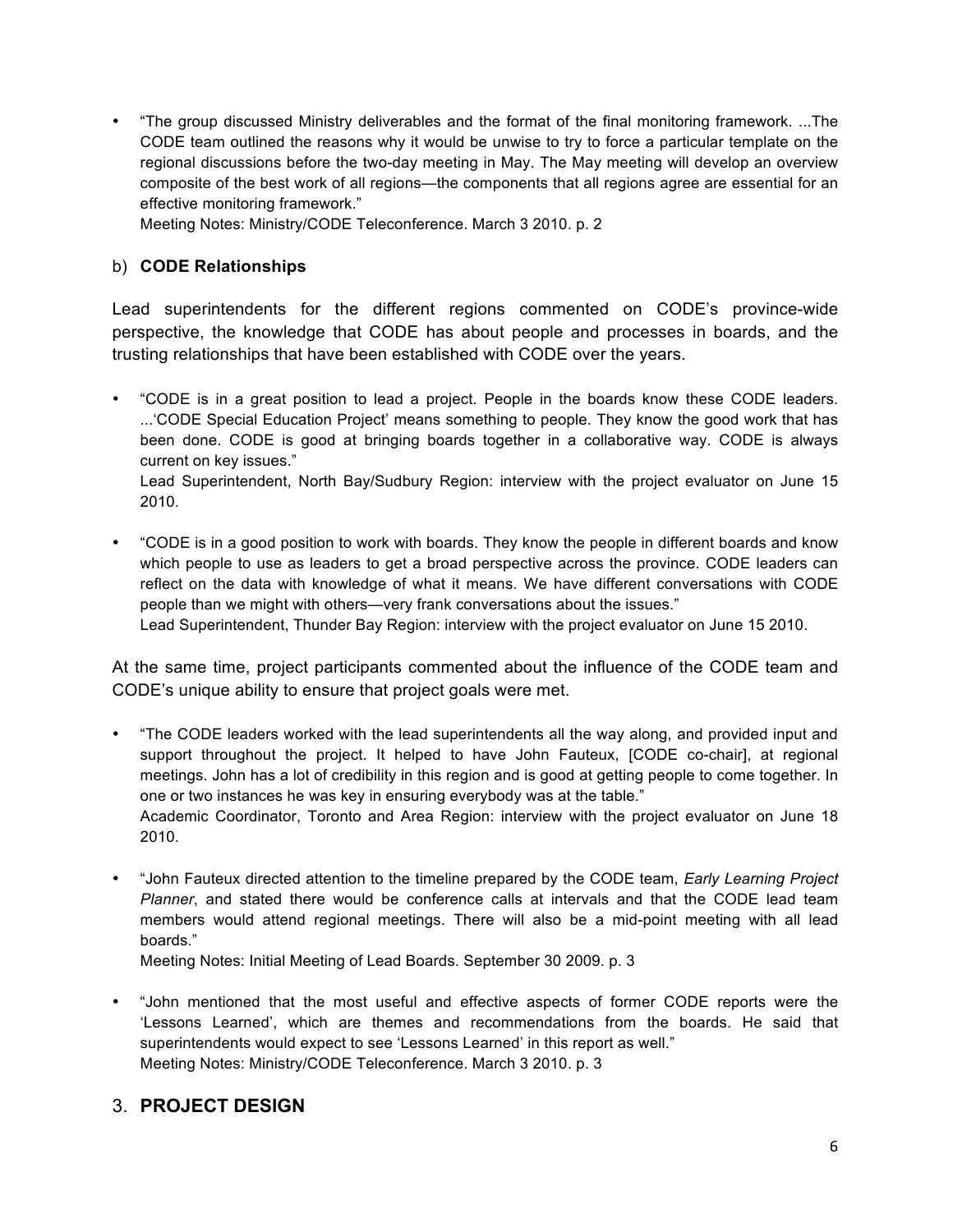• "The group discussed Ministry deliverables and the format of the final monitoring framework. ...The CODE team outlined the reasons why it would be unwise to try to force a particular template on the regional discussions before the two-day meeting in May. The May meeting will develop an overview composite of the best work of all regions—the components that all regions agree are essential for an effective monitoring framework."

Meeting Notes: Ministry/CODE Teleconference. March 3 2010. p. 2

#### b) **CODE Relationships**

Lead superintendents for the different regions commented on CODE's province-wide perspective, the knowledge that CODE has about people and processes in boards, and the trusting relationships that have been established with CODE over the years.

• "CODE is in a great position to lead a project. People in the boards know these CODE leaders. ...'CODE Special Education Project' means something to people. They know the good work that has been done. CODE is good at bringing boards together in a collaborative way. CODE is always current on key issues."

Lead Superintendent, North Bay/Sudbury Region: interview with the project evaluator on June 15 2010.

• "CODE is in a good position to work with boards. They know the people in different boards and know which people to use as leaders to get a broad perspective across the province. CODE leaders can reflect on the data with knowledge of what it means. We have different conversations with CODE people than we might with others—very frank conversations about the issues." Lead Superintendent, Thunder Bay Region: interview with the project evaluator on June 15 2010.

At the same time, project participants commented about the influence of the CODE team and

CODE's unique ability to ensure that project goals were met.

- "The CODE leaders worked with the lead superintendents all the way along, and provided input and support throughout the project. It helped to have John Fauteux, [CODE co-chair], at regional meetings. John has a lot of credibility in this region and is good at getting people to come together. In one or two instances he was key in ensuring everybody was at the table." Academic Coordinator, Toronto and Area Region: interview with the project evaluator on June 18 2010.
- "John Fauteux directed attention to the timeline prepared by the CODE team, *Early Learning Project Planner*, and stated there would be conference calls at intervals and that the CODE lead team members would attend regional meetings. There will also be a mid-point meeting with all lead boards."

Meeting Notes: Initial Meeting of Lead Boards. September 30 2009. p. 3

• "John mentioned that the most useful and effective aspects of former CODE reports were the 'Lessons Learned', which are themes and recommendations from the boards. He said that superintendents would expect to see 'Lessons Learned' in this report as well." Meeting Notes: Ministry/CODE Teleconference. March 3 2010. p. 3

#### 3. **PROJECT DESIGN**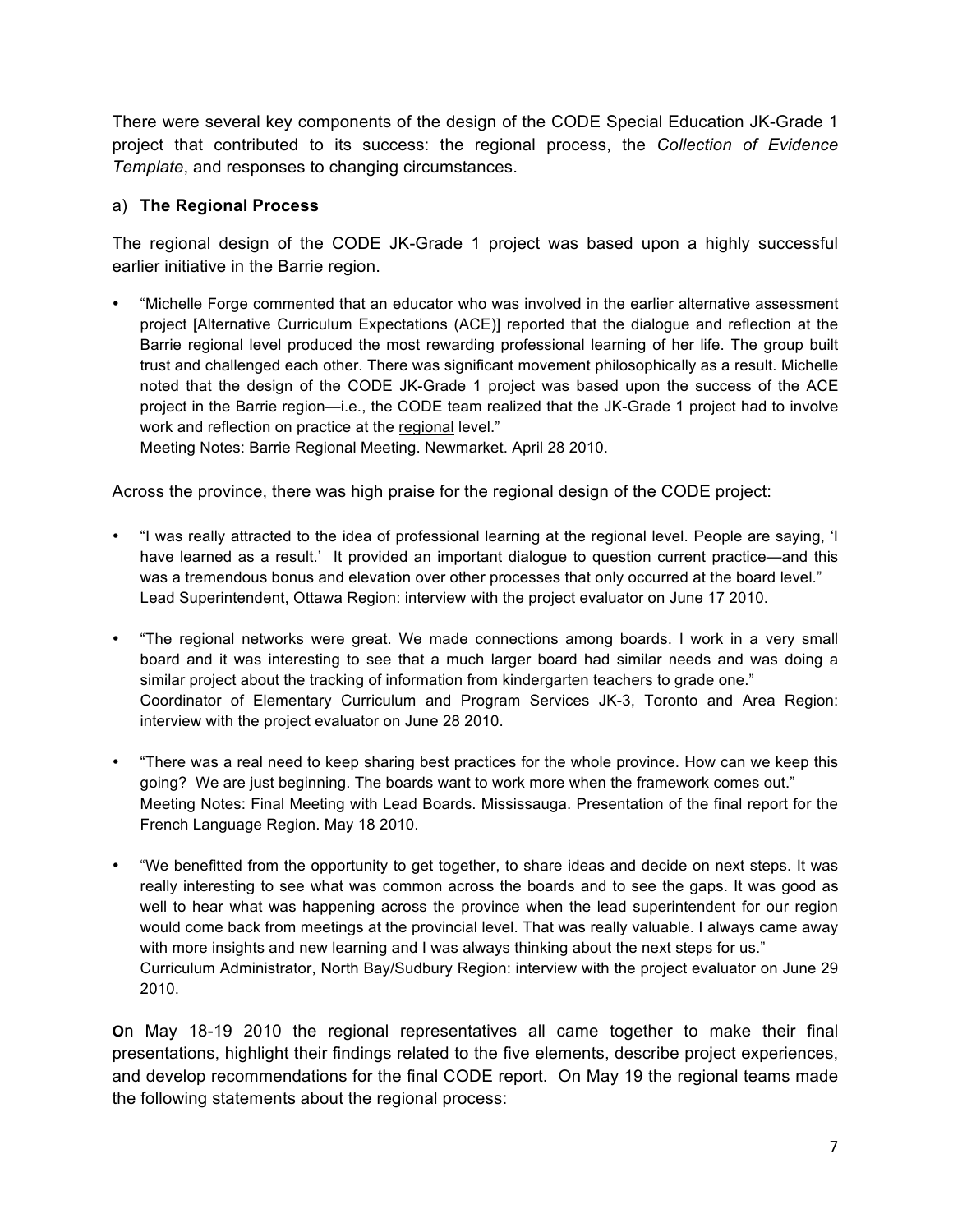There were several key components of the design of the CODE Special Education JK-Grade 1 project that contributed to its success: the regional process, the *Collection of Evidence Template*, and responses to changing circumstances.

#### a) **The Regional Process**

The regional design of the CODE JK-Grade 1 project was based upon a highly successful earlier initiative in the Barrie region.

• "Michelle Forge commented that an educator who was involved in the earlier alternative assessment project [Alternative Curriculum Expectations (ACE)] reported that the dialogue and reflection at the Barrie regional level produced the most rewarding professional learning of her life. The group built trust and challenged each other. There was significant movement philosophically as a result. Michelle noted that the design of the CODE JK-Grade 1 project was based upon the success of the ACE project in the Barrie region—i.e., the CODE team realized that the JK-Grade 1 project had to involve work and reflection on practice at the regional level."

Meeting Notes: Barrie Regional Meeting. Newmarket. April 28 2010.

Across the province, there was high praise for the regional design of the CODE project:

- "I was really attracted to the idea of professional learning at the regional level. People are saying, 'I have learned as a result.' It provided an important dialogue to question current practice—and this was a tremendous bonus and elevation over other processes that only occurred at the board level." Lead Superintendent, Ottawa Region: interview with the project evaluator on June 17 2010.
- "The regional networks were great. We made connections among boards. I work in a very small board and it was interesting to see that a much larger board had similar needs and was doing a similar project about the tracking of information from kindergarten teachers to grade one." Coordinator of Elementary Curriculum and Program Services JK-3, Toronto and Area Region: interview with the project evaluator on June 28 2010.
- "There was a real need to keep sharing best practices for the whole province. How can we keep this going? We are just beginning. The boards want to work more when the framework comes out." Meeting Notes: Final Meeting with Lead Boards. Mississauga. Presentation of the final report for the French Language Region. May 18 2010.
- "We benefitted from the opportunity to get together, to share ideas and decide on next steps. It was really interesting to see what was common across the boards and to see the gaps. It was good as well to hear what was happening across the province when the lead superintendent for our region would come back from meetings at the provincial level. That was really valuable. I always came away with more insights and new learning and I was always thinking about the next steps for us." Curriculum Administrator, North Bay/Sudbury Region: interview with the project evaluator on June 29 2010.

**O**n May 18-19 2010 the regional representatives all came together to make their final presentations, highlight their findings related to the five elements, describe project experiences, and develop recommendations for the final CODE report. On May 19 the regional teams made the following statements about the regional process: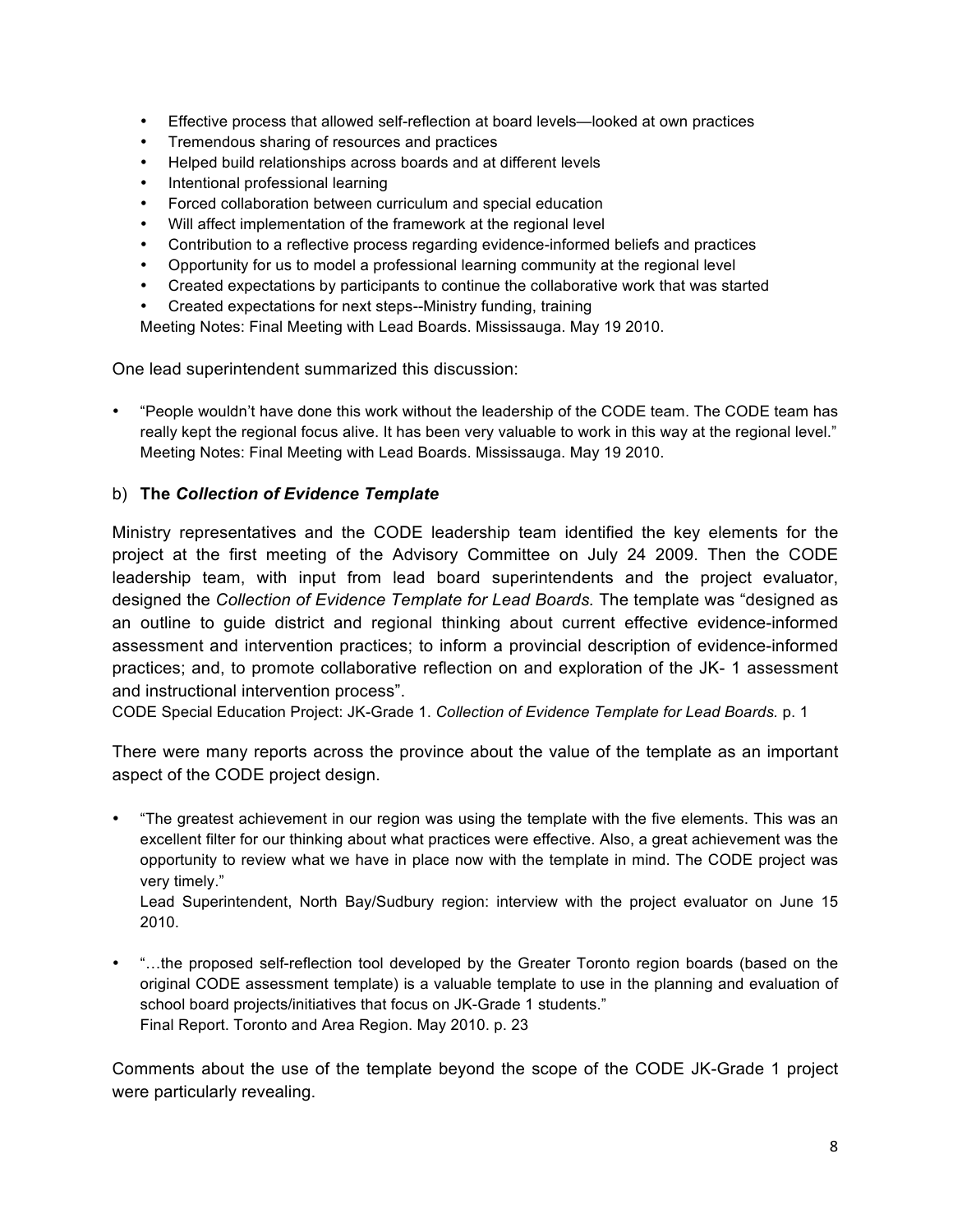- Effective process that allowed self-reflection at board levels—looked at own practices
- Tremendous sharing of resources and practices
- Helped build relationships across boards and at different levels
- Intentional professional learning
- Forced collaboration between curriculum and special education
- Will affect implementation of the framework at the regional level
- Contribution to a reflective process regarding evidence-informed beliefs and practices
- Opportunity for us to model a professional learning community at the regional level
- Created expectations by participants to continue the collaborative work that was started
- Created expectations for next steps--Ministry funding, training

Meeting Notes: Final Meeting with Lead Boards. Mississauga. May 19 2010.

One lead superintendent summarized this discussion:

• "People wouldn't have done this work without the leadership of the CODE team. The CODE team has really kept the regional focus alive. It has been very valuable to work in this way at the regional level." Meeting Notes: Final Meeting with Lead Boards. Mississauga. May 19 2010.

#### b) **The** *Collection of Evidence Template*

Ministry representatives and the CODE leadership team identified the key elements for the project at the first meeting of the Advisory Committee on July 24 2009. Then the CODE leadership team, with input from lead board superintendents and the project evaluator, designed the *Collection of Evidence Template for Lead Boards.* The template was "designed as an outline to guide district and regional thinking about current effective evidence-informed assessment and intervention practices; to inform a provincial description of evidence-informed practices; and, to promote collaborative reflection on and exploration of the JK- 1 assessment and instructional intervention process".

CODE Special Education Project: JK-Grade 1. *Collection of Evidence Template for Lead Boards.* p. 1

There were many reports across the province about the value of the template as an important aspect of the CODE project design.

• "The greatest achievement in our region was using the template with the five elements. This was an excellent filter for our thinking about what practices were effective. Also, a great achievement was the opportunity to review what we have in place now with the template in mind. The CODE project was very timely."

Lead Superintendent, North Bay/Sudbury region: interview with the project evaluator on June 15 2010.

• "…the proposed self-reflection tool developed by the Greater Toronto region boards (based on the original CODE assessment template) is a valuable template to use in the planning and evaluation of school board projects/initiatives that focus on JK-Grade 1 students." Final Report. Toronto and Area Region. May 2010. p. 23

Comments about the use of the template beyond the scope of the CODE JK-Grade 1 project were particularly revealing.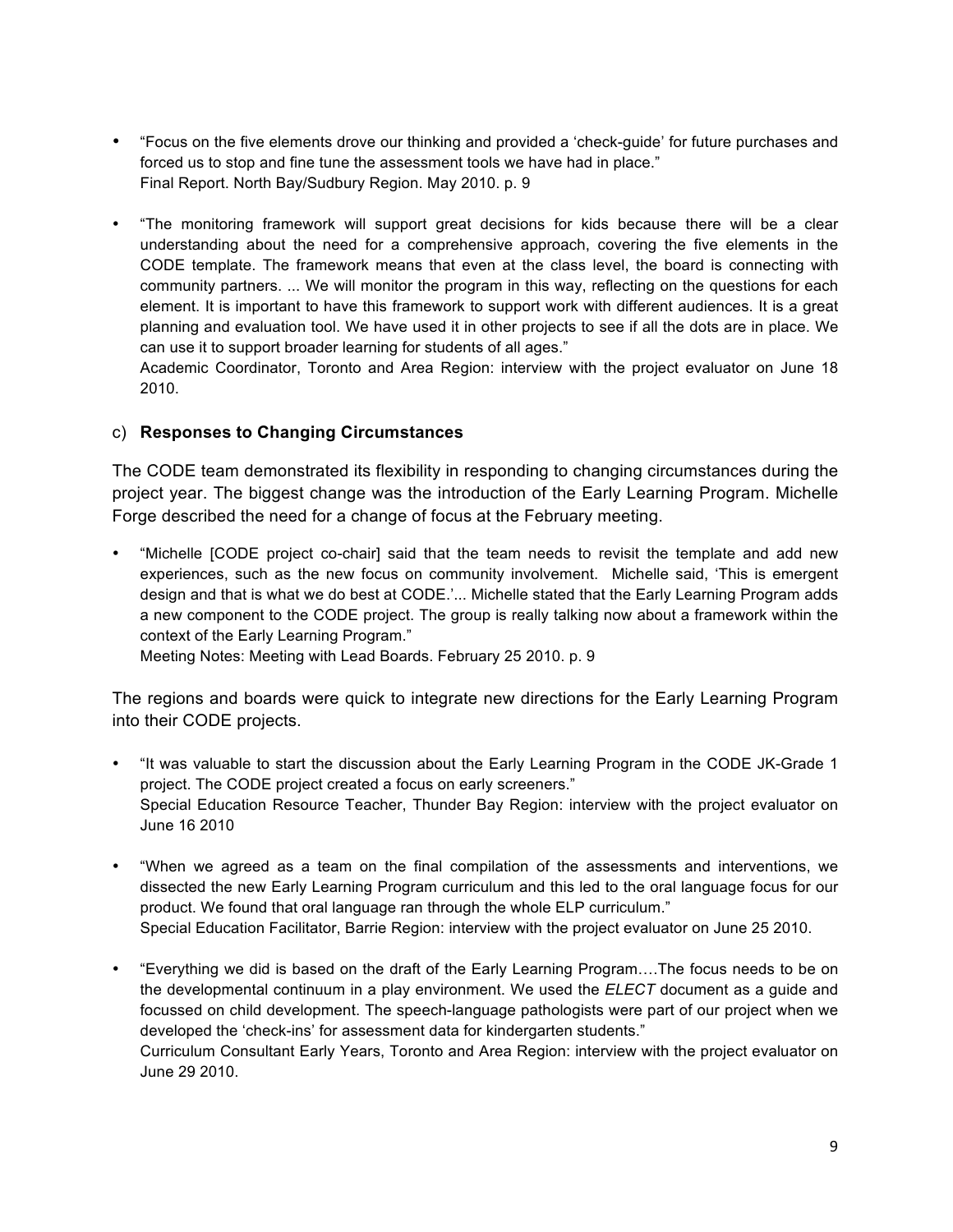- "Focus on the five elements drove our thinking and provided a 'check-guide' for future purchases and forced us to stop and fine tune the assessment tools we have had in place." Final Report. North Bay/Sudbury Region. May 2010. p. 9
- "The monitoring framework will support great decisions for kids because there will be a clear understanding about the need for a comprehensive approach, covering the five elements in the CODE template. The framework means that even at the class level, the board is connecting with community partners. ... We will monitor the program in this way, reflecting on the questions for each element. It is important to have this framework to support work with different audiences. It is a great planning and evaluation tool. We have used it in other projects to see if all the dots are in place. We can use it to support broader learning for students of all ages."

Academic Coordinator, Toronto and Area Region: interview with the project evaluator on June 18 2010.

#### c) **Responses to Changing Circumstances**

The CODE team demonstrated its flexibility in responding to changing circumstances during the project year. The biggest change was the introduction of the Early Learning Program. Michelle Forge described the need for a change of focus at the February meeting.

• "Michelle [CODE project co-chair] said that the team needs to revisit the template and add new experiences, such as the new focus on community involvement. Michelle said, 'This is emergent design and that is what we do best at CODE.'... Michelle stated that the Early Learning Program adds a new component to the CODE project. The group is really talking now about a framework within the context of the Early Learning Program."

Meeting Notes: Meeting with Lead Boards. February 25 2010. p. 9

The regions and boards were quick to integrate new directions for the Early Learning Program into their CODE projects.

- "It was valuable to start the discussion about the Early Learning Program in the CODE JK-Grade 1 project. The CODE project created a focus on early screeners." Special Education Resource Teacher, Thunder Bay Region: interview with the project evaluator on June 16 2010
- "When we agreed as a team on the final compilation of the assessments and interventions, we dissected the new Early Learning Program curriculum and this led to the oral language focus for our product. We found that oral language ran through the whole ELP curriculum." Special Education Facilitator, Barrie Region: interview with the project evaluator on June 25 2010.
- "Everything we did is based on the draft of the Early Learning Program….The focus needs to be on the developmental continuum in a play environment. We used the *ELECT* document as a guide and focussed on child development. The speech-language pathologists were part of our project when we developed the 'check-ins' for assessment data for kindergarten students." Curriculum Consultant Early Years, Toronto and Area Region: interview with the project evaluator on June 29 2010.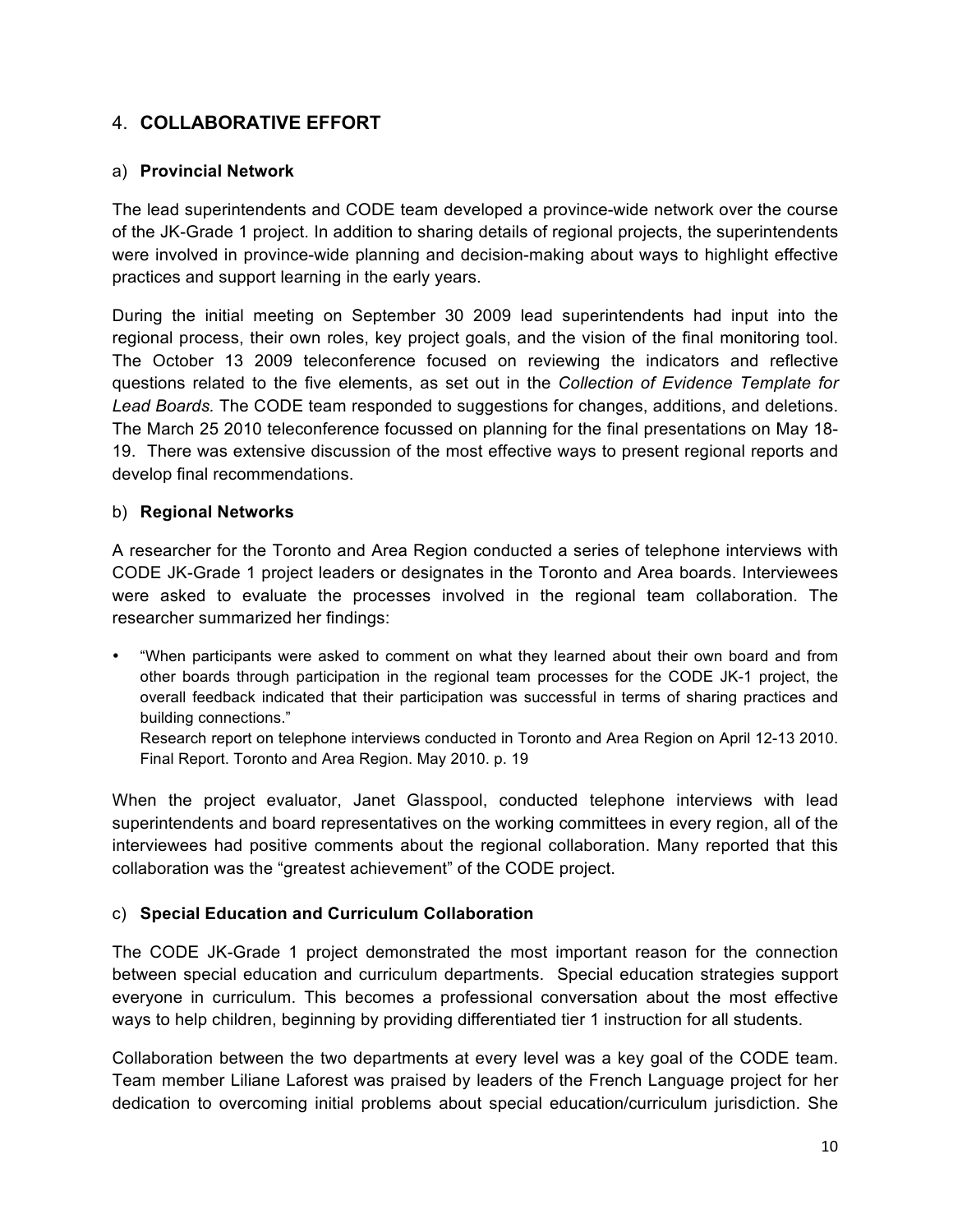#### 4. **COLLABORATIVE EFFORT**

#### a) **Provincial Network**

The lead superintendents and CODE team developed a province-wide network over the course of the JK-Grade 1 project. In addition to sharing details of regional projects, the superintendents were involved in province-wide planning and decision-making about ways to highlight effective practices and support learning in the early years.

During the initial meeting on September 30 2009 lead superintendents had input into the regional process, their own roles, key project goals, and the vision of the final monitoring tool. The October 13 2009 teleconference focused on reviewing the indicators and reflective questions related to the five elements, as set out in the *Collection of Evidence Template for Lead Boards.* The CODE team responded to suggestions for changes, additions, and deletions. The March 25 2010 teleconference focussed on planning for the final presentations on May 18- 19. There was extensive discussion of the most effective ways to present regional reports and develop final recommendations.

#### b) **Regional Networks**

A researcher for the Toronto and Area Region conducted a series of telephone interviews with CODE JK-Grade 1 project leaders or designates in the Toronto and Area boards. Interviewees were asked to evaluate the processes involved in the regional team collaboration. The researcher summarized her findings:

• "When participants were asked to comment on what they learned about their own board and from other boards through participation in the regional team processes for the CODE JK-1 project, the overall feedback indicated that their participation was successful in terms of sharing practices and building connections."

Research report on telephone interviews conducted in Toronto and Area Region on April 12-13 2010. Final Report. Toronto and Area Region. May 2010. p. 19

When the project evaluator, Janet Glasspool, conducted telephone interviews with lead superintendents and board representatives on the working committees in every region, all of the interviewees had positive comments about the regional collaboration. Many reported that this collaboration was the "greatest achievement" of the CODE project.

#### c) **Special Education and Curriculum Collaboration**

The CODE JK-Grade 1 project demonstrated the most important reason for the connection between special education and curriculum departments. Special education strategies support everyone in curriculum. This becomes a professional conversation about the most effective ways to help children, beginning by providing differentiated tier 1 instruction for all students.

Collaboration between the two departments at every level was a key goal of the CODE team. Team member Liliane Laforest was praised by leaders of the French Language project for her dedication to overcoming initial problems about special education/curriculum jurisdiction. She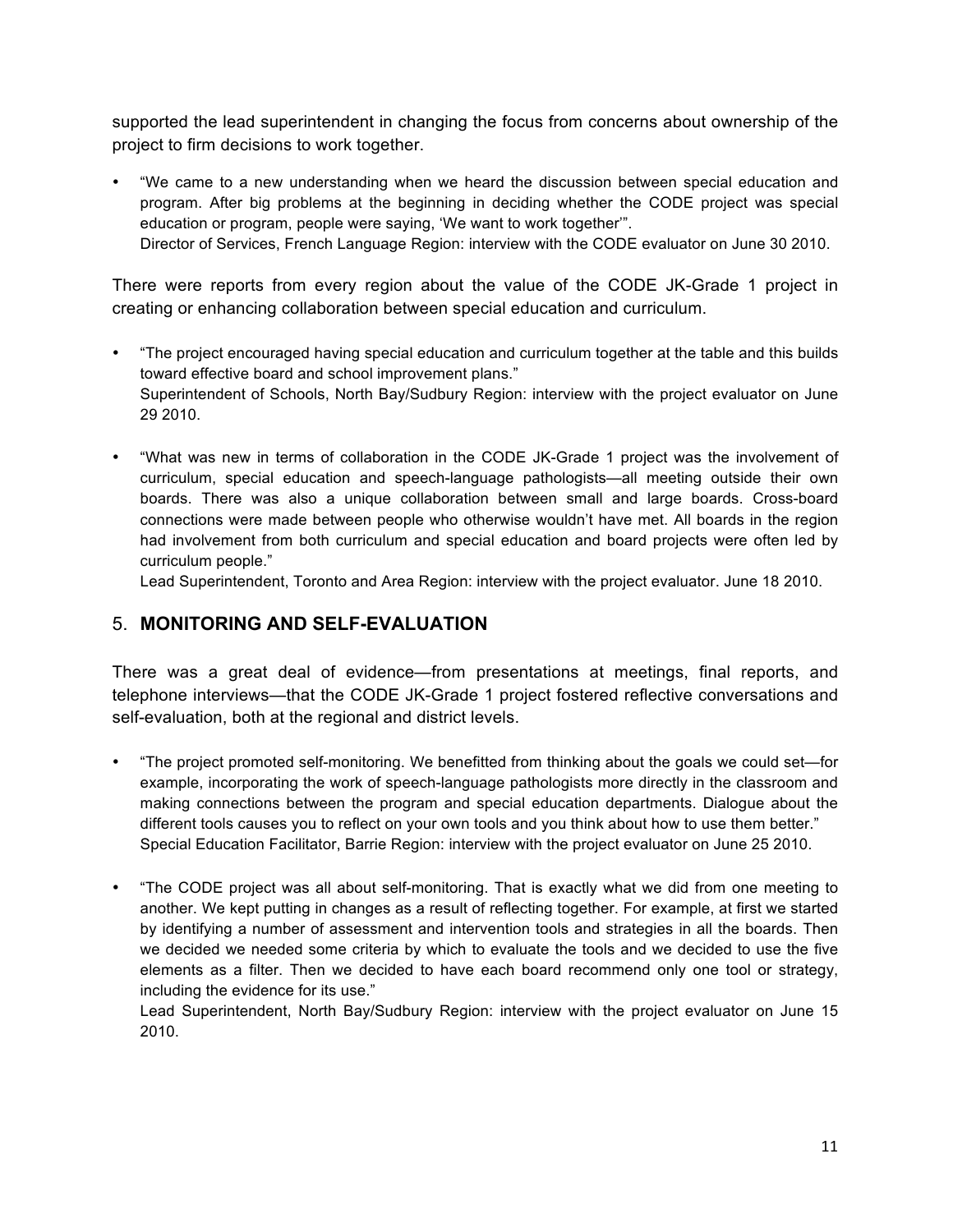supported the lead superintendent in changing the focus from concerns about ownership of the project to firm decisions to work together.

• "We came to a new understanding when we heard the discussion between special education and program. After big problems at the beginning in deciding whether the CODE project was special education or program, people were saying, 'We want to work together'". Director of Services, French Language Region: interview with the CODE evaluator on June 30 2010.

There were reports from every region about the value of the CODE JK-Grade 1 project in creating or enhancing collaboration between special education and curriculum.

- "The project encouraged having special education and curriculum together at the table and this builds toward effective board and school improvement plans." Superintendent of Schools, North Bay/Sudbury Region: interview with the project evaluator on June 29 2010.
- "What was new in terms of collaboration in the CODE JK-Grade 1 project was the involvement of curriculum, special education and speech-language pathologists—all meeting outside their own boards. There was also a unique collaboration between small and large boards. Cross-board connections were made between people who otherwise wouldn't have met. All boards in the region had involvement from both curriculum and special education and board projects were often led by curriculum people."

Lead Superintendent, Toronto and Area Region: interview with the project evaluator. June 18 2010.

#### 5. **MONITORING AND SELF-EVALUATION**

There was a great deal of evidence—from presentations at meetings, final reports, and telephone interviews—that the CODE JK-Grade 1 project fostered reflective conversations and self-evaluation, both at the regional and district levels.

- "The project promoted self-monitoring. We benefitted from thinking about the goals we could set—for example, incorporating the work of speech-language pathologists more directly in the classroom and making connections between the program and special education departments. Dialogue about the different tools causes you to reflect on your own tools and you think about how to use them better." Special Education Facilitator, Barrie Region: interview with the project evaluator on June 25 2010.
- "The CODE project was all about self-monitoring. That is exactly what we did from one meeting to another. We kept putting in changes as a result of reflecting together. For example, at first we started by identifying a number of assessment and intervention tools and strategies in all the boards. Then we decided we needed some criteria by which to evaluate the tools and we decided to use the five elements as a filter. Then we decided to have each board recommend only one tool or strategy, including the evidence for its use."

Lead Superintendent, North Bay/Sudbury Region: interview with the project evaluator on June 15 2010.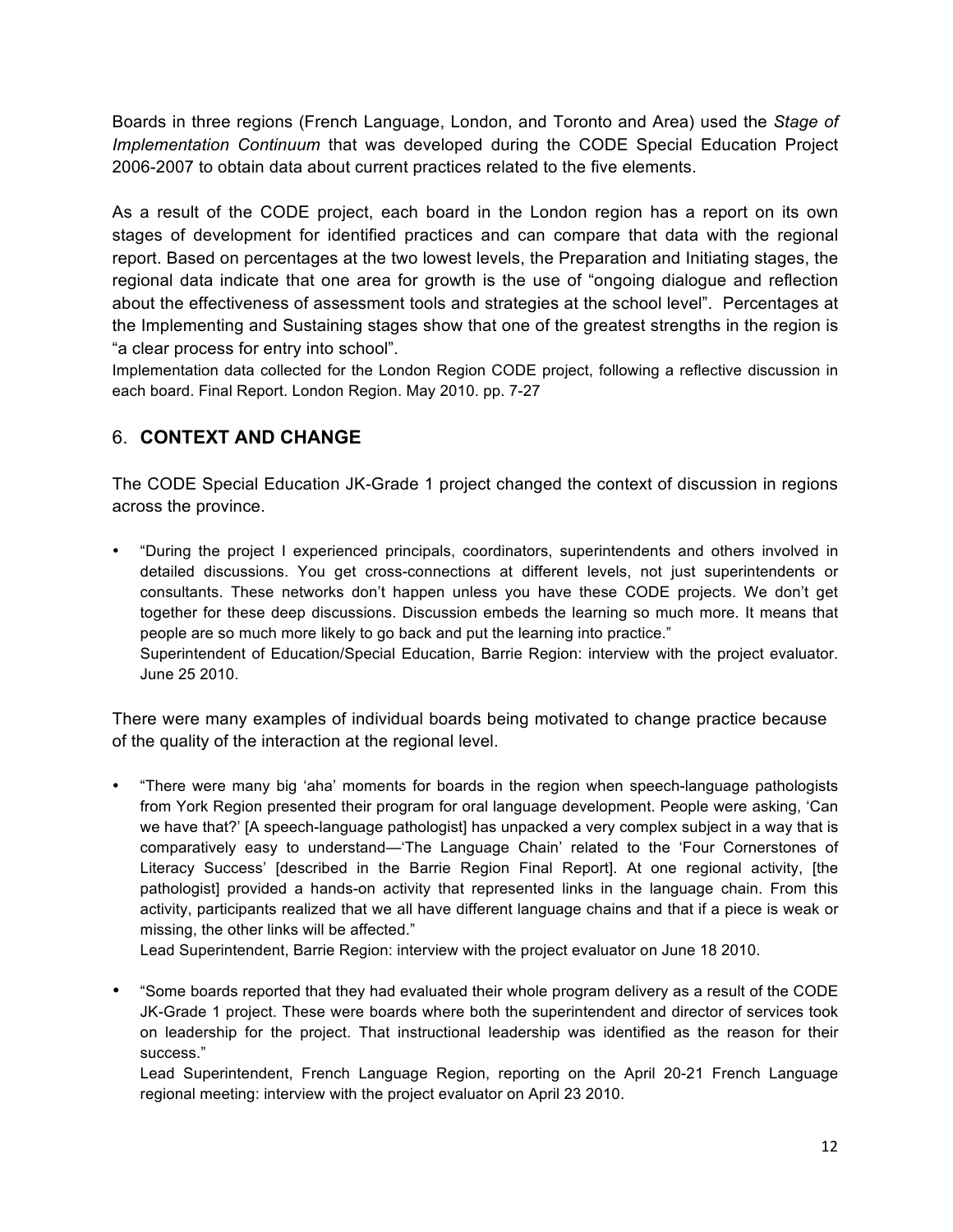Boards in three regions (French Language, London, and Toronto and Area) used the *Stage of Implementation Continuum* that was developed during the CODE Special Education Project 2006-2007 to obtain data about current practices related to the five elements.

As a result of the CODE project, each board in the London region has a report on its own stages of development for identified practices and can compare that data with the regional report. Based on percentages at the two lowest levels, the Preparation and Initiating stages, the regional data indicate that one area for growth is the use of "ongoing dialogue and reflection about the effectiveness of assessment tools and strategies at the school level". Percentages at the Implementing and Sustaining stages show that one of the greatest strengths in the region is "a clear process for entry into school".

Implementation data collected for the London Region CODE project, following a reflective discussion in each board. Final Report. London Region. May 2010. pp. 7-27

## 6. **CONTEXT AND CHANGE**

The CODE Special Education JK-Grade 1 project changed the context of discussion in regions across the province.

• "During the project I experienced principals, coordinators, superintendents and others involved in detailed discussions. You get cross-connections at different levels, not just superintendents or consultants. These networks don't happen unless you have these CODE projects. We don't get together for these deep discussions. Discussion embeds the learning so much more. It means that people are so much more likely to go back and put the learning into practice." Superintendent of Education/Special Education, Barrie Region: interview with the project evaluator. June 25 2010.

There were many examples of individual boards being motivated to change practice because of the quality of the interaction at the regional level.

• "There were many big 'aha' moments for boards in the region when speech-language pathologists from York Region presented their program for oral language development. People were asking, 'Can we have that?' [A speech-language pathologist] has unpacked a very complex subject in a way that is comparatively easy to understand—'The Language Chain' related to the 'Four Cornerstones of Literacy Success' [described in the Barrie Region Final Report]. At one regional activity, [the pathologist] provided a hands-on activity that represented links in the language chain. From this activity, participants realized that we all have different language chains and that if a piece is weak or missing, the other links will be affected."

Lead Superintendent, Barrie Region: interview with the project evaluator on June 18 2010.

• "Some boards reported that they had evaluated their whole program delivery as a result of the CODE JK-Grade 1 project. These were boards where both the superintendent and director of services took on leadership for the project. That instructional leadership was identified as the reason for their success."

Lead Superintendent, French Language Region, reporting on the April 20-21 French Language regional meeting: interview with the project evaluator on April 23 2010.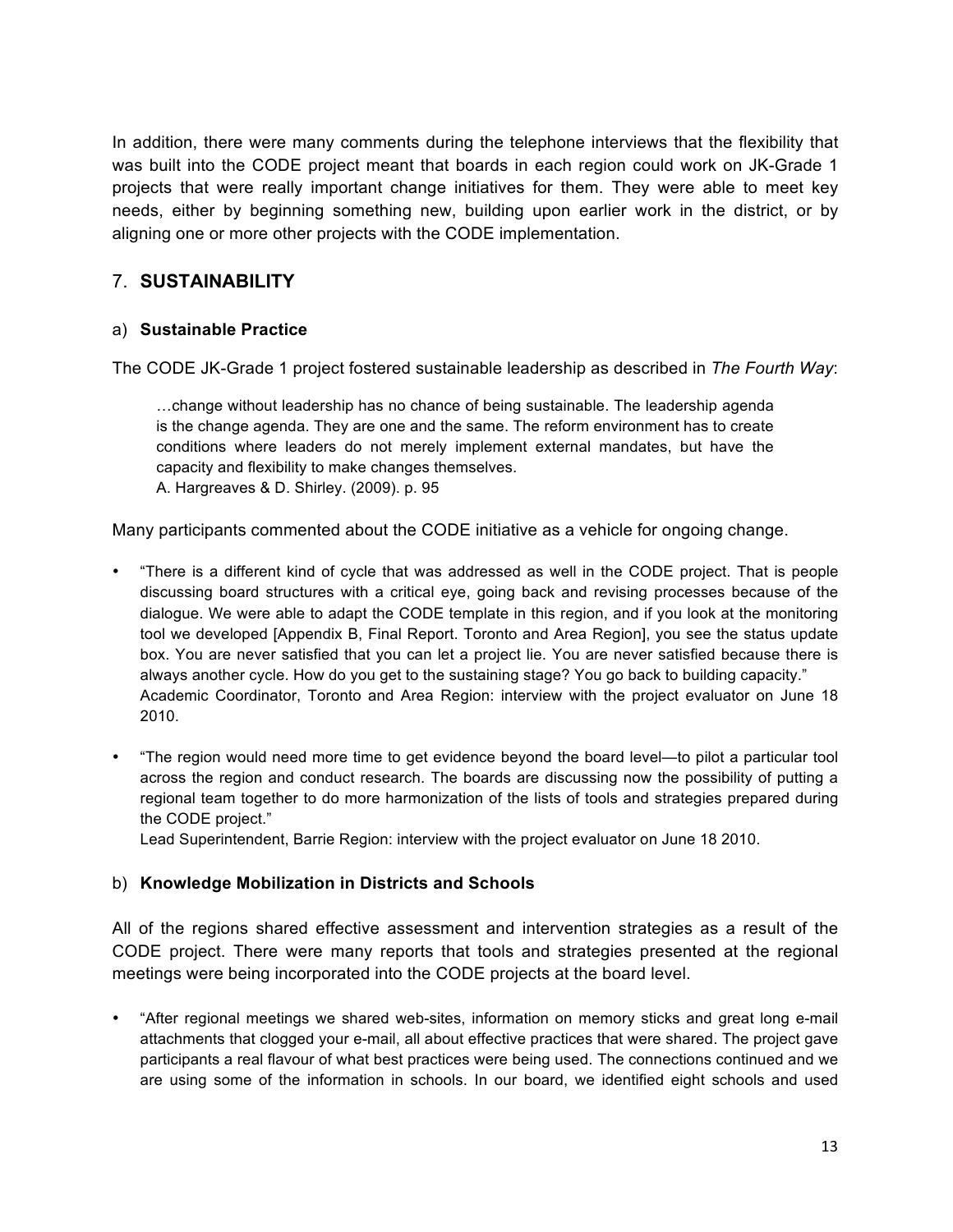In addition, there were many comments during the telephone interviews that the flexibility that was built into the CODE project meant that boards in each region could work on JK-Grade 1 projects that were really important change initiatives for them. They were able to meet key needs, either by beginning something new, building upon earlier work in the district, or by aligning one or more other projects with the CODE implementation.

## 7. **SUSTAINABILITY**

#### a) **Sustainable Practice**

The CODE JK-Grade 1 project fostered sustainable leadership as described in *The Fourth Way*:

…change without leadership has no chance of being sustainable. The leadership agenda is the change agenda. They are one and the same. The reform environment has to create conditions where leaders do not merely implement external mandates, but have the capacity and flexibility to make changes themselves. A. Hargreaves & D. Shirley. (2009). p. 95

Many participants commented about the CODE initiative as a vehicle for ongoing change.

- "There is a different kind of cycle that was addressed as well in the CODE project. That is people discussing board structures with a critical eye, going back and revising processes because of the dialogue. We were able to adapt the CODE template in this region, and if you look at the monitoring tool we developed [Appendix B, Final Report. Toronto and Area Region], you see the status update box. You are never satisfied that you can let a project lie. You are never satisfied because there is always another cycle. How do you get to the sustaining stage? You go back to building capacity." Academic Coordinator, Toronto and Area Region: interview with the project evaluator on June 18 2010.
- "The region would need more time to get evidence beyond the board level—to pilot a particular tool across the region and conduct research. The boards are discussing now the possibility of putting a regional team together to do more harmonization of the lists of tools and strategies prepared during the CODE project."

Lead Superintendent, Barrie Region: interview with the project evaluator on June 18 2010.

#### b) **Knowledge Mobilization in Districts and Schools**

All of the regions shared effective assessment and intervention strategies as a result of the CODE project. There were many reports that tools and strategies presented at the regional meetings were being incorporated into the CODE projects at the board level.

• "After regional meetings we shared web-sites, information on memory sticks and great long e-mail attachments that clogged your e-mail, all about effective practices that were shared. The project gave participants a real flavour of what best practices were being used. The connections continued and we are using some of the information in schools. In our board, we identified eight schools and used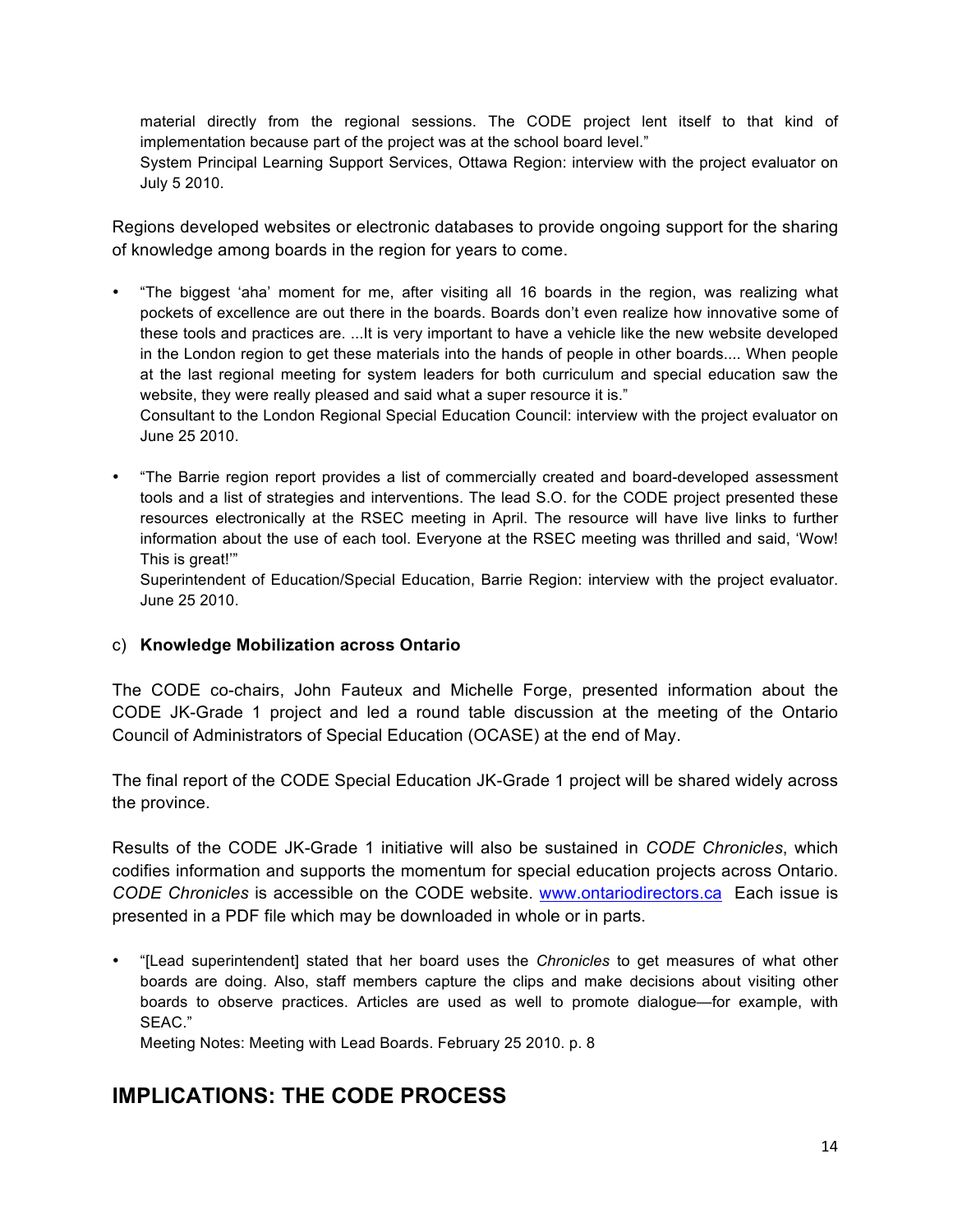material directly from the regional sessions. The CODE project lent itself to that kind of implementation because part of the project was at the school board level."

System Principal Learning Support Services, Ottawa Region: interview with the project evaluator on July 5 2010.

Regions developed websites or electronic databases to provide ongoing support for the sharing of knowledge among boards in the region for years to come.

• "The biggest 'aha' moment for me, after visiting all 16 boards in the region, was realizing what pockets of excellence are out there in the boards. Boards don't even realize how innovative some of these tools and practices are. ...It is very important to have a vehicle like the new website developed in the London region to get these materials into the hands of people in other boards.... When people at the last regional meeting for system leaders for both curriculum and special education saw the website, they were really pleased and said what a super resource it is."

Consultant to the London Regional Special Education Council: interview with the project evaluator on June 25 2010.

• "The Barrie region report provides a list of commercially created and board-developed assessment tools and a list of strategies and interventions. The lead S.O. for the CODE project presented these resources electronically at the RSEC meeting in April. The resource will have live links to further information about the use of each tool. Everyone at the RSEC meeting was thrilled and said, 'Wow! This is great!'"

Superintendent of Education/Special Education, Barrie Region: interview with the project evaluator. June 25 2010.

#### c) **Knowledge Mobilization across Ontario**

The CODE co-chairs, John Fauteux and Michelle Forge, presented information about the CODE JK-Grade 1 project and led a round table discussion at the meeting of the Ontario Council of Administrators of Special Education (OCASE) at the end of May.

The final report of the CODE Special Education JK-Grade 1 project will be shared widely across the province.

Results of the CODE JK-Grade 1 initiative will also be sustained in *CODE Chronicles*, which codifies information and supports the momentum for special education projects across Ontario. *CODE Chronicles* is accessible on the CODE website. www.ontariodirectors.ca Each issue is presented in a PDF file which may be downloaded in whole or in parts.

• "[Lead superintendent] stated that her board uses the *Chronicles* to get measures of what other boards are doing. Also, staff members capture the clips and make decisions about visiting other boards to observe practices. Articles are used as well to promote dialogue—for example, with SEAC."

Meeting Notes: Meeting with Lead Boards. February 25 2010. p. 8

## **IMPLICATIONS: THE CODE PROCESS**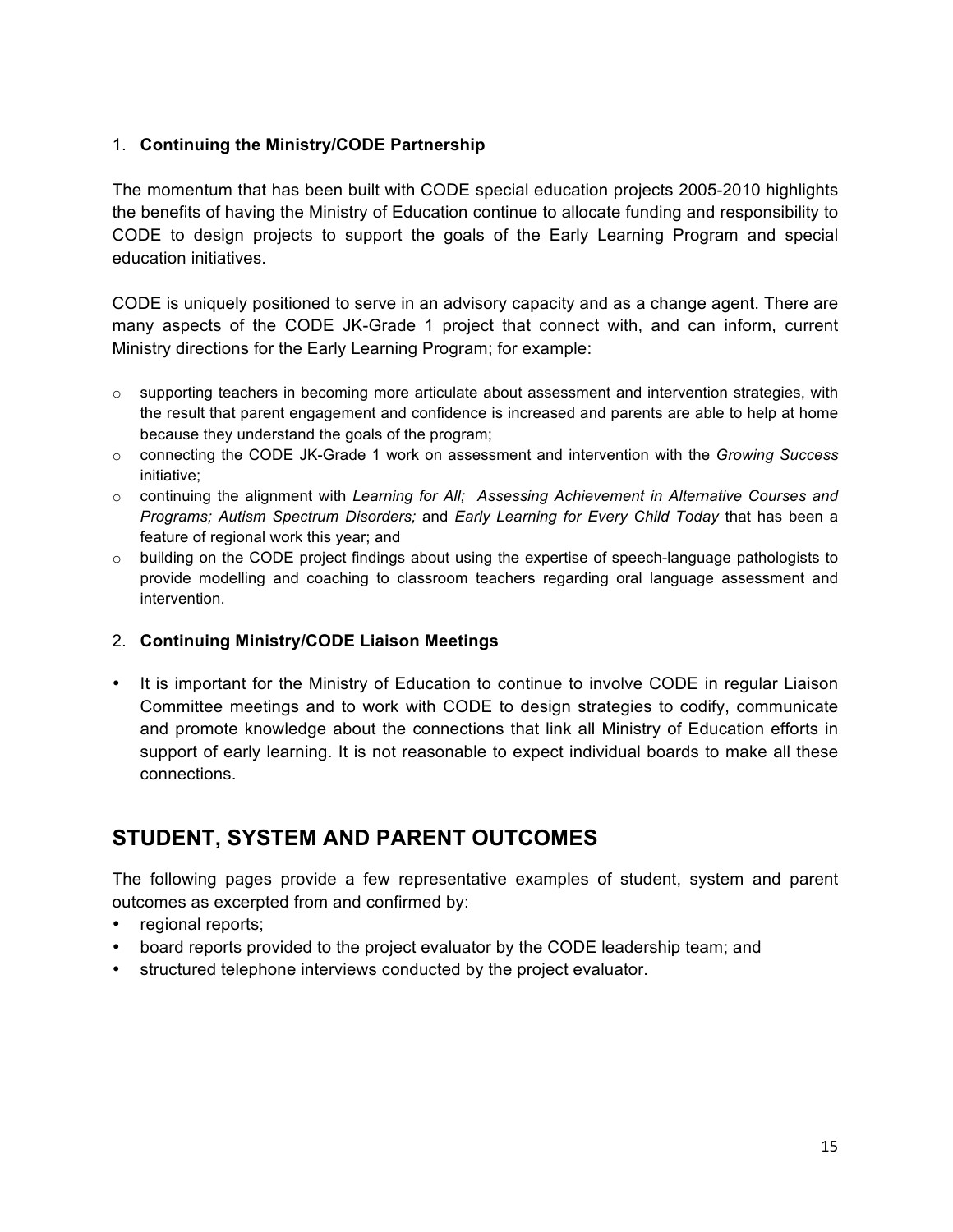#### 1. **Continuing the Ministry/CODE Partnership**

The momentum that has been built with CODE special education projects 2005-2010 highlights the benefits of having the Ministry of Education continue to allocate funding and responsibility to CODE to design projects to support the goals of the Early Learning Program and special education initiatives.

CODE is uniquely positioned to serve in an advisory capacity and as a change agent. There are many aspects of the CODE JK-Grade 1 project that connect with, and can inform, current Ministry directions for the Early Learning Program; for example:

- $\circ$  supporting teachers in becoming more articulate about assessment and intervention strategies, with the result that parent engagement and confidence is increased and parents are able to help at home because they understand the goals of the program;
- o connecting the CODE JK-Grade 1 work on assessment and intervention with the *Growing Success* initiative;
- o continuing the alignment with *Learning for All; Assessing Achievement in Alternative Courses and Programs; Autism Spectrum Disorders;* and *Early Learning for Every Child Today* that has been a feature of regional work this year; and
- o building on the CODE project findings about using the expertise of speech-language pathologists to provide modelling and coaching to classroom teachers regarding oral language assessment and intervention.

#### 2. **Continuing Ministry/CODE Liaison Meetings**

• It is important for the Ministry of Education to continue to involve CODE in regular Liaison Committee meetings and to work with CODE to design strategies to codify, communicate and promote knowledge about the connections that link all Ministry of Education efforts in support of early learning. It is not reasonable to expect individual boards to make all these connections.

## **STUDENT, SYSTEM AND PARENT OUTCOMES**

The following pages provide a few representative examples of student, system and parent outcomes as excerpted from and confirmed by:

- regional reports;
- board reports provided to the project evaluator by the CODE leadership team; and
- structured telephone interviews conducted by the project evaluator.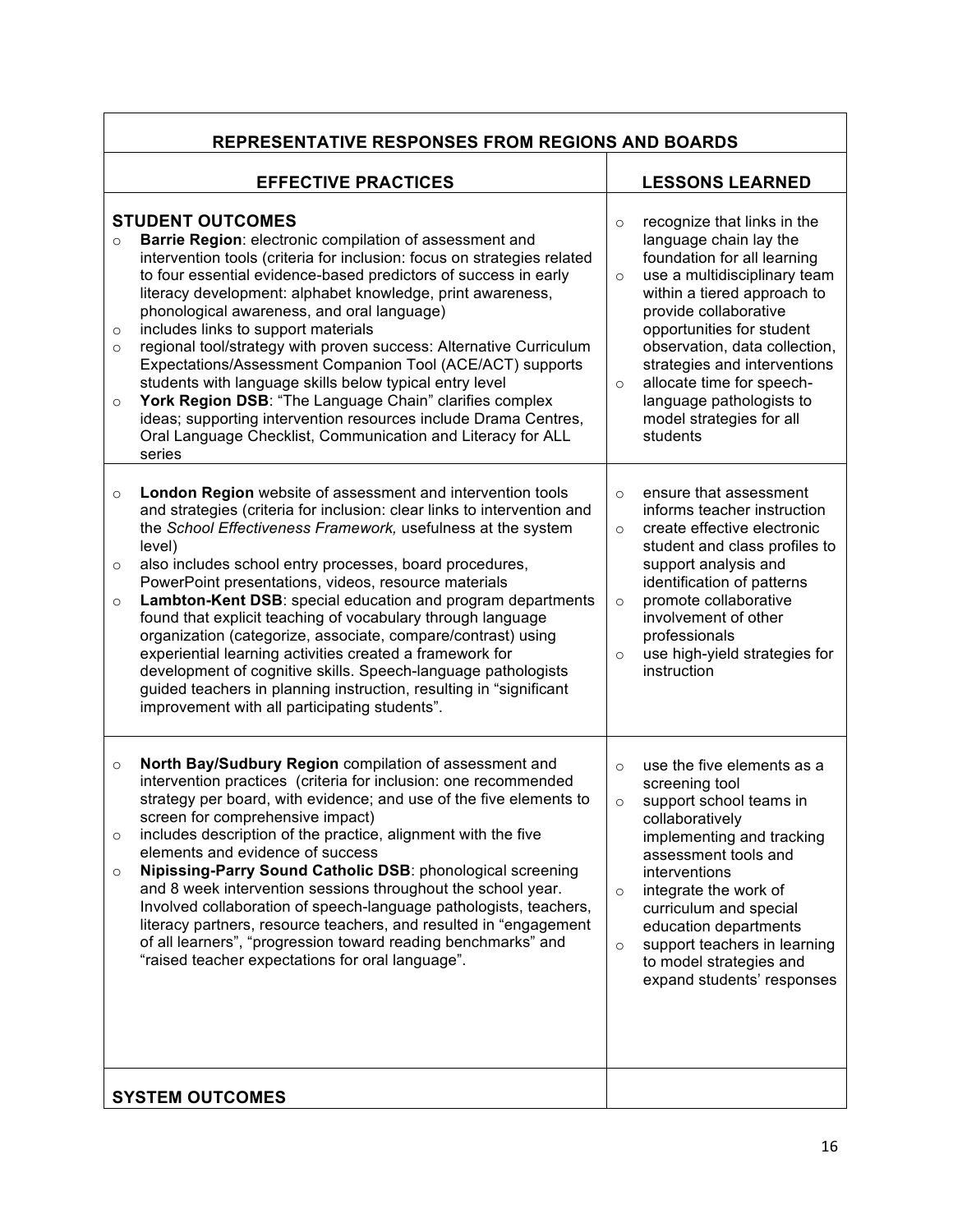| <b>REPRESENTATIVE RESPONSES FROM REGIONS AND BOARDS</b>                                                                                                                                                                                                                                                                                                                                                                                                                                                                                                                                                                                                                                                                                                                                                                              |                                                                                                                                                                                                                                                                                                                                                                                                              |  |  |  |
|--------------------------------------------------------------------------------------------------------------------------------------------------------------------------------------------------------------------------------------------------------------------------------------------------------------------------------------------------------------------------------------------------------------------------------------------------------------------------------------------------------------------------------------------------------------------------------------------------------------------------------------------------------------------------------------------------------------------------------------------------------------------------------------------------------------------------------------|--------------------------------------------------------------------------------------------------------------------------------------------------------------------------------------------------------------------------------------------------------------------------------------------------------------------------------------------------------------------------------------------------------------|--|--|--|
| <b>EFFECTIVE PRACTICES</b>                                                                                                                                                                                                                                                                                                                                                                                                                                                                                                                                                                                                                                                                                                                                                                                                           | <b>LESSONS LEARNED</b>                                                                                                                                                                                                                                                                                                                                                                                       |  |  |  |
| <b>STUDENT OUTCOMES</b><br>Barrie Region: electronic compilation of assessment and<br>$\circ$<br>intervention tools (criteria for inclusion: focus on strategies related<br>to four essential evidence-based predictors of success in early<br>literacy development: alphabet knowledge, print awareness,<br>phonological awareness, and oral language)<br>includes links to support materials<br>$\circ$<br>regional tool/strategy with proven success: Alternative Curriculum<br>$\circ$<br>Expectations/Assessment Companion Tool (ACE/ACT) supports<br>students with language skills below typical entry level<br>York Region DSB: "The Language Chain" clarifies complex<br>$\circ$<br>ideas; supporting intervention resources include Drama Centres,<br>Oral Language Checklist, Communication and Literacy for ALL<br>series | recognize that links in the<br>$\circ$<br>language chain lay the<br>foundation for all learning<br>use a multidisciplinary team<br>$\circ$<br>within a tiered approach to<br>provide collaborative<br>opportunities for student<br>observation, data collection,<br>strategies and interventions<br>allocate time for speech-<br>$\circ$<br>language pathologists to<br>model strategies for all<br>students |  |  |  |
| London Region website of assessment and intervention tools<br>$\circ$<br>and strategies (criteria for inclusion: clear links to intervention and<br>the School Effectiveness Framework, usefulness at the system<br>level)<br>also includes school entry processes, board procedures,<br>$\circ$<br>PowerPoint presentations, videos, resource materials<br>Lambton-Kent DSB: special education and program departments<br>$\circ$<br>found that explicit teaching of vocabulary through language<br>organization (categorize, associate, compare/contrast) using<br>experiential learning activities created a framework for<br>development of cognitive skills. Speech-language pathologists<br>guided teachers in planning instruction, resulting in "significant<br>improvement with all participating students".                | ensure that assessment<br>$\circ$<br>informs teacher instruction<br>create effective electronic<br>$\circ$<br>student and class profiles to<br>support analysis and<br>identification of patterns<br>promote collaborative<br>$\circ$<br>involvement of other<br>professionals<br>use high-yield strategies for<br>$\circ$<br>instruction                                                                    |  |  |  |
| North Bay/Sudbury Region compilation of assessment and<br>$\circ$<br>intervention practices (criteria for inclusion: one recommended<br>strategy per board, with evidence; and use of the five elements to<br>screen for comprehensive impact)<br>includes description of the practice, alignment with the five<br>$\circ$<br>elements and evidence of success<br>Nipissing-Parry Sound Catholic DSB: phonological screening<br>$\circ$<br>and 8 week intervention sessions throughout the school year.<br>Involved collaboration of speech-language pathologists, teachers,<br>literacy partners, resource teachers, and resulted in "engagement<br>of all learners", "progression toward reading benchmarks" and<br>"raised teacher expectations for oral language".                                                               | use the five elements as a<br>$\circ$<br>screening tool<br>support school teams in<br>$\circ$<br>collaboratively<br>implementing and tracking<br>assessment tools and<br>interventions<br>integrate the work of<br>$\circ$<br>curriculum and special<br>education departments<br>support teachers in learning<br>$\circ$<br>to model strategies and<br>expand students' responses                            |  |  |  |
| <b>SYSTEM OUTCOMES</b>                                                                                                                                                                                                                                                                                                                                                                                                                                                                                                                                                                                                                                                                                                                                                                                                               |                                                                                                                                                                                                                                                                                                                                                                                                              |  |  |  |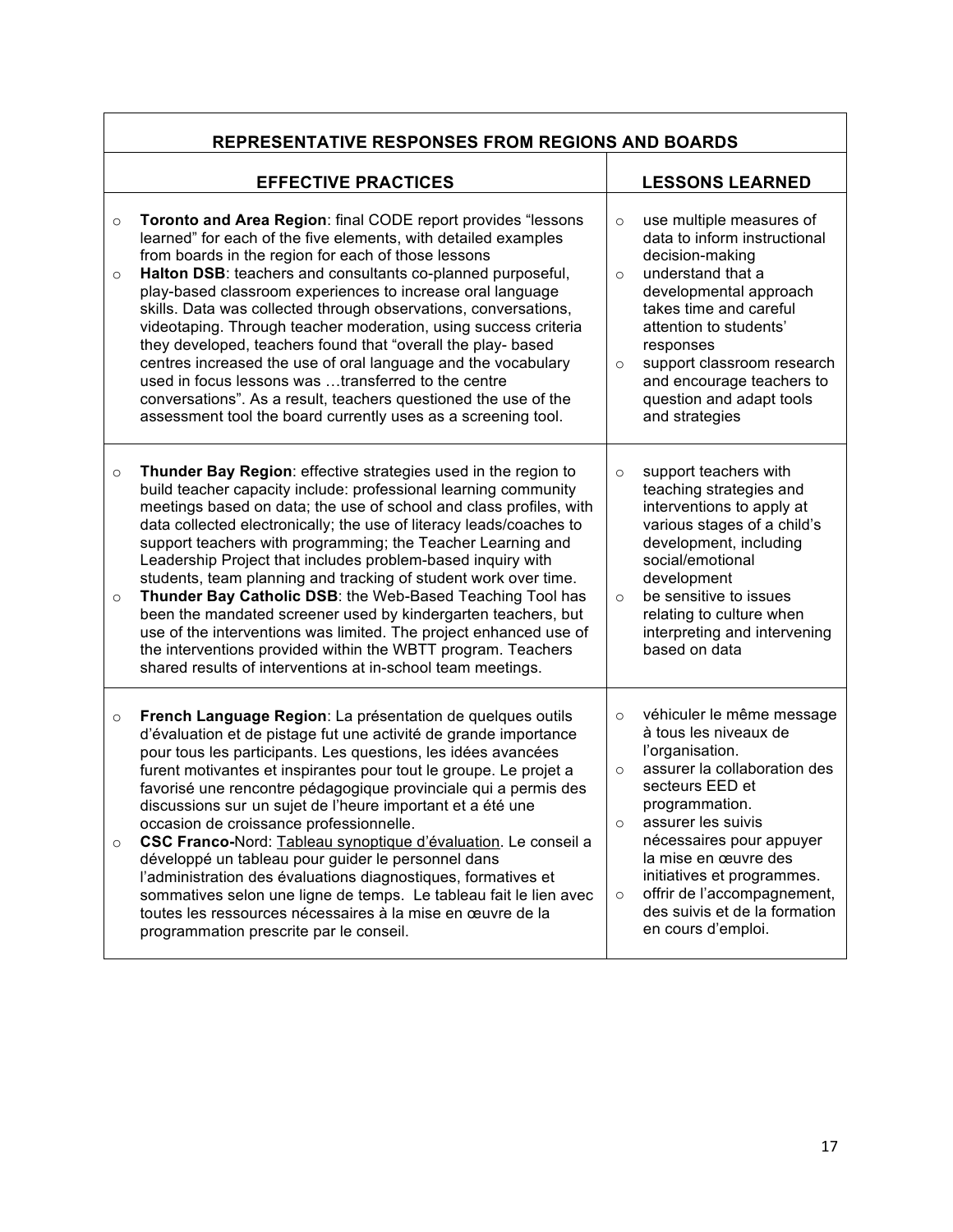| <b>REPRESENTATIVE RESPONSES FROM REGIONS AND BOARDS</b> |                                                                                                                                                                                                                                                                                                                                                                                                                                                                                                                                                                                                                                                                                                                                                                                                                         |                                          |                                                                                                                                                                                                                                                                                                                                          |  |
|---------------------------------------------------------|-------------------------------------------------------------------------------------------------------------------------------------------------------------------------------------------------------------------------------------------------------------------------------------------------------------------------------------------------------------------------------------------------------------------------------------------------------------------------------------------------------------------------------------------------------------------------------------------------------------------------------------------------------------------------------------------------------------------------------------------------------------------------------------------------------------------------|------------------------------------------|------------------------------------------------------------------------------------------------------------------------------------------------------------------------------------------------------------------------------------------------------------------------------------------------------------------------------------------|--|
|                                                         | <b>EFFECTIVE PRACTICES</b>                                                                                                                                                                                                                                                                                                                                                                                                                                                                                                                                                                                                                                                                                                                                                                                              |                                          | <b>LESSONS LEARNED</b>                                                                                                                                                                                                                                                                                                                   |  |
| $\circ$<br>$\circ$                                      | Toronto and Area Region: final CODE report provides "lessons<br>learned" for each of the five elements, with detailed examples<br>from boards in the region for each of those lessons<br>Halton DSB: teachers and consultants co-planned purposeful,<br>play-based classroom experiences to increase oral language<br>skills. Data was collected through observations, conversations,<br>videotaping. Through teacher moderation, using success criteria<br>they developed, teachers found that "overall the play- based<br>centres increased the use of oral language and the vocabulary<br>used in focus lessons was transferred to the centre<br>conversations". As a result, teachers questioned the use of the<br>assessment tool the board currently uses as a screening tool.                                    | $\circ$<br>$\circ$<br>$\circ$            | use multiple measures of<br>data to inform instructional<br>decision-making<br>understand that a<br>developmental approach<br>takes time and careful<br>attention to students'<br>responses<br>support classroom research<br>and encourage teachers to<br>question and adapt tools<br>and strategies                                     |  |
| $\circ$<br>$\circ$                                      | Thunder Bay Region: effective strategies used in the region to<br>build teacher capacity include: professional learning community<br>meetings based on data; the use of school and class profiles, with<br>data collected electronically; the use of literacy leads/coaches to<br>support teachers with programming; the Teacher Learning and<br>Leadership Project that includes problem-based inquiry with<br>students, team planning and tracking of student work over time.<br>Thunder Bay Catholic DSB: the Web-Based Teaching Tool has<br>been the mandated screener used by kindergarten teachers, but<br>use of the interventions was limited. The project enhanced use of<br>the interventions provided within the WBTT program. Teachers<br>shared results of interventions at in-school team meetings.       | $\circ$<br>$\circ$                       | support teachers with<br>teaching strategies and<br>interventions to apply at<br>various stages of a child's<br>development, including<br>social/emotional<br>development<br>be sensitive to issues<br>relating to culture when<br>interpreting and intervening<br>based on data                                                         |  |
| $\circ$<br>$\circ$                                      | French Language Region: La présentation de quelques outils<br>d'évaluation et de pistage fut une activité de grande importance<br>pour tous les participants. Les questions, les idées avancées<br>furent motivantes et inspirantes pour tout le groupe. Le projet a<br>favorisé une rencontre pédagogique provinciale qui a permis des<br>discussions sur un sujet de l'heure important et a été une<br>occasion de croissance professionnelle.<br>CSC Franco-Nord: Tableau synoptique d'évaluation. Le conseil a<br>développé un tableau pour guider le personnel dans<br>l'administration des évaluations diagnostiques, formatives et<br>sommatives selon une ligne de temps. Le tableau fait le lien avec<br>toutes les ressources nécessaires à la mise en œuvre de la<br>programmation prescrite par le conseil. | $\circ$<br>$\circ$<br>$\circ$<br>$\circ$ | véhiculer le même message<br>à tous les niveaux de<br>l'organisation.<br>assurer la collaboration des<br>secteurs EED et<br>programmation.<br>assurer les suivis<br>nécessaires pour appuyer<br>la mise en œuvre des<br>initiatives et programmes.<br>offrir de l'accompagnement,<br>des suivis et de la formation<br>en cours d'emploi. |  |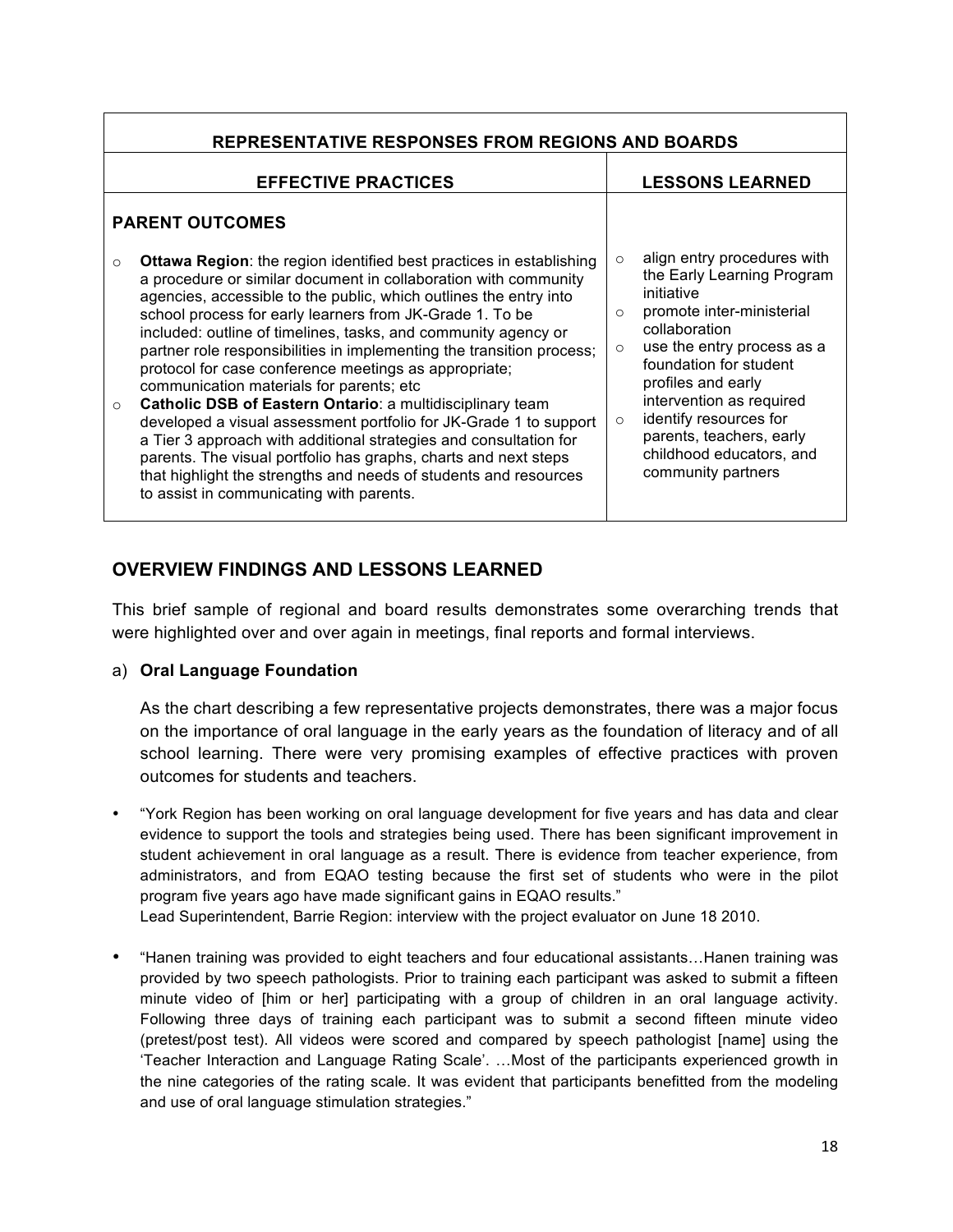| <b>REPRESENTATIVE RESPONSES FROM REGIONS AND BOARDS</b>                                                                                                                                                                                                                                                                                                                                                                                                                                                                                                                                                                                                                                                                                                                                                                                                                                                                                         |                                                                                                                                                                                                                                                                                                                                                                                     |  |  |  |
|-------------------------------------------------------------------------------------------------------------------------------------------------------------------------------------------------------------------------------------------------------------------------------------------------------------------------------------------------------------------------------------------------------------------------------------------------------------------------------------------------------------------------------------------------------------------------------------------------------------------------------------------------------------------------------------------------------------------------------------------------------------------------------------------------------------------------------------------------------------------------------------------------------------------------------------------------|-------------------------------------------------------------------------------------------------------------------------------------------------------------------------------------------------------------------------------------------------------------------------------------------------------------------------------------------------------------------------------------|--|--|--|
| <b>EFFECTIVE PRACTICES</b>                                                                                                                                                                                                                                                                                                                                                                                                                                                                                                                                                                                                                                                                                                                                                                                                                                                                                                                      | <b>LESSONS LEARNED</b>                                                                                                                                                                                                                                                                                                                                                              |  |  |  |
| <b>PARENT OUTCOMES</b>                                                                                                                                                                                                                                                                                                                                                                                                                                                                                                                                                                                                                                                                                                                                                                                                                                                                                                                          |                                                                                                                                                                                                                                                                                                                                                                                     |  |  |  |
| <b>Ottawa Region:</b> the region identified best practices in establishing<br>$\Omega$<br>a procedure or similar document in collaboration with community<br>agencies, accessible to the public, which outlines the entry into<br>school process for early learners from JK-Grade 1. To be<br>included: outline of timelines, tasks, and community agency or<br>partner role responsibilities in implementing the transition process;<br>protocol for case conference meetings as appropriate;<br>communication materials for parents; etc<br>Catholic DSB of Eastern Ontario: a multidisciplinary team<br>$\circ$<br>developed a visual assessment portfolio for JK-Grade 1 to support<br>a Tier 3 approach with additional strategies and consultation for<br>parents. The visual portfolio has graphs, charts and next steps<br>that highlight the strengths and needs of students and resources<br>to assist in communicating with parents. | align entry procedures with<br>$\circ$<br>the Early Learning Program<br>initiative<br>promote inter-ministerial<br>$\circ$<br>collaboration<br>use the entry process as a<br>$\circ$<br>foundation for student<br>profiles and early<br>intervention as required<br>identify resources for<br>$\circ$<br>parents, teachers, early<br>childhood educators, and<br>community partners |  |  |  |

#### **OVERVIEW FINDINGS AND LESSONS LEARNED**

This brief sample of regional and board results demonstrates some overarching trends that were highlighted over and over again in meetings, final reports and formal interviews.

#### a) **Oral Language Foundation**

As the chart describing a few representative projects demonstrates, there was a major focus on the importance of oral language in the early years as the foundation of literacy and of all school learning. There were very promising examples of effective practices with proven outcomes for students and teachers.

• "York Region has been working on oral language development for five years and has data and clear evidence to support the tools and strategies being used. There has been significant improvement in student achievement in oral language as a result. There is evidence from teacher experience, from administrators, and from EQAO testing because the first set of students who were in the pilot program five years ago have made significant gains in EQAO results."

Lead Superintendent, Barrie Region: interview with the project evaluator on June 18 2010.

• "Hanen training was provided to eight teachers and four educational assistants…Hanen training was provided by two speech pathologists. Prior to training each participant was asked to submit a fifteen minute video of [him or her] participating with a group of children in an oral language activity. Following three days of training each participant was to submit a second fifteen minute video (pretest/post test). All videos were scored and compared by speech pathologist [name] using the 'Teacher Interaction and Language Rating Scale'. …Most of the participants experienced growth in the nine categories of the rating scale. It was evident that participants benefitted from the modeling and use of oral language stimulation strategies."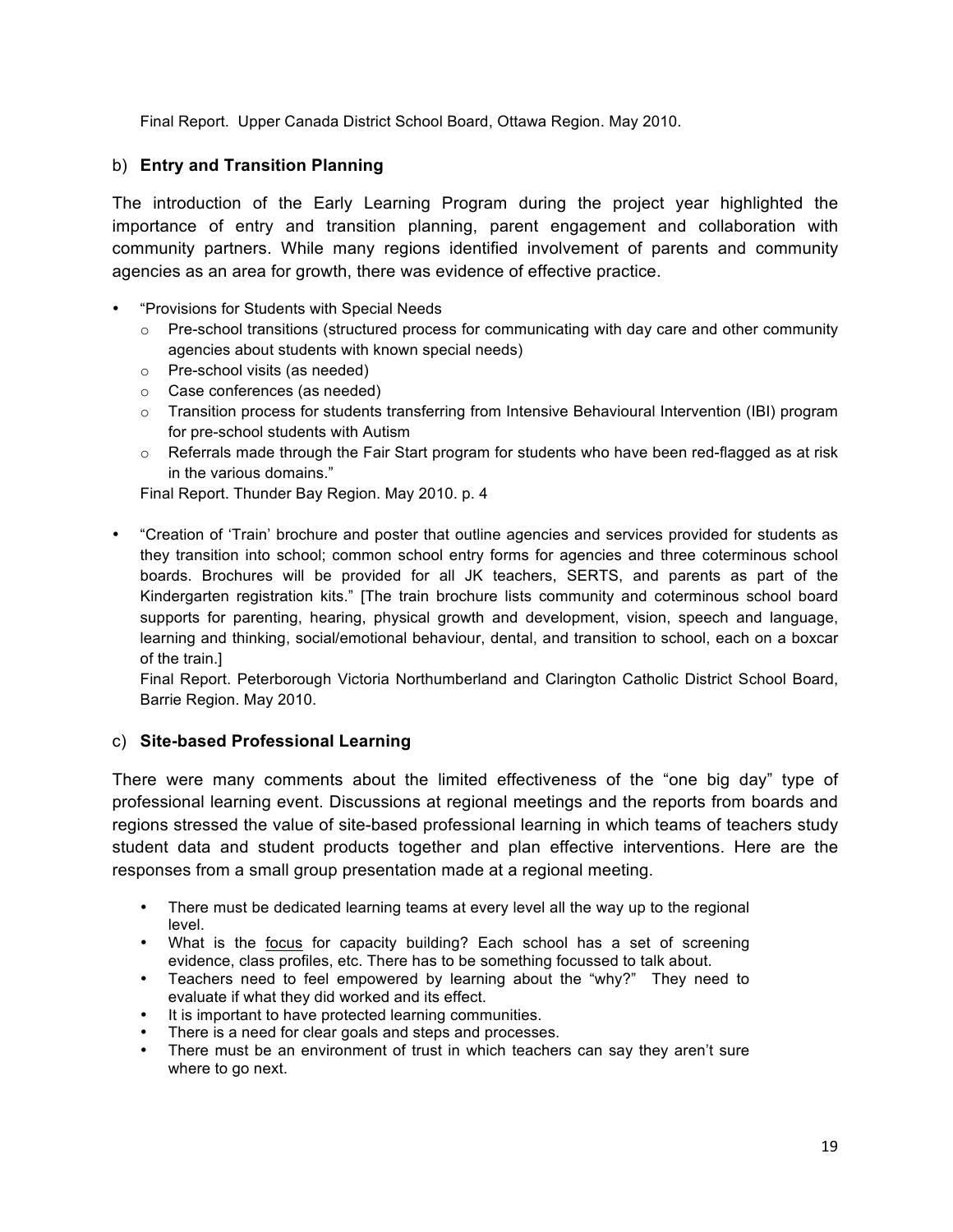Final Report. Upper Canada District School Board, Ottawa Region. May 2010.

#### b) **Entry and Transition Planning**

The introduction of the Early Learning Program during the project year highlighted the importance of entry and transition planning, parent engagement and collaboration with community partners. While many regions identified involvement of parents and community agencies as an area for growth, there was evidence of effective practice.

- "Provisions for Students with Special Needs
	- $\circ$  Pre-school transitions (structured process for communicating with day care and other community agencies about students with known special needs)
	- o Pre-school visits (as needed)
	- o Case conferences (as needed)
	- o Transition process for students transferring from Intensive Behavioural Intervention (IBI) program for pre-school students with Autism
	- o Referrals made through the Fair Start program for students who have been red-flagged as at risk in the various domains."

Final Report. Thunder Bay Region. May 2010. p. 4

• "Creation of 'Train' brochure and poster that outline agencies and services provided for students as they transition into school; common school entry forms for agencies and three coterminous school boards. Brochures will be provided for all JK teachers, SERTS, and parents as part of the Kindergarten registration kits." [The train brochure lists community and coterminous school board supports for parenting, hearing, physical growth and development, vision, speech and language, learning and thinking, social/emotional behaviour, dental, and transition to school, each on a boxcar of the train.]

Final Report. Peterborough Victoria Northumberland and Clarington Catholic District School Board, Barrie Region. May 2010.

#### c) **Site-based Professional Learning**

There were many comments about the limited effectiveness of the "one big day" type of professional learning event. Discussions at regional meetings and the reports from boards and regions stressed the value of site-based professional learning in which teams of teachers study student data and student products together and plan effective interventions. Here are the responses from a small group presentation made at a regional meeting.

- There must be dedicated learning teams at every level all the way up to the regional level.
- What is the focus for capacity building? Each school has a set of screening evidence, class profiles, etc. There has to be something focussed to talk about.
- Teachers need to feel empowered by learning about the "why?" They need to evaluate if what they did worked and its effect.
- It is important to have protected learning communities.
- There is a need for clear goals and steps and processes.
- There must be an environment of trust in which teachers can say they aren't sure where to go next.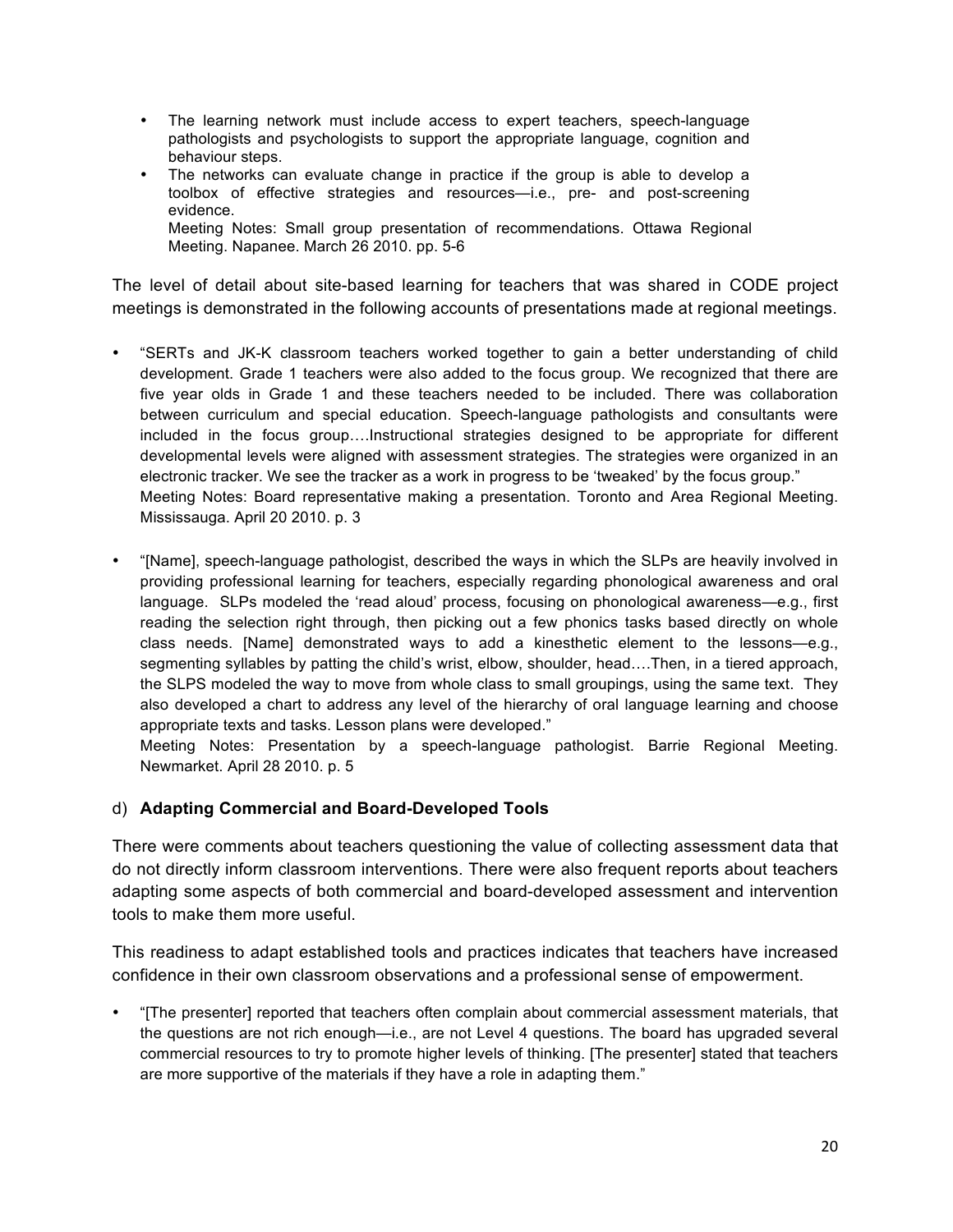- The learning network must include access to expert teachers, speech-language pathologists and psychologists to support the appropriate language, cognition and behaviour steps.
- The networks can evaluate change in practice if the group is able to develop a toolbox of effective strategies and resources—i.e., pre- and post-screening evidence. Meeting Notes: Small group presentation of recommendations. Ottawa Regional Meeting. Napanee. March 26 2010. pp. 5-6

The level of detail about site-based learning for teachers that was shared in CODE project meetings is demonstrated in the following accounts of presentations made at regional meetings.

- "SERTs and JK-K classroom teachers worked together to gain a better understanding of child development. Grade 1 teachers were also added to the focus group. We recognized that there are five year olds in Grade 1 and these teachers needed to be included. There was collaboration between curriculum and special education. Speech-language pathologists and consultants were included in the focus group….Instructional strategies designed to be appropriate for different developmental levels were aligned with assessment strategies. The strategies were organized in an electronic tracker. We see the tracker as a work in progress to be 'tweaked' by the focus group." Meeting Notes: Board representative making a presentation. Toronto and Area Regional Meeting. Mississauga. April 20 2010. p. 3
- "[Name], speech-language pathologist, described the ways in which the SLPs are heavily involved in providing professional learning for teachers, especially regarding phonological awareness and oral language. SLPs modeled the 'read aloud' process, focusing on phonological awareness—e.g., first reading the selection right through, then picking out a few phonics tasks based directly on whole class needs. [Name] demonstrated ways to add a kinesthetic element to the lessons—e.g., segmenting syllables by patting the child's wrist, elbow, shoulder, head….Then, in a tiered approach, the SLPS modeled the way to move from whole class to small groupings, using the same text. They also developed a chart to address any level of the hierarchy of oral language learning and choose appropriate texts and tasks. Lesson plans were developed."

Meeting Notes: Presentation by a speech-language pathologist. Barrie Regional Meeting. Newmarket. April 28 2010. p. 5

#### d) **Adapting Commercial and Board-Developed Tools**

There were comments about teachers questioning the value of collecting assessment data that do not directly inform classroom interventions. There were also frequent reports about teachers adapting some aspects of both commercial and board-developed assessment and intervention tools to make them more useful.

This readiness to adapt established tools and practices indicates that teachers have increased confidence in their own classroom observations and a professional sense of empowerment.

• "[The presenter] reported that teachers often complain about commercial assessment materials, that the questions are not rich enough—i.e., are not Level 4 questions. The board has upgraded several commercial resources to try to promote higher levels of thinking. [The presenter] stated that teachers are more supportive of the materials if they have a role in adapting them."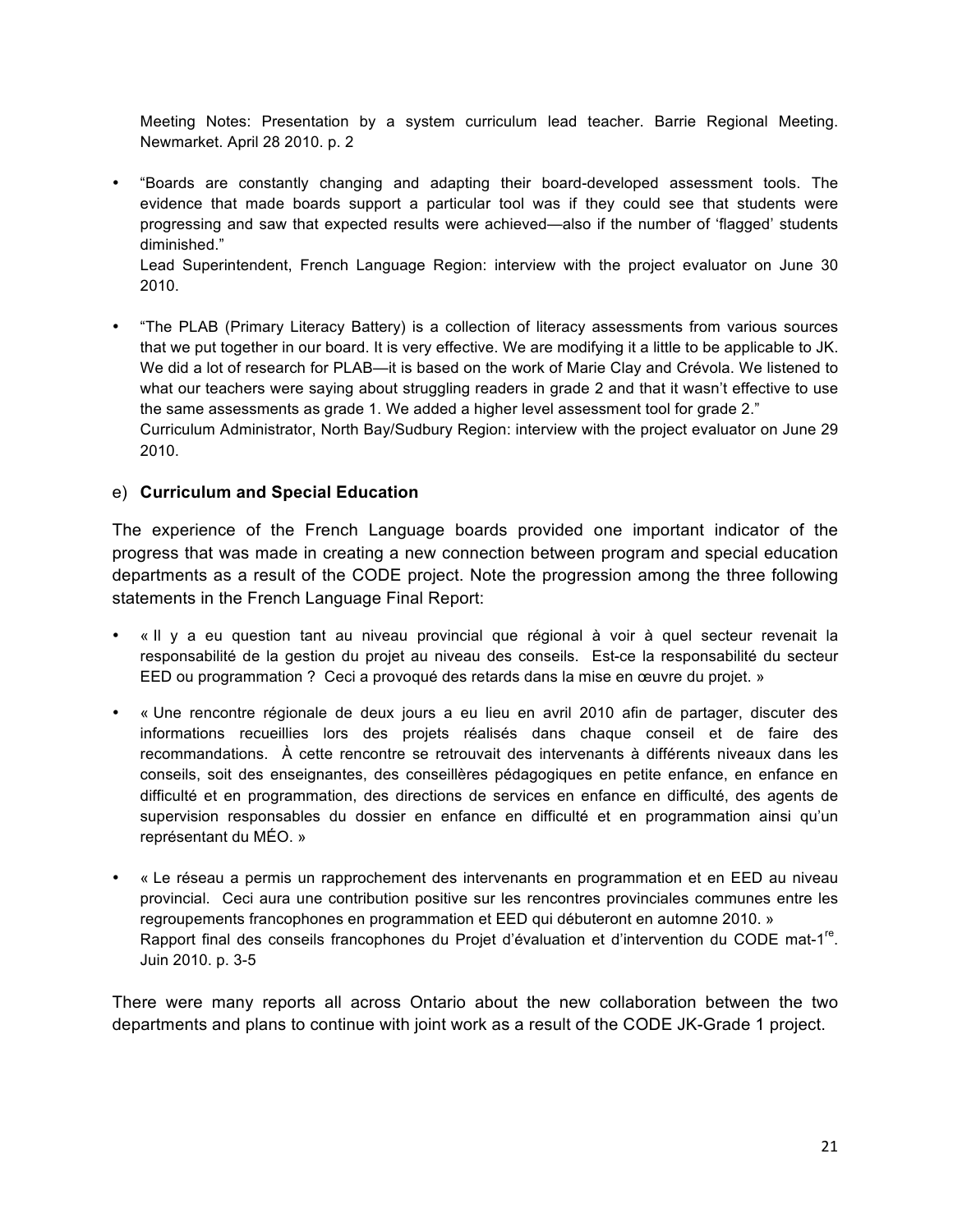Meeting Notes: Presentation by a system curriculum lead teacher. Barrie Regional Meeting. Newmarket. April 28 2010. p. 2

• "Boards are constantly changing and adapting their board-developed assessment tools. The evidence that made boards support a particular tool was if they could see that students were progressing and saw that expected results were achieved—also if the number of 'flagged' students diminished."

Lead Superintendent, French Language Region: interview with the project evaluator on June 30 2010.

• "The PLAB (Primary Literacy Battery) is a collection of literacy assessments from various sources that we put together in our board. It is very effective. We are modifying it a little to be applicable to JK. We did a lot of research for PLAB—it is based on the work of Marie Clay and Crévola. We listened to what our teachers were saying about struggling readers in grade 2 and that it wasn't effective to use the same assessments as grade 1. We added a higher level assessment tool for grade 2." Curriculum Administrator, North Bay/Sudbury Region: interview with the project evaluator on June 29 2010.

#### e) **Curriculum and Special Education**

The experience of the French Language boards provided one important indicator of the progress that was made in creating a new connection between program and special education departments as a result of the CODE project. Note the progression among the three following statements in the French Language Final Report:

- « Il y a eu question tant au niveau provincial que régional à voir à quel secteur revenait la responsabilité de la gestion du projet au niveau des conseils. Est-ce la responsabilité du secteur EED ou programmation ? Ceci a provoqué des retards dans la mise en œuvre du projet. »
- « Une rencontre régionale de deux jours a eu lieu en avril 2010 afin de partager, discuter des informations recueillies lors des projets réalisés dans chaque conseil et de faire des recommandations. À cette rencontre se retrouvait des intervenants à différents niveaux dans les conseils, soit des enseignantes, des conseillères pédagogiques en petite enfance, en enfance en difficulté et en programmation, des directions de services en enfance en difficulté, des agents de supervision responsables du dossier en enfance en difficulté et en programmation ainsi qu'un représentant du MÉO. »
- « Le réseau a permis un rapprochement des intervenants en programmation et en EED au niveau provincial. Ceci aura une contribution positive sur les rencontres provinciales communes entre les regroupements francophones en programmation et EED qui débuteront en automne 2010. » Rapport final des conseils francophones du Projet d'évaluation et d'intervention du CODE mat-1<sup>re</sup>. Juin 2010. p. 3-5

There were many reports all across Ontario about the new collaboration between the two departments and plans to continue with joint work as a result of the CODE JK-Grade 1 project.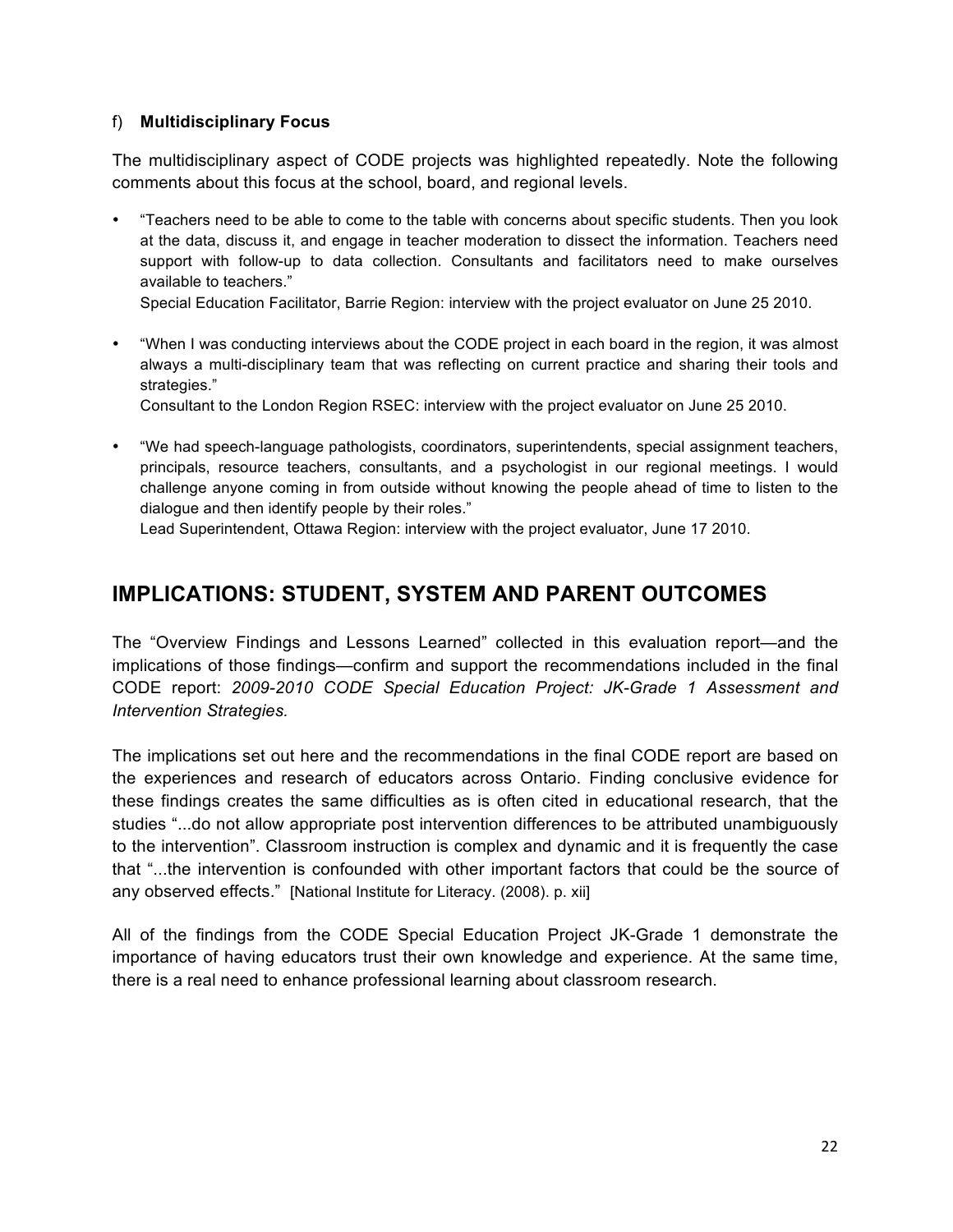#### f) **Multidisciplinary Focus**

The multidisciplinary aspect of CODE projects was highlighted repeatedly. Note the following comments about this focus at the school, board, and regional levels.

• "Teachers need to be able to come to the table with concerns about specific students. Then you look at the data, discuss it, and engage in teacher moderation to dissect the information. Teachers need support with follow-up to data collection. Consultants and facilitators need to make ourselves available to teachers."

Special Education Facilitator, Barrie Region: interview with the project evaluator on June 25 2010.

• "When I was conducting interviews about the CODE project in each board in the region, it was almost always a multi-disciplinary team that was reflecting on current practice and sharing their tools and strategies."

Consultant to the London Region RSEC: interview with the project evaluator on June 25 2010.

• "We had speech-language pathologists, coordinators, superintendents, special assignment teachers, principals, resource teachers, consultants, and a psychologist in our regional meetings. I would challenge anyone coming in from outside without knowing the people ahead of time to listen to the dialogue and then identify people by their roles."

Lead Superintendent, Ottawa Region: interview with the project evaluator, June 17 2010.

## **IMPLICATIONS: STUDENT, SYSTEM AND PARENT OUTCOMES**

The "Overview Findings and Lessons Learned" collected in this evaluation report—and the implications of those findings—confirm and support the recommendations included in the final CODE report: *2009-2010 CODE Special Education Project: JK-Grade 1 Assessment and Intervention Strategies.*

The implications set out here and the recommendations in the final CODE report are based on the experiences and research of educators across Ontario. Finding conclusive evidence for these findings creates the same difficulties as is often cited in educational research, that the studies "...do not allow appropriate post intervention differences to be attributed unambiguously to the intervention". Classroom instruction is complex and dynamic and it is frequently the case that "...the intervention is confounded with other important factors that could be the source of any observed effects." [National Institute for Literacy. (2008). p. xii]

All of the findings from the CODE Special Education Project JK-Grade 1 demonstrate the importance of having educators trust their own knowledge and experience. At the same time, there is a real need to enhance professional learning about classroom research.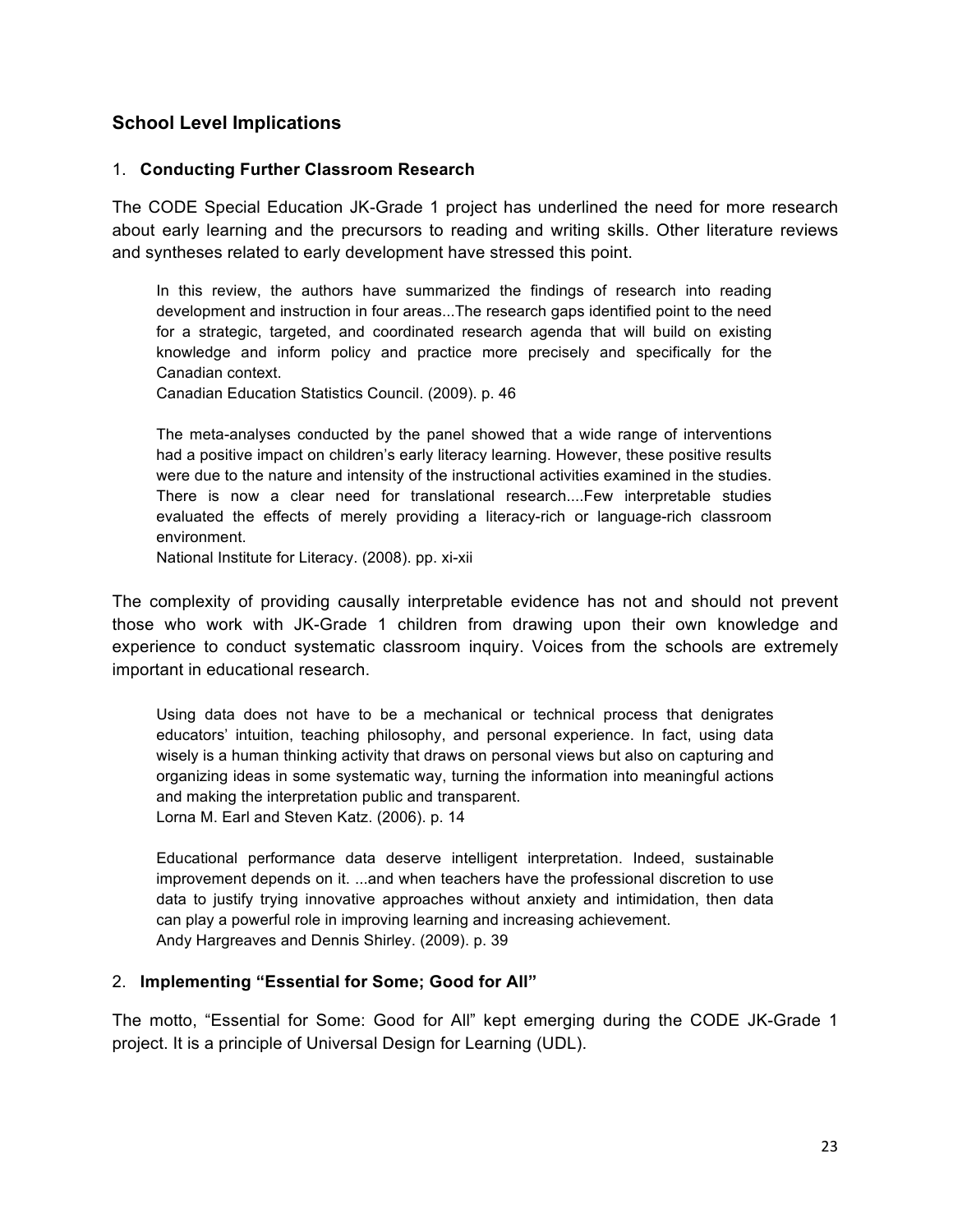#### **School Level Implications**

#### 1. **Conducting Further Classroom Research**

The CODE Special Education JK-Grade 1 project has underlined the need for more research about early learning and the precursors to reading and writing skills. Other literature reviews and syntheses related to early development have stressed this point.

In this review, the authors have summarized the findings of research into reading development and instruction in four areas...The research gaps identified point to the need for a strategic, targeted, and coordinated research agenda that will build on existing knowledge and inform policy and practice more precisely and specifically for the Canadian context.

Canadian Education Statistics Council. (2009). p. 46

The meta-analyses conducted by the panel showed that a wide range of interventions had a positive impact on children's early literacy learning. However, these positive results were due to the nature and intensity of the instructional activities examined in the studies. There is now a clear need for translational research....Few interpretable studies evaluated the effects of merely providing a literacy-rich or language-rich classroom environment.

National Institute for Literacy. (2008). pp. xi-xii

The complexity of providing causally interpretable evidence has not and should not prevent those who work with JK-Grade 1 children from drawing upon their own knowledge and experience to conduct systematic classroom inquiry. Voices from the schools are extremely important in educational research.

Using data does not have to be a mechanical or technical process that denigrates educators' intuition, teaching philosophy, and personal experience. In fact, using data wisely is a human thinking activity that draws on personal views but also on capturing and organizing ideas in some systematic way, turning the information into meaningful actions and making the interpretation public and transparent. Lorna M. Earl and Steven Katz. (2006). p. 14

Educational performance data deserve intelligent interpretation. Indeed, sustainable improvement depends on it. ...and when teachers have the professional discretion to use data to justify trying innovative approaches without anxiety and intimidation, then data can play a powerful role in improving learning and increasing achievement. Andy Hargreaves and Dennis Shirley. (2009). p. 39

#### 2. **Implementing "Essential for Some; Good for All"**

The motto, "Essential for Some: Good for All" kept emerging during the CODE JK-Grade 1 project. It is a principle of Universal Design for Learning (UDL).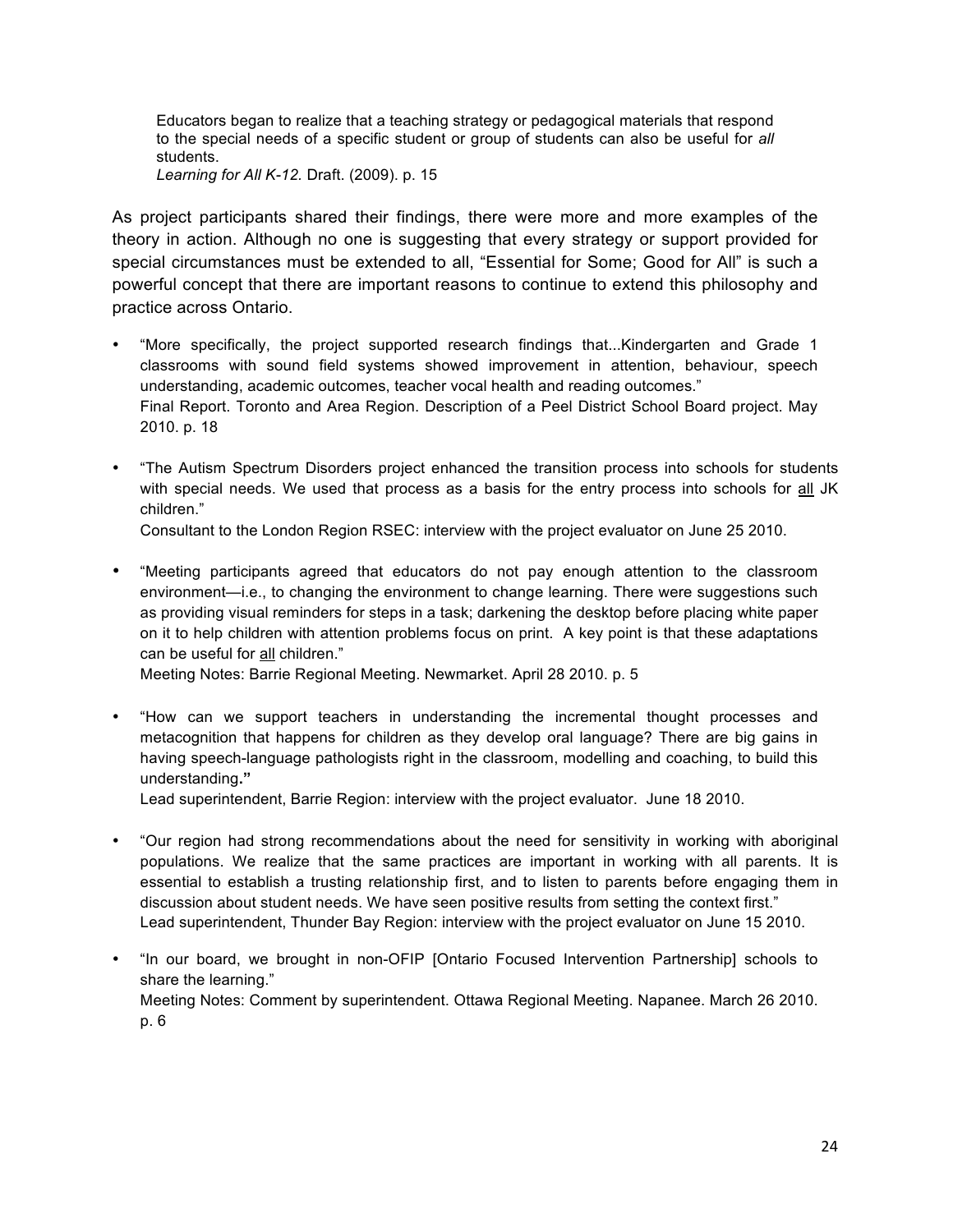Educators began to realize that a teaching strategy or pedagogical materials that respond to the special needs of a specific student or group of students can also be useful for *all*  students. *Learning for All K-12.* Draft. (2009). p. 15

As project participants shared their findings, there were more and more examples of the theory in action. Although no one is suggesting that every strategy or support provided for special circumstances must be extended to all, "Essential for Some; Good for All" is such a powerful concept that there are important reasons to continue to extend this philosophy and practice across Ontario.

- "More specifically, the project supported research findings that...Kindergarten and Grade 1 classrooms with sound field systems showed improvement in attention, behaviour, speech understanding, academic outcomes, teacher vocal health and reading outcomes." Final Report. Toronto and Area Region. Description of a Peel District School Board project. May 2010. p. 18
- "The Autism Spectrum Disorders project enhanced the transition process into schools for students with special needs. We used that process as a basis for the entry process into schools for all JK children."

Consultant to the London Region RSEC: interview with the project evaluator on June 25 2010.

- "Meeting participants agreed that educators do not pay enough attention to the classroom environment—i.e., to changing the environment to change learning. There were suggestions such as providing visual reminders for steps in a task; darkening the desktop before placing white paper on it to help children with attention problems focus on print. A key point is that these adaptations can be useful for all children." Meeting Notes: Barrie Regional Meeting. Newmarket. April 28 2010. p. 5
- "How can we support teachers in understanding the incremental thought processes and metacognition that happens for children as they develop oral language? There are big gains in having speech-language pathologists right in the classroom, modelling and coaching, to build this

Lead superintendent, Barrie Region: interview with the project evaluator. June 18 2010.

understanding**."**

- "Our region had strong recommendations about the need for sensitivity in working with aboriginal populations. We realize that the same practices are important in working with all parents. It is essential to establish a trusting relationship first, and to listen to parents before engaging them in discussion about student needs. We have seen positive results from setting the context first." Lead superintendent, Thunder Bay Region: interview with the project evaluator on June 15 2010.
- "In our board, we brought in non-OFIP [Ontario Focused Intervention Partnership] schools to share the learning." Meeting Notes: Comment by superintendent. Ottawa Regional Meeting. Napanee. March 26 2010. p. 6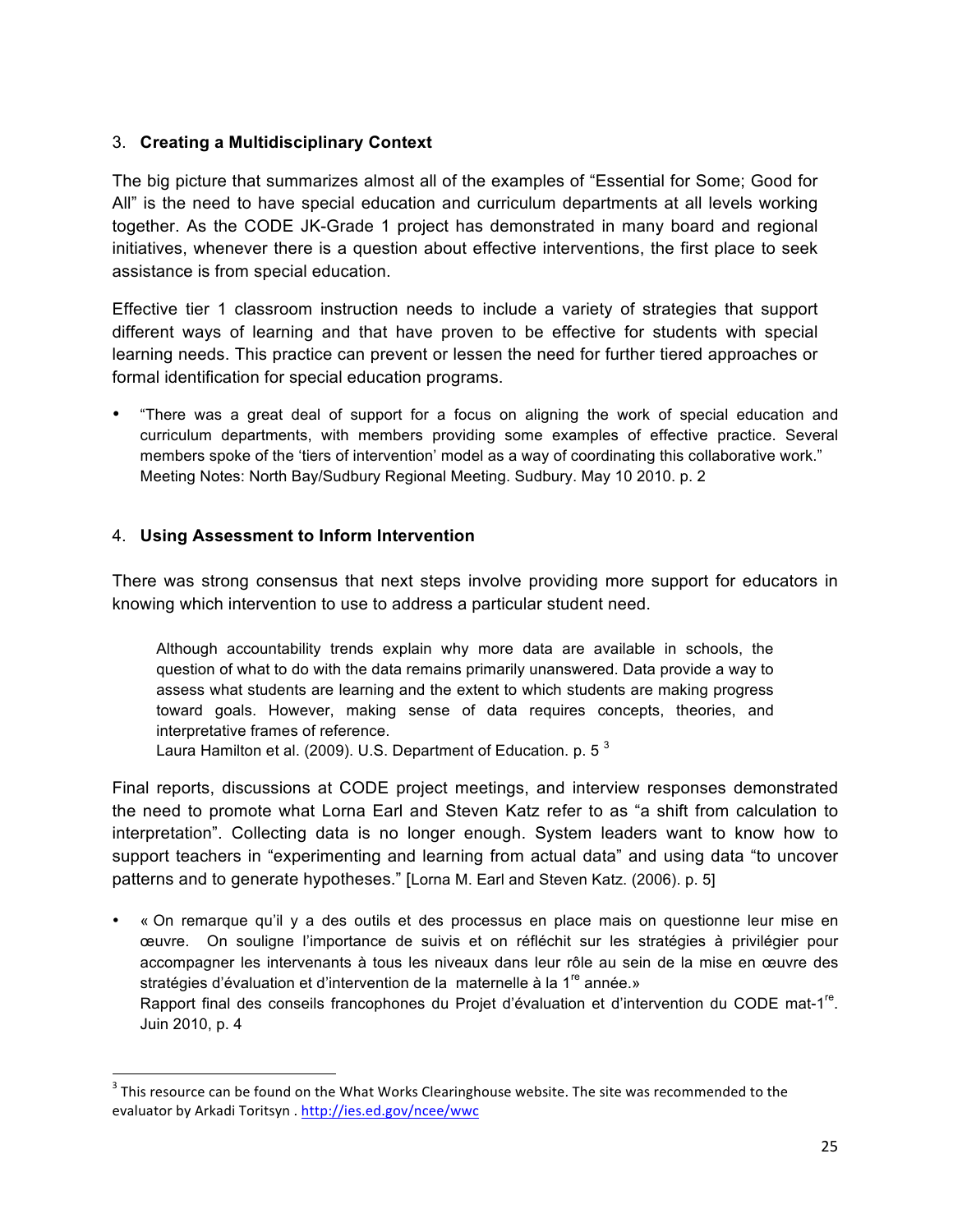#### 3. **Creating a Multidisciplinary Context**

The big picture that summarizes almost all of the examples of "Essential for Some; Good for All" is the need to have special education and curriculum departments at all levels working together. As the CODE JK-Grade 1 project has demonstrated in many board and regional initiatives, whenever there is a question about effective interventions, the first place to seek assistance is from special education.

Effective tier 1 classroom instruction needs to include a variety of strategies that support different ways of learning and that have proven to be effective for students with special learning needs. This practice can prevent or lessen the need for further tiered approaches or formal identification for special education programs.

• "There was a great deal of support for a focus on aligning the work of special education and curriculum departments, with members providing some examples of effective practice. Several members spoke of the 'tiers of intervention' model as a way of coordinating this collaborative work." Meeting Notes: North Bay/Sudbury Regional Meeting. Sudbury. May 10 2010. p. 2

#### 4. **Using Assessment to Inform Intervention**

""""""""""""""""""""""""""""""""""""""""""""""""""""""""""""

There was strong consensus that next steps involve providing more support for educators in knowing which intervention to use to address a particular student need.

Although accountability trends explain why more data are available in schools, the question of what to do with the data remains primarily unanswered. Data provide a way to assess what students are learning and the extent to which students are making progress toward goals. However, making sense of data requires concepts, theories, and interpretative frames of reference.

Laura Hamilton et al. (2009). U.S. Department of Education. p. 5 $^3$ 

Final reports, discussions at CODE project meetings, and interview responses demonstrated the need to promote what Lorna Earl and Steven Katz refer to as "a shift from calculation to interpretation". Collecting data is no longer enough. System leaders want to know how to support teachers in "experimenting and learning from actual data" and using data "to uncover patterns and to generate hypotheses." [Lorna M. Earl and Steven Katz. (2006). p. 5]

• « On remarque qu'il y a des outils et des processus en place mais on questionne leur mise en œuvre. On souligne l'importance de suivis et on réfléchit sur les stratégies à privilégier pour accompagner les intervenants à tous les niveaux dans leur rôle au sein de la mise en œuvre des stratégies d'évaluation et d'intervention de la maternelle à la 1<sup>re</sup> année.» Rapport final des conseils francophones du Projet d'évaluation et d'intervention du CODE mat-1<sup>re</sup>. Juin 2010, p. 4

 $^3$  This resource can be found on the What Works Clearinghouse website. The site was recommended to the evaluator by Arkadi Toritsyn . http://ies.ed.gov/ncee/wwc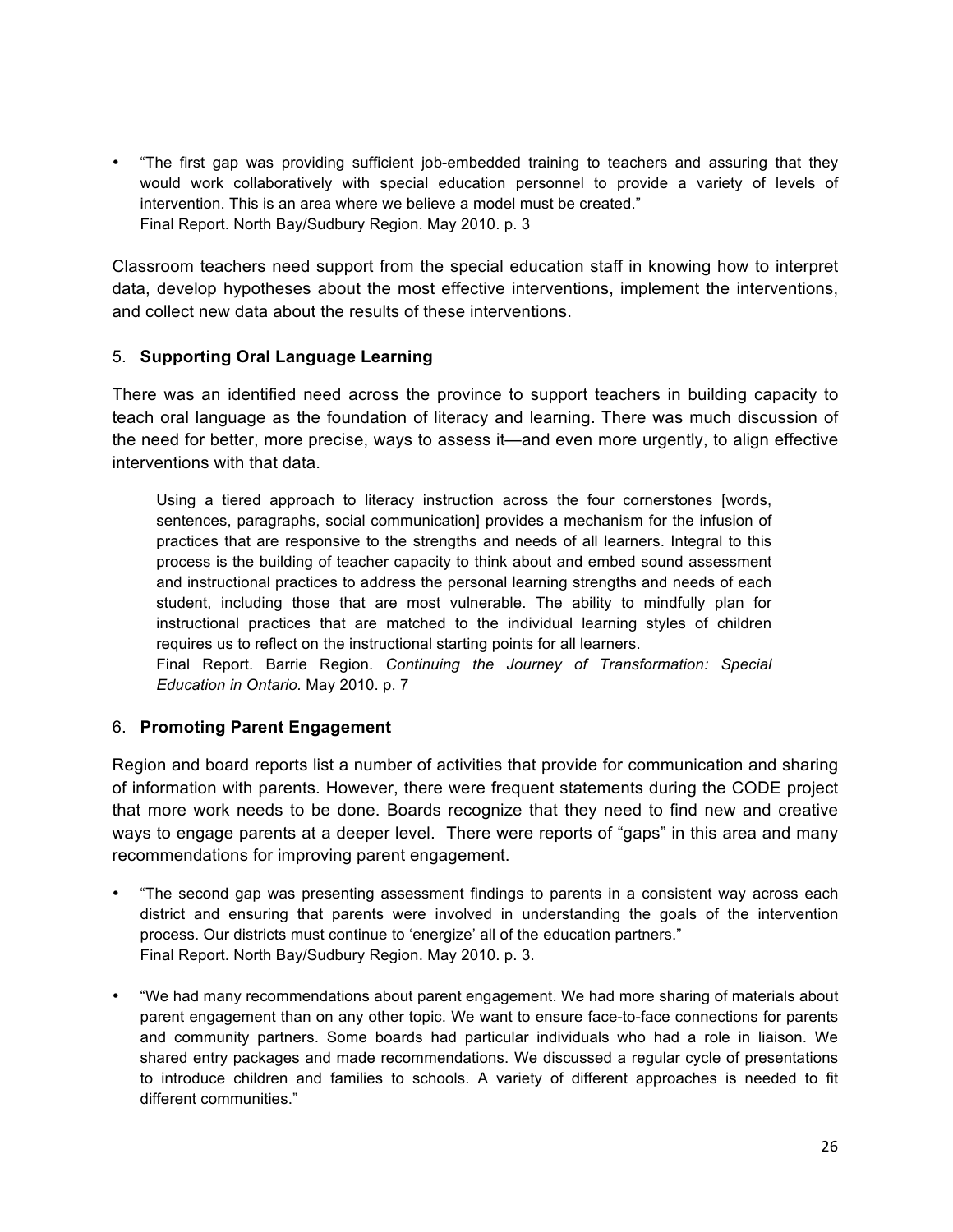• "The first gap was providing sufficient job-embedded training to teachers and assuring that they would work collaboratively with special education personnel to provide a variety of levels of intervention. This is an area where we believe a model must be created." Final Report. North Bay/Sudbury Region. May 2010. p. 3

Classroom teachers need support from the special education staff in knowing how to interpret data, develop hypotheses about the most effective interventions, implement the interventions, and collect new data about the results of these interventions.

#### 5. **Supporting Oral Language Learning**

There was an identified need across the province to support teachers in building capacity to teach oral language as the foundation of literacy and learning. There was much discussion of the need for better, more precise, ways to assess it—and even more urgently, to align effective interventions with that data.

Using a tiered approach to literacy instruction across the four cornerstones [words, sentences, paragraphs, social communication] provides a mechanism for the infusion of practices that are responsive to the strengths and needs of all learners. Integral to this process is the building of teacher capacity to think about and embed sound assessment and instructional practices to address the personal learning strengths and needs of each student, including those that are most vulnerable. The ability to mindfully plan for instructional practices that are matched to the individual learning styles of children requires us to reflect on the instructional starting points for all learners. Final Report. Barrie Region. *Continuing the Journey of Transformation: Special* 

*Education in Ontario.* May 2010. p. 7

#### 6. **Promoting Parent Engagement**

Region and board reports list a number of activities that provide for communication and sharing of information with parents. However, there were frequent statements during the CODE project that more work needs to be done. Boards recognize that they need to find new and creative ways to engage parents at a deeper level. There were reports of "gaps" in this area and many recommendations for improving parent engagement.

- "The second gap was presenting assessment findings to parents in a consistent way across each district and ensuring that parents were involved in understanding the goals of the intervention process. Our districts must continue to 'energize' all of the education partners." Final Report. North Bay/Sudbury Region. May 2010. p. 3.
- "We had many recommendations about parent engagement. We had more sharing of materials about parent engagement than on any other topic. We want to ensure face-to-face connections for parents and community partners. Some boards had particular individuals who had a role in liaison. We shared entry packages and made recommendations. We discussed a regular cycle of presentations to introduce children and families to schools. A variety of different approaches is needed to fit different communities."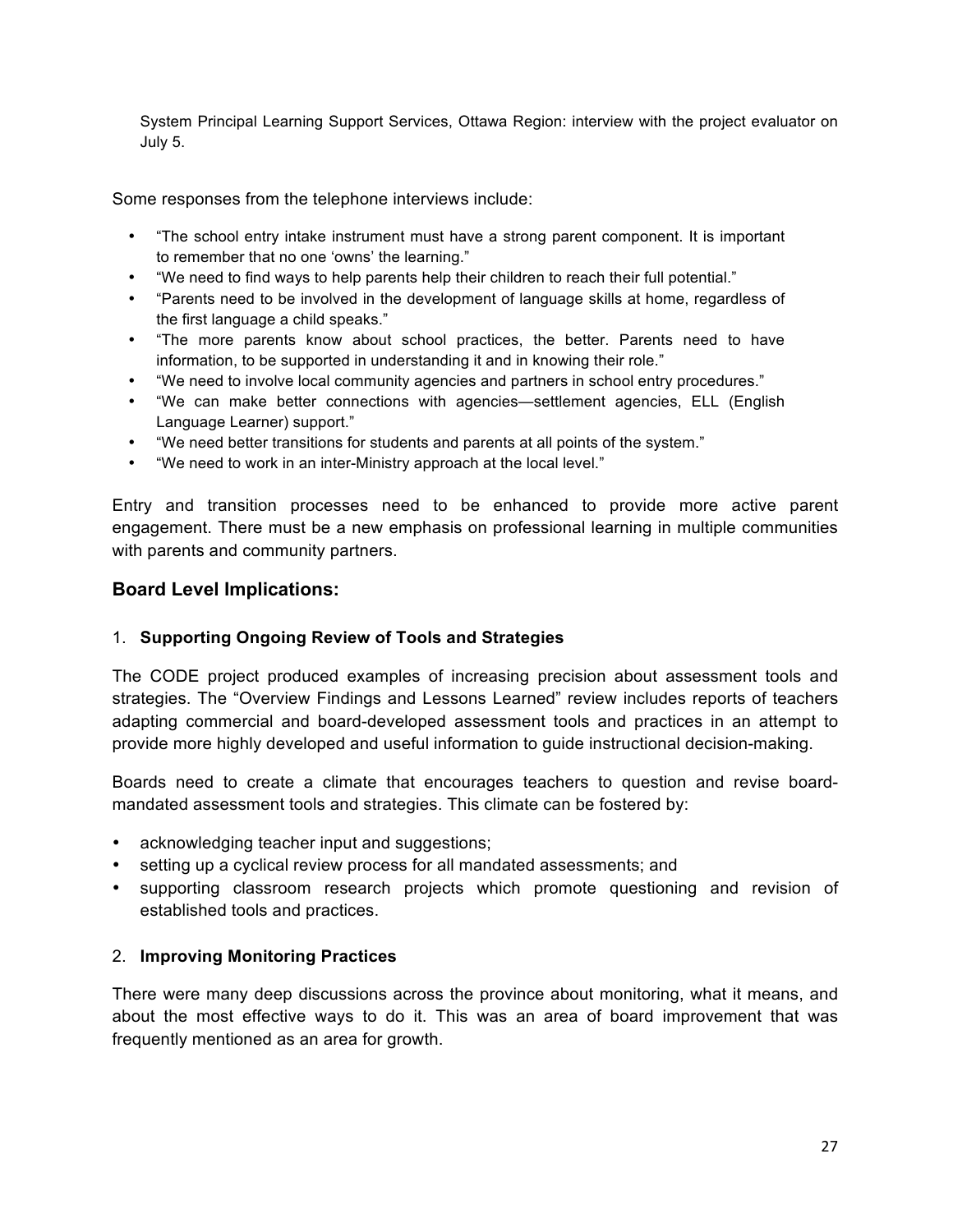System Principal Learning Support Services, Ottawa Region: interview with the project evaluator on July 5.

Some responses from the telephone interviews include:

- "The school entry intake instrument must have a strong parent component. It is important to remember that no one 'owns' the learning."
- "We need to find ways to help parents help their children to reach their full potential."
- "Parents need to be involved in the development of language skills at home, regardless of the first language a child speaks."
- "The more parents know about school practices, the better. Parents need to have information, to be supported in understanding it and in knowing their role."
- "We need to involve local community agencies and partners in school entry procedures."
- "We can make better connections with agencies—settlement agencies, ELL (English Language Learner) support."
- "We need better transitions for students and parents at all points of the system."
- "We need to work in an inter-Ministry approach at the local level."

Entry and transition processes need to be enhanced to provide more active parent engagement. There must be a new emphasis on professional learning in multiple communities with parents and community partners.

#### **Board Level Implications:**

#### 1. **Supporting Ongoing Review of Tools and Strategies**

The CODE project produced examples of increasing precision about assessment tools and strategies. The "Overview Findings and Lessons Learned" review includes reports of teachers adapting commercial and board-developed assessment tools and practices in an attempt to provide more highly developed and useful information to guide instructional decision-making.

Boards need to create a climate that encourages teachers to question and revise boardmandated assessment tools and strategies. This climate can be fostered by:

- acknowledging teacher input and suggestions;
- setting up a cyclical review process for all mandated assessments; and
- supporting classroom research projects which promote questioning and revision of established tools and practices.

#### 2. **Improving Monitoring Practices**

There were many deep discussions across the province about monitoring, what it means, and about the most effective ways to do it. This was an area of board improvement that was frequently mentioned as an area for growth.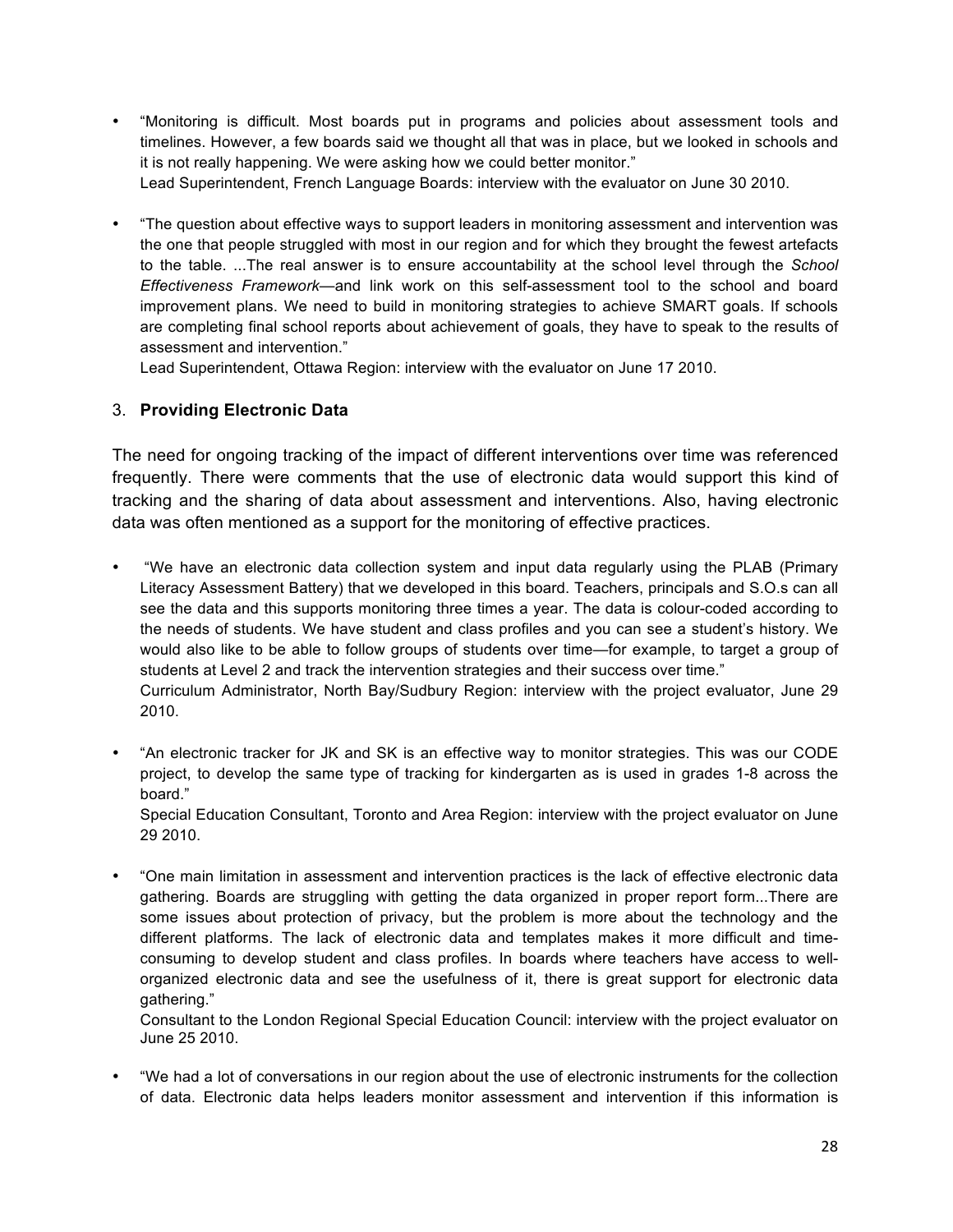• "Monitoring is difficult. Most boards put in programs and policies about assessment tools and timelines. However, a few boards said we thought all that was in place, but we looked in schools and it is not really happening. We were asking how we could better monitor."

Lead Superintendent, French Language Boards: interview with the evaluator on June 30 2010.

• "The question about effective ways to support leaders in monitoring assessment and intervention was the one that people struggled with most in our region and for which they brought the fewest artefacts to the table. ...The real answer is to ensure accountability at the school level through the *School Effectiveness Framework—*and link work on this self-assessment tool to the school and board improvement plans. We need to build in monitoring strategies to achieve SMART goals. If schools are completing final school reports about achievement of goals, they have to speak to the results of assessment and intervention."

Lead Superintendent, Ottawa Region: interview with the evaluator on June 17 2010.

#### 3. **Providing Electronic Data**

The need for ongoing tracking of the impact of different interventions over time was referenced frequently. There were comments that the use of electronic data would support this kind of tracking and the sharing of data about assessment and interventions. Also, having electronic data was often mentioned as a support for the monitoring of effective practices.

• "We have an electronic data collection system and input data regularly using the PLAB (Primary Literacy Assessment Battery) that we developed in this board. Teachers, principals and S.O.s can all see the data and this supports monitoring three times a year. The data is colour-coded according to the needs of students. We have student and class profiles and you can see a student's history. We would also like to be able to follow groups of students over time—for example, to target a group of students at Level 2 and track the intervention strategies and their success over time."

Curriculum Administrator, North Bay/Sudbury Region: interview with the project evaluator, June 29 2010.

• "An electronic tracker for JK and SK is an effective way to monitor strategies. This was our CODE project, to develop the same type of tracking for kindergarten as is used in grades 1-8 across the board."

Special Education Consultant, Toronto and Area Region: interview with the project evaluator on June 29 2010.

• "One main limitation in assessment and intervention practices is the lack of effective electronic data gathering. Boards are struggling with getting the data organized in proper report form...There are some issues about protection of privacy, but the problem is more about the technology and the different platforms. The lack of electronic data and templates makes it more difficult and timeconsuming to develop student and class profiles. In boards where teachers have access to wellorganized electronic data and see the usefulness of it, there is great support for electronic data gathering."

Consultant to the London Regional Special Education Council: interview with the project evaluator on June 25 2010.

• "We had a lot of conversations in our region about the use of electronic instruments for the collection of data. Electronic data helps leaders monitor assessment and intervention if this information is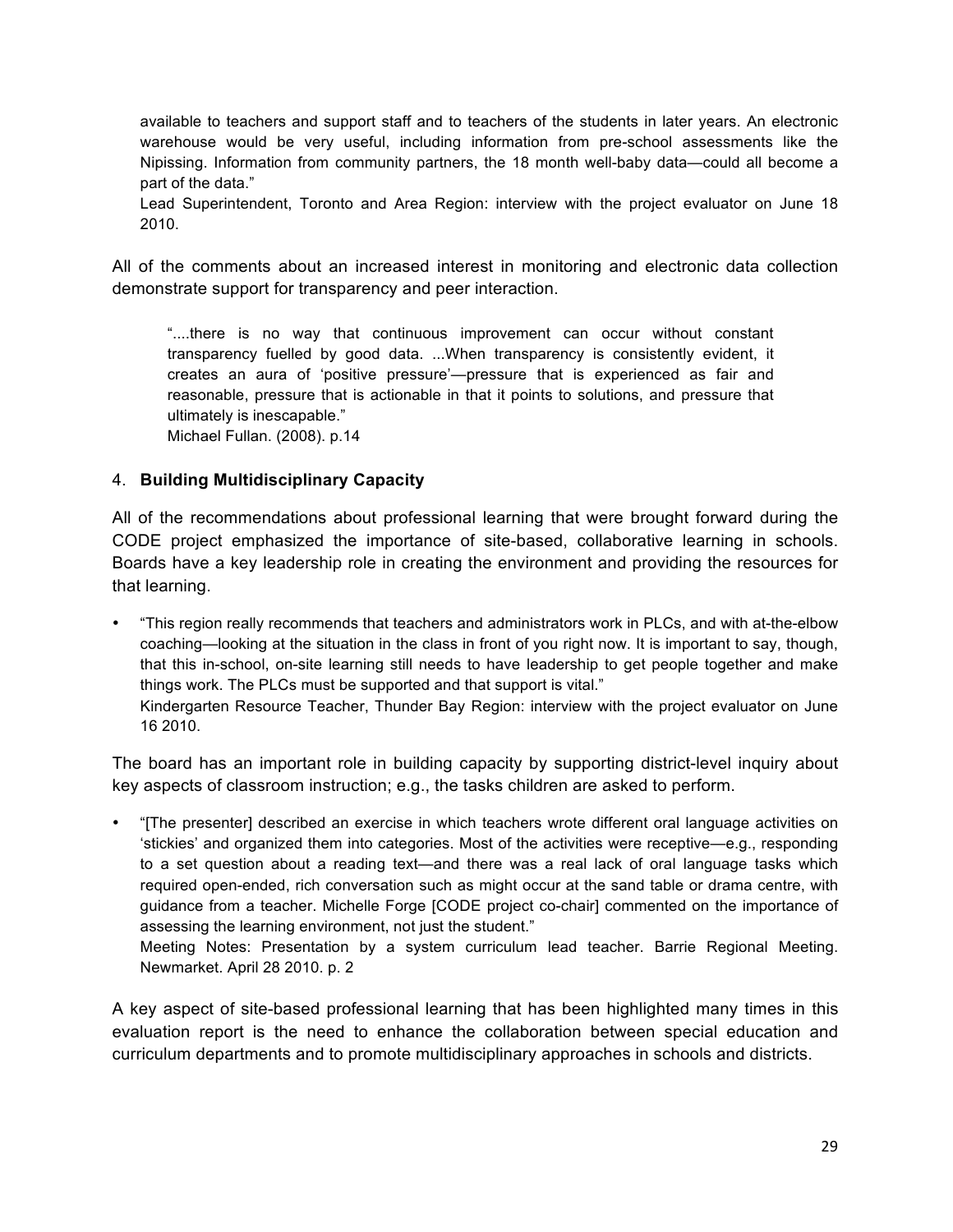available to teachers and support staff and to teachers of the students in later years. An electronic warehouse would be very useful, including information from pre-school assessments like the Nipissing. Information from community partners, the 18 month well-baby data—could all become a part of the data."

Lead Superintendent, Toronto and Area Region: interview with the project evaluator on June 18 2010.

All of the comments about an increased interest in monitoring and electronic data collection demonstrate support for transparency and peer interaction.

"....there is no way that continuous improvement can occur without constant transparency fuelled by good data. ...When transparency is consistently evident, it creates an aura of 'positive pressure'—pressure that is experienced as fair and reasonable, pressure that is actionable in that it points to solutions, and pressure that ultimately is inescapable." Michael Fullan. (2008). p.14

#### 4. **Building Multidisciplinary Capacity**

All of the recommendations about professional learning that were brought forward during the CODE project emphasized the importance of site-based, collaborative learning in schools. Boards have a key leadership role in creating the environment and providing the resources for that learning.

• "This region really recommends that teachers and administrators work in PLCs, and with at-the-elbow coaching—looking at the situation in the class in front of you right now. It is important to say, though, that this in-school, on-site learning still needs to have leadership to get people together and make things work. The PLCs must be supported and that support is vital." Kindergarten Resource Teacher, Thunder Bay Region: interview with the project evaluator on June 16 2010.

The board has an important role in building capacity by supporting district-level inquiry about key aspects of classroom instruction; e.g., the tasks children are asked to perform.

• "[The presenter] described an exercise in which teachers wrote different oral language activities on 'stickies' and organized them into categories. Most of the activities were receptive—e.g., responding to a set question about a reading text—and there was a real lack of oral language tasks which required open-ended, rich conversation such as might occur at the sand table or drama centre, with guidance from a teacher. Michelle Forge [CODE project co-chair] commented on the importance of assessing the learning environment, not just the student."

Meeting Notes: Presentation by a system curriculum lead teacher. Barrie Regional Meeting. Newmarket. April 28 2010. p. 2

A key aspect of site-based professional learning that has been highlighted many times in this evaluation report is the need to enhance the collaboration between special education and curriculum departments and to promote multidisciplinary approaches in schools and districts.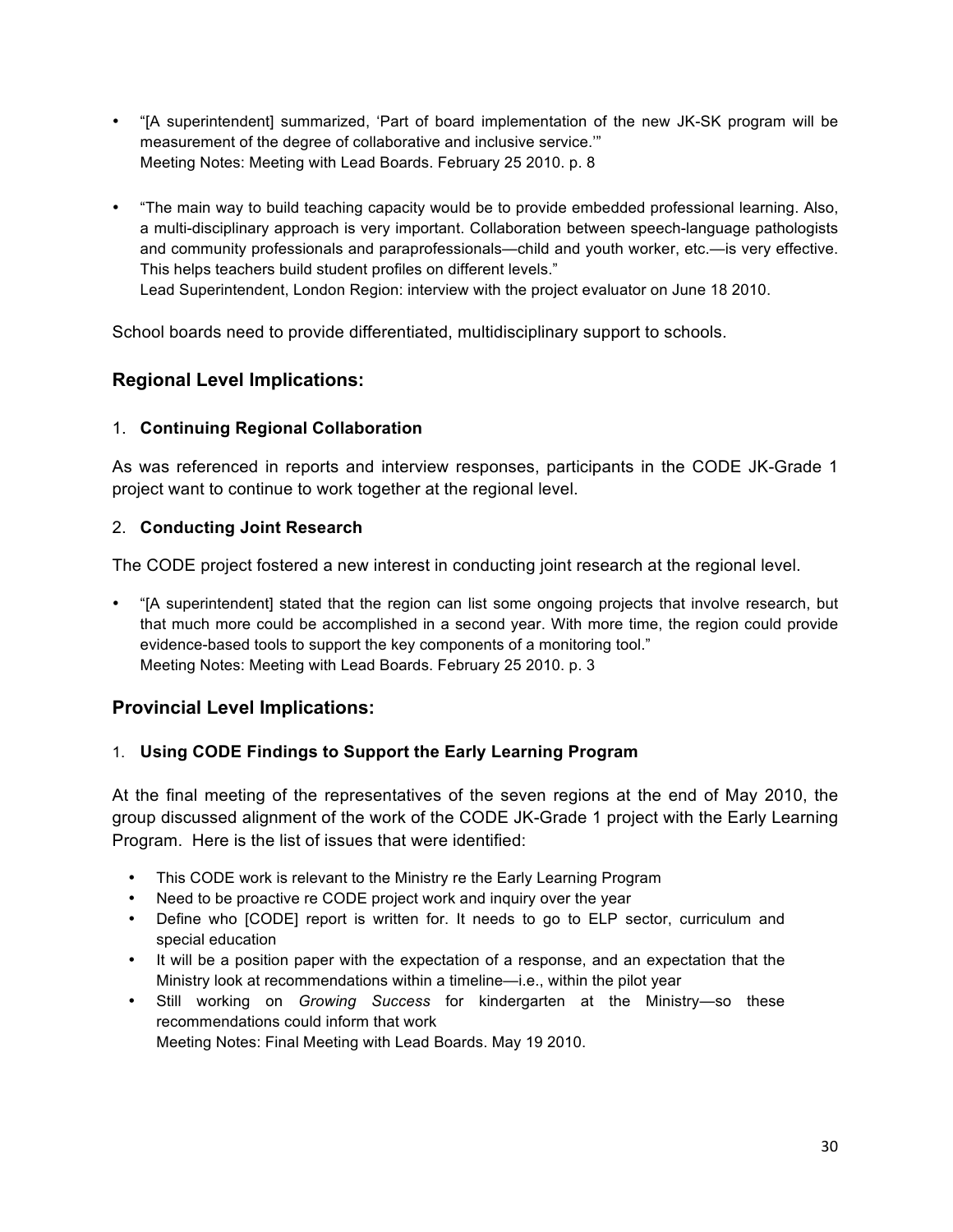- "[A superintendent] summarized, 'Part of board implementation of the new JK-SK program will be measurement of the degree of collaborative and inclusive service.'" Meeting Notes: Meeting with Lead Boards. February 25 2010. p. 8
- "The main way to build teaching capacity would be to provide embedded professional learning. Also, a multi-disciplinary approach is very important. Collaboration between speech-language pathologists and community professionals and paraprofessionals—child and youth worker, etc.—is very effective. This helps teachers build student profiles on different levels." Lead Superintendent, London Region: interview with the project evaluator on June 18 2010.

School boards need to provide differentiated, multidisciplinary support to schools.

## **Regional Level Implications:**

#### 1. **Continuing Regional Collaboration**

As was referenced in reports and interview responses, participants in the CODE JK-Grade 1 project want to continue to work together at the regional level.

#### 2. **Conducting Joint Research**

The CODE project fostered a new interest in conducting joint research at the regional level.

• "[A superintendent] stated that the region can list some ongoing projects that involve research, but that much more could be accomplished in a second year. With more time, the region could provide evidence-based tools to support the key components of a monitoring tool." Meeting Notes: Meeting with Lead Boards. February 25 2010. p. 3

#### **Provincial Level Implications:**

#### 1. **Using CODE Findings to Support the Early Learning Program**

At the final meeting of the representatives of the seven regions at the end of May 2010, the group discussed alignment of the work of the CODE JK-Grade 1 project with the Early Learning Program. Here is the list of issues that were identified:

- This CODE work is relevant to the Ministry re the Early Learning Program
- Need to be proactive re CODE project work and inquiry over the year
- Define who [CODE] report is written for. It needs to go to ELP sector, curriculum and special education
- It will be a position paper with the expectation of a response, and an expectation that the Ministry look at recommendations within a timeline—i.e., within the pilot year
- Still working on *Growing Success* for kindergarten at the Ministry—so these recommendations could inform that work Meeting Notes: Final Meeting with Lead Boards. May 19 2010.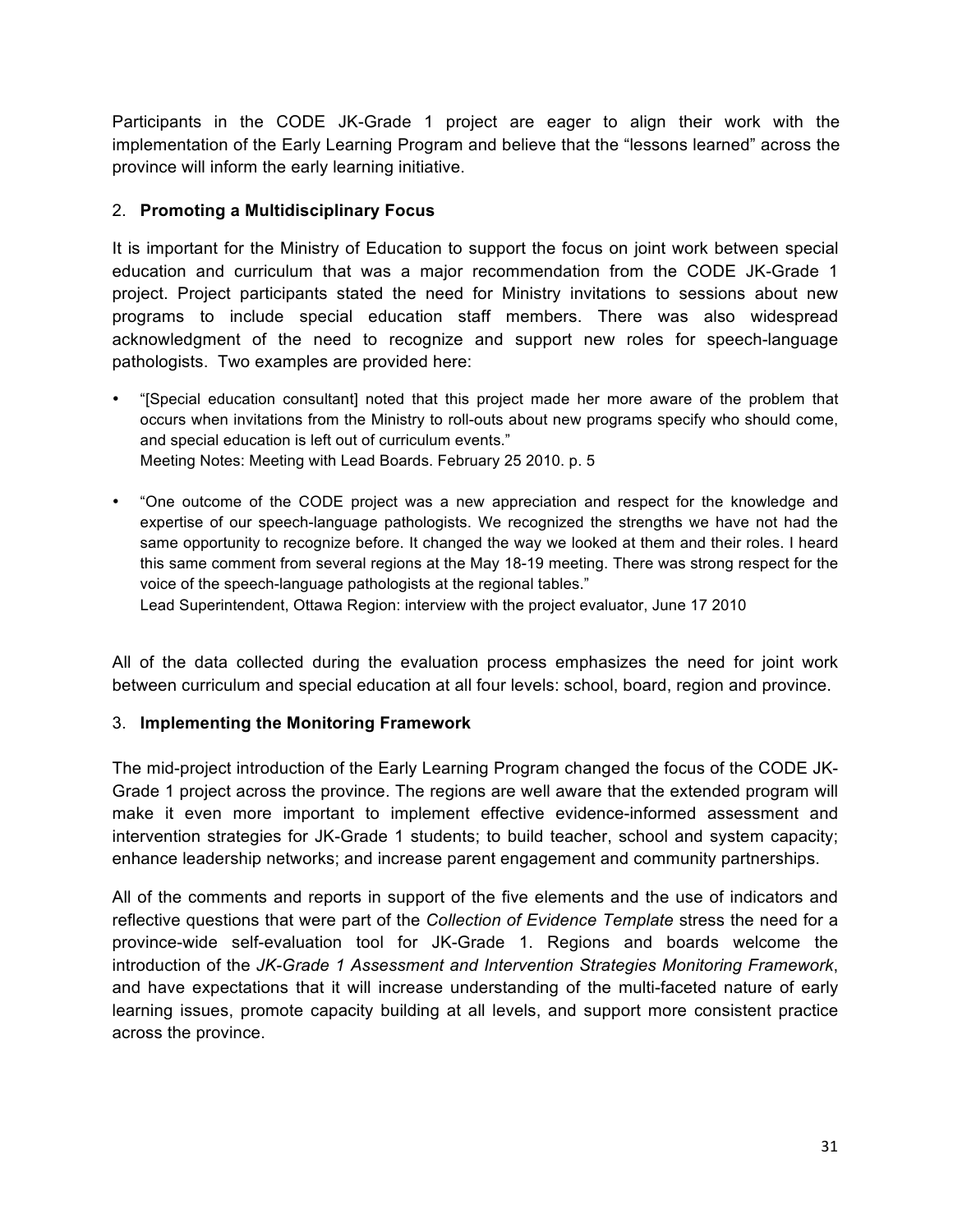Participants in the CODE JK-Grade 1 project are eager to align their work with the implementation of the Early Learning Program and believe that the "lessons learned" across the province will inform the early learning initiative.

#### 2. **Promoting a Multidisciplinary Focus**

It is important for the Ministry of Education to support the focus on joint work between special education and curriculum that was a major recommendation from the CODE JK-Grade 1 project. Project participants stated the need for Ministry invitations to sessions about new programs to include special education staff members. There was also widespread acknowledgment of the need to recognize and support new roles for speech-language pathologists. Two examples are provided here:

- "[Special education consultant] noted that this project made her more aware of the problem that occurs when invitations from the Ministry to roll-outs about new programs specify who should come, and special education is left out of curriculum events." Meeting Notes: Meeting with Lead Boards. February 25 2010. p. 5
- "One outcome of the CODE project was a new appreciation and respect for the knowledge and expertise of our speech-language pathologists. We recognized the strengths we have not had the same opportunity to recognize before. It changed the way we looked at them and their roles. I heard this same comment from several regions at the May 18-19 meeting. There was strong respect for the voice of the speech-language pathologists at the regional tables."

Lead Superintendent, Ottawa Region: interview with the project evaluator, June 17 2010

All of the data collected during the evaluation process emphasizes the need for joint work between curriculum and special education at all four levels: school, board, region and province.

#### 3. **Implementing the Monitoring Framework**

The mid-project introduction of the Early Learning Program changed the focus of the CODE JK-Grade 1 project across the province. The regions are well aware that the extended program will make it even more important to implement effective evidence-informed assessment and intervention strategies for JK-Grade 1 students; to build teacher, school and system capacity; enhance leadership networks; and increase parent engagement and community partnerships.

All of the comments and reports in support of the five elements and the use of indicators and reflective questions that were part of the *Collection of Evidence Template* stress the need for a province-wide self-evaluation tool for JK-Grade 1. Regions and boards welcome the introduction of the *JK-Grade 1 Assessment and Intervention Strategies Monitoring Framework*, and have expectations that it will increase understanding of the multi-faceted nature of early learning issues, promote capacity building at all levels, and support more consistent practice across the province.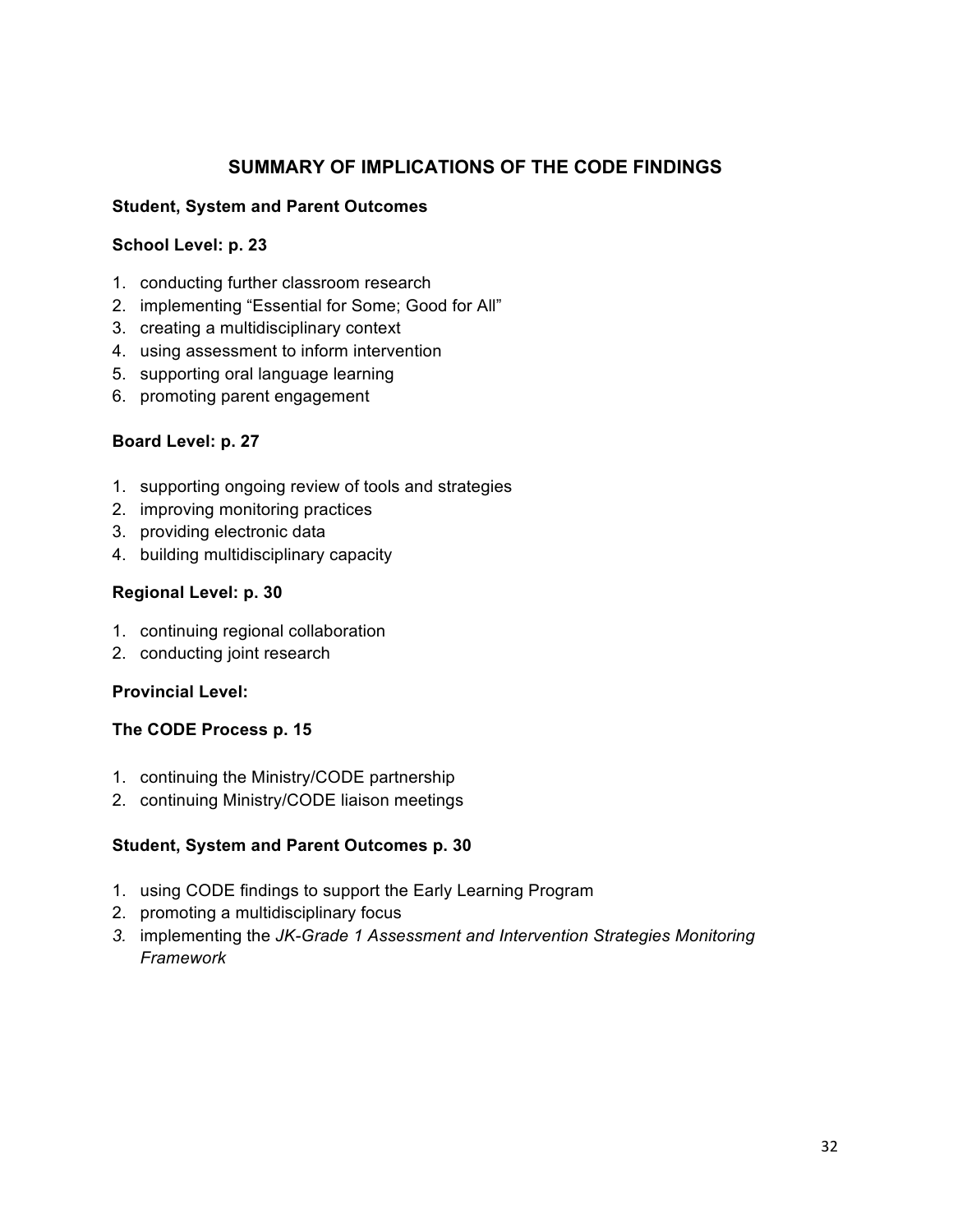#### **SUMMARY OF IMPLICATIONS OF THE CODE FINDINGS**

#### **Student, System and Parent Outcomes**

#### **School Level: p. 23**

- 1. conducting further classroom research
- 2. implementing "Essential for Some; Good for All"
- 3. creating a multidisciplinary context
- 4. using assessment to inform intervention
- 5. supporting oral language learning
- 6. promoting parent engagement

#### **Board Level: p. 27**

- 1. supporting ongoing review of tools and strategies
- 2. improving monitoring practices
- 3. providing electronic data
- 4. building multidisciplinary capacity

#### **Regional Level: p. 30**

- 1. continuing regional collaboration
- 2. conducting joint research

#### **Provincial Level:**

#### **The CODE Process p. 15**

- 1. continuing the Ministry/CODE partnership
- 2. continuing Ministry/CODE liaison meetings

#### **Student, System and Parent Outcomes p. 30**

- 1. using CODE findings to support the Early Learning Program
- 2. promoting a multidisciplinary focus
- *3.* implementing the *JK-Grade 1 Assessment and Intervention Strategies Monitoring Framework*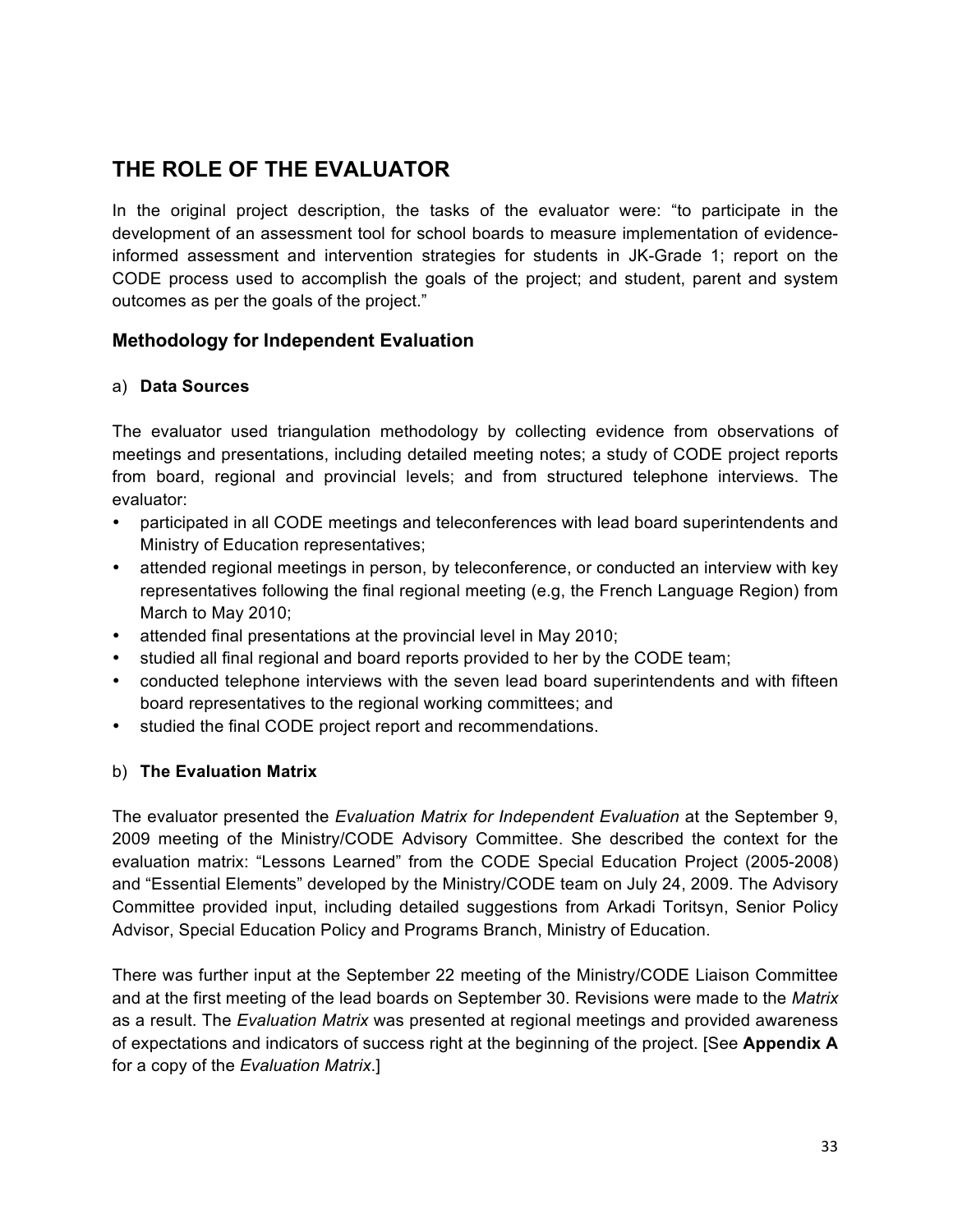## **THE ROLE OF THE EVALUATOR**

In the original project description, the tasks of the evaluator were: "to participate in the development of an assessment tool for school boards to measure implementation of evidenceinformed assessment and intervention strategies for students in JK-Grade 1; report on the CODE process used to accomplish the goals of the project; and student, parent and system outcomes as per the goals of the project."

#### **Methodology for Independent Evaluation**

#### a) **Data Sources**

The evaluator used triangulation methodology by collecting evidence from observations of meetings and presentations, including detailed meeting notes; a study of CODE project reports from board, regional and provincial levels; and from structured telephone interviews. The evaluator:

- participated in all CODE meetings and teleconferences with lead board superintendents and Ministry of Education representatives;
- attended regional meetings in person, by teleconference, or conducted an interview with key representatives following the final regional meeting (e.g, the French Language Region) from March to May 2010;
- attended final presentations at the provincial level in May 2010;
- studied all final regional and board reports provided to her by the CODE team;
- conducted telephone interviews with the seven lead board superintendents and with fifteen board representatives to the regional working committees; and
- studied the final CODE project report and recommendations.

#### b) **The Evaluation Matrix**

The evaluator presented the *Evaluation Matrix for Independent Evaluation* at the September 9, 2009 meeting of the Ministry/CODE Advisory Committee. She described the context for the evaluation matrix: "Lessons Learned" from the CODE Special Education Project (2005-2008) and "Essential Elements" developed by the Ministry/CODE team on July 24, 2009. The Advisory Committee provided input, including detailed suggestions from Arkadi Toritsyn, Senior Policy Advisor, Special Education Policy and Programs Branch, Ministry of Education.

There was further input at the September 22 meeting of the Ministry/CODE Liaison Committee and at the first meeting of the lead boards on September 30. Revisions were made to the *Matrix* as a result. The *Evaluation Matrix* was presented at regional meetings and provided awareness of expectations and indicators of success right at the beginning of the project. [See **Appendix A** for a copy of the *Evaluation Matrix*.]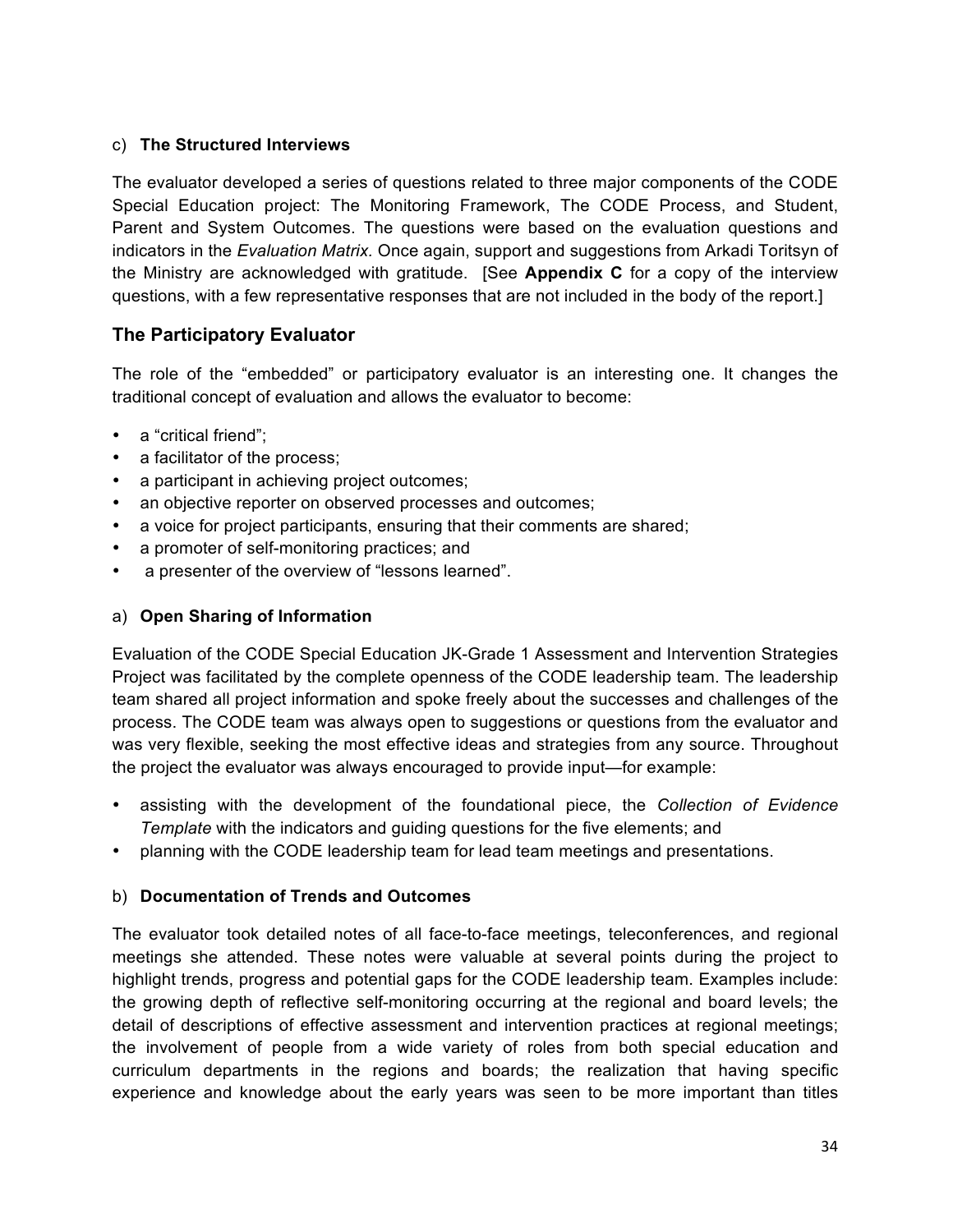#### c) **The Structured Interviews**

The evaluator developed a series of questions related to three major components of the CODE Special Education project: The Monitoring Framework, The CODE Process, and Student, Parent and System Outcomes. The questions were based on the evaluation questions and indicators in the *Evaluation Matrix.* Once again, support and suggestions from Arkadi Toritsyn of the Ministry are acknowledged with gratitude. [See **Appendix C** for a copy of the interview questions, with a few representative responses that are not included in the body of the report.]

#### **The Participatory Evaluator**

The role of the "embedded" or participatory evaluator is an interesting one. It changes the traditional concept of evaluation and allows the evaluator to become:

- a "critical friend":
- a facilitator of the process;
- a participant in achieving project outcomes;
- an objective reporter on observed processes and outcomes;
- a voice for project participants, ensuring that their comments are shared;
- a promoter of self-monitoring practices; and
- a presenter of the overview of "lessons learned".

#### a) **Open Sharing of Information**

Evaluation of the CODE Special Education JK-Grade 1 Assessment and Intervention Strategies Project was facilitated by the complete openness of the CODE leadership team. The leadership team shared all project information and spoke freely about the successes and challenges of the process. The CODE team was always open to suggestions or questions from the evaluator and was very flexible, seeking the most effective ideas and strategies from any source. Throughout the project the evaluator was always encouraged to provide input—for example:

- assisting with the development of the foundational piece, the *Collection of Evidence Template* with the indicators and guiding questions for the five elements; and
- planning with the CODE leadership team for lead team meetings and presentations.

#### b) **Documentation of Trends and Outcomes**

The evaluator took detailed notes of all face-to-face meetings, teleconferences, and regional meetings she attended. These notes were valuable at several points during the project to highlight trends, progress and potential gaps for the CODE leadership team. Examples include: the growing depth of reflective self-monitoring occurring at the regional and board levels; the detail of descriptions of effective assessment and intervention practices at regional meetings; the involvement of people from a wide variety of roles from both special education and curriculum departments in the regions and boards; the realization that having specific experience and knowledge about the early years was seen to be more important than titles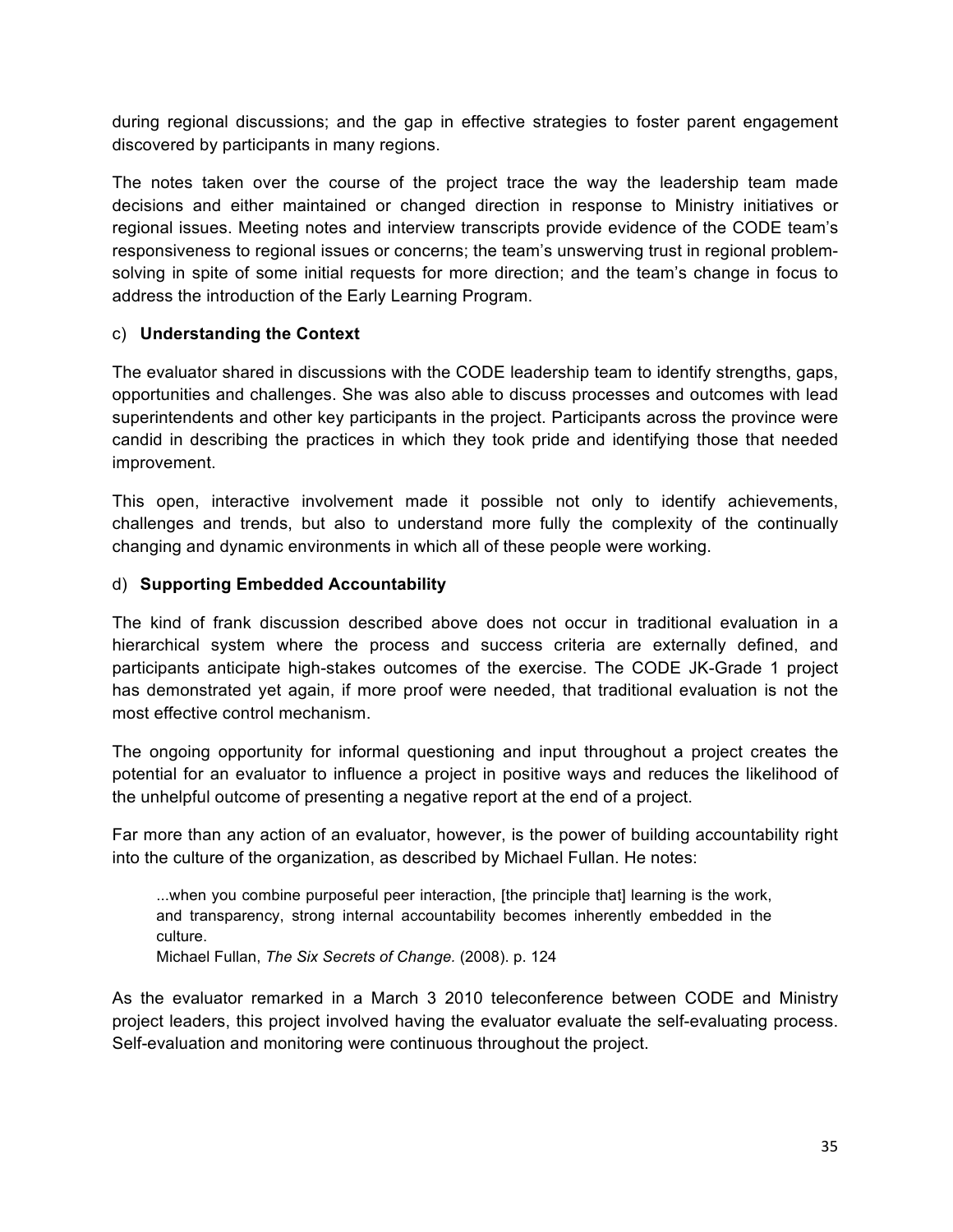during regional discussions; and the gap in effective strategies to foster parent engagement discovered by participants in many regions.

The notes taken over the course of the project trace the way the leadership team made decisions and either maintained or changed direction in response to Ministry initiatives or regional issues. Meeting notes and interview transcripts provide evidence of the CODE team's responsiveness to regional issues or concerns; the team's unswerving trust in regional problemsolving in spite of some initial requests for more direction; and the team's change in focus to address the introduction of the Early Learning Program.

#### c) **Understanding the Context**

The evaluator shared in discussions with the CODE leadership team to identify strengths, gaps, opportunities and challenges. She was also able to discuss processes and outcomes with lead superintendents and other key participants in the project. Participants across the province were candid in describing the practices in which they took pride and identifying those that needed improvement.

This open, interactive involvement made it possible not only to identify achievements, challenges and trends, but also to understand more fully the complexity of the continually changing and dynamic environments in which all of these people were working.

#### d) **Supporting Embedded Accountability**

The kind of frank discussion described above does not occur in traditional evaluation in a hierarchical system where the process and success criteria are externally defined, and participants anticipate high-stakes outcomes of the exercise. The CODE JK-Grade 1 project has demonstrated yet again, if more proof were needed, that traditional evaluation is not the most effective control mechanism.

The ongoing opportunity for informal questioning and input throughout a project creates the potential for an evaluator to influence a project in positive ways and reduces the likelihood of the unhelpful outcome of presenting a negative report at the end of a project.

Far more than any action of an evaluator, however, is the power of building accountability right into the culture of the organization, as described by Michael Fullan. He notes:

...when you combine purposeful peer interaction, [the principle that] learning is the work, and transparency, strong internal accountability becomes inherently embedded in the culture. Michael Fullan, *The Six Secrets of Change.* (2008). p. 124

As the evaluator remarked in a March 3 2010 teleconference between CODE and Ministry project leaders, this project involved having the evaluator evaluate the self-evaluating process. Self-evaluation and monitoring were continuous throughout the project.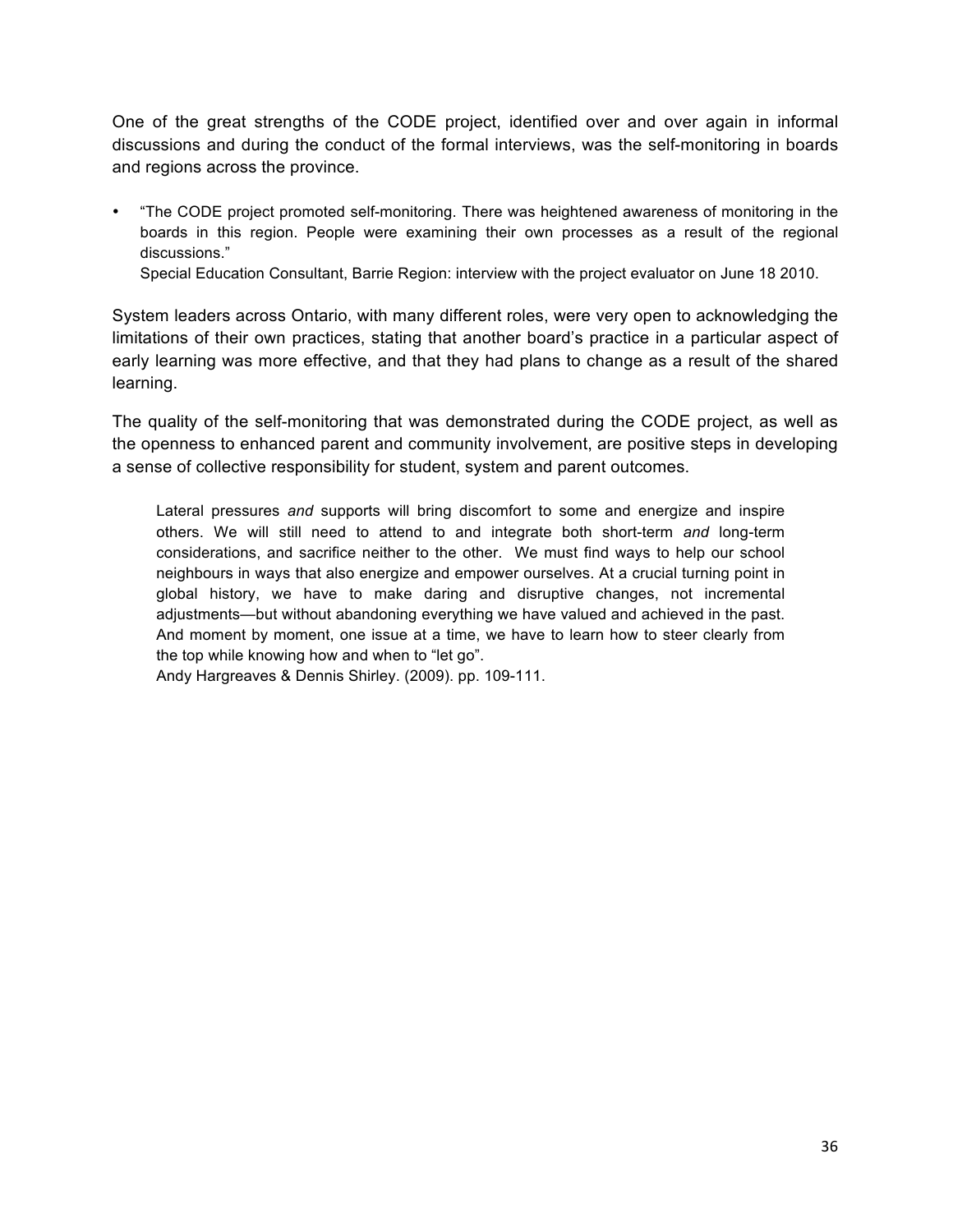One of the great strengths of the CODE project, identified over and over again in informal discussions and during the conduct of the formal interviews, was the self-monitoring in boards and regions across the province.

• "The CODE project promoted self-monitoring. There was heightened awareness of monitoring in the boards in this region. People were examining their own processes as a result of the regional discussions."

Special Education Consultant, Barrie Region: interview with the project evaluator on June 18 2010.

System leaders across Ontario, with many different roles, were very open to acknowledging the limitations of their own practices, stating that another board's practice in a particular aspect of early learning was more effective, and that they had plans to change as a result of the shared learning.

The quality of the self-monitoring that was demonstrated during the CODE project, as well as the openness to enhanced parent and community involvement, are positive steps in developing a sense of collective responsibility for student, system and parent outcomes.

Lateral pressures *and* supports will bring discomfort to some and energize and inspire others. We will still need to attend to and integrate both short-term *and* long-term considerations, and sacrifice neither to the other. We must find ways to help our school neighbours in ways that also energize and empower ourselves. At a crucial turning point in global history, we have to make daring and disruptive changes, not incremental adjustments—but without abandoning everything we have valued and achieved in the past. And moment by moment, one issue at a time, we have to learn how to steer clearly from the top while knowing how and when to "let go".

Andy Hargreaves & Dennis Shirley. (2009). pp. 109-111.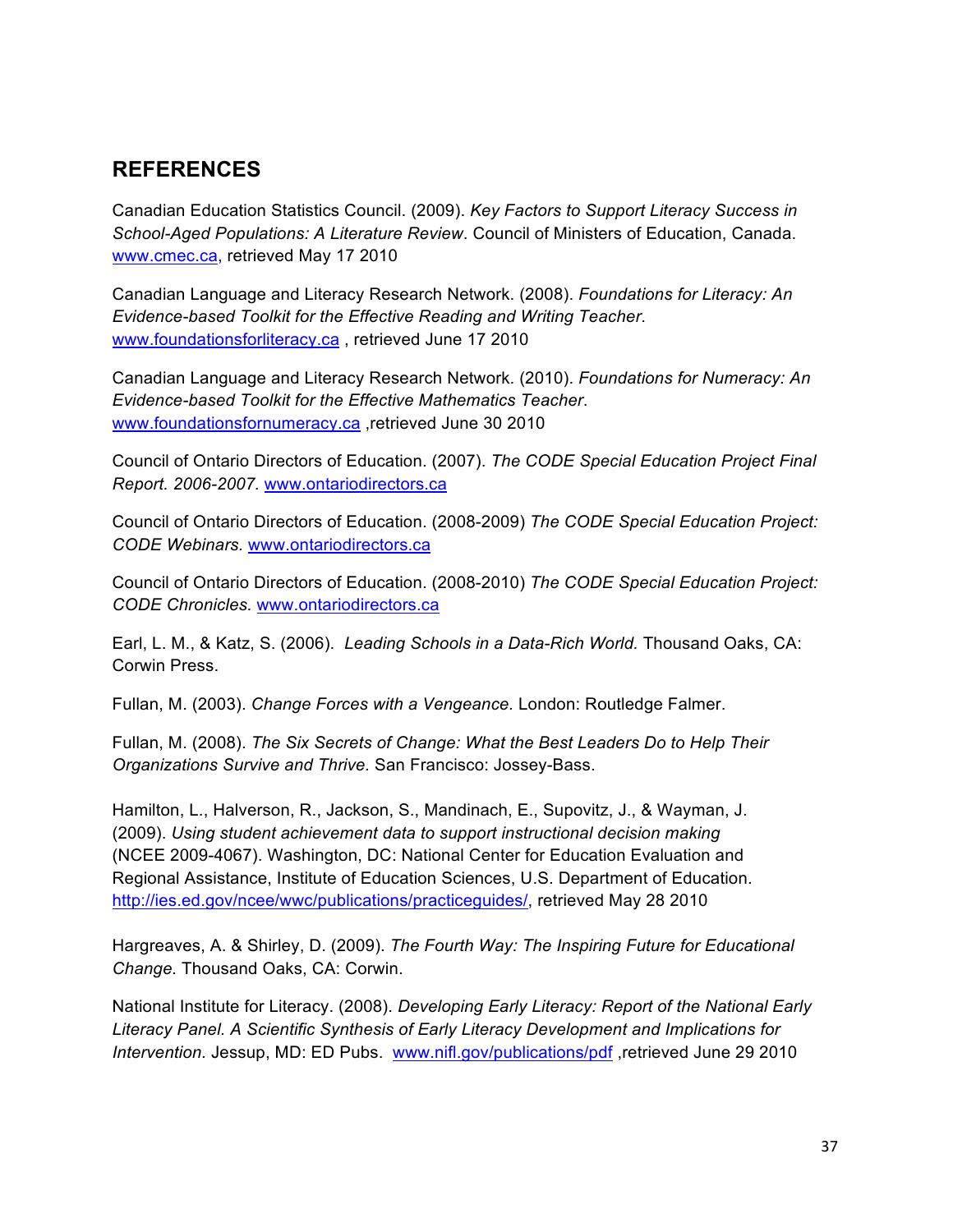## **REFERENCES**

Canadian Education Statistics Council. (2009). *Key Factors to Support Literacy Success in School-Aged Populations: A Literature Review*. Council of Ministers of Education, Canada. www.cmec.ca, retrieved May 17 2010

Canadian Language and Literacy Research Network. (2008). *Foundations for Literacy: An Evidence-based Toolkit for the Effective Reading and Writing Teacher*. www.foundationsforliteracy.ca , retrieved June 17 2010

Canadian Language and Literacy Research Network. (2010). *Foundations for Numeracy: An Evidence-based Toolkit for the Effective Mathematics Teacher*. www.foundationsfornumeracy.ca ,retrieved June 30 2010

Council of Ontario Directors of Education. (2007). *The CODE Special Education Project Final Report. 2006-2007.* www.ontariodirectors.ca

Council of Ontario Directors of Education. (2008-2009) *The CODE Special Education Project: CODE Webinars.* www.ontariodirectors.ca

Council of Ontario Directors of Education. (2008-2010) *The CODE Special Education Project: CODE Chronicles.* www.ontariodirectors.ca

Earl, L. M., & Katz, S. (2006). *Leading Schools in a Data-Rich World.* Thousand Oaks, CA: Corwin Press.

Fullan, M. (2003). *Change Forces with a Vengeance.* London: Routledge Falmer.

Fullan, M. (2008). *The Six Secrets of Change: What the Best Leaders Do to Help Their Organizations Survive and Thrive.* San Francisco: Jossey-Bass.

Hamilton, L., Halverson, R., Jackson, S., Mandinach, E., Supovitz, J., & Wayman, J. (2009). *Using student achievement data to support instructional decision making*  (NCEE 2009-4067). Washington, DC: National Center for Education Evaluation and Regional Assistance, Institute of Education Sciences, U.S. Department of Education. http://ies.ed.gov/ncee/wwc/publications/practiceguides/, retrieved May 28 2010

Hargreaves, A. & Shirley, D. (2009). *The Fourth Way: The Inspiring Future for Educational Change.* Thousand Oaks, CA: Corwin.

National Institute for Literacy. (2008). *Developing Early Literacy: Report of the National Early Literacy Panel. A Scientific Synthesis of Early Literacy Development and Implications for Intervention.* Jessup, MD: ED Pubs. www.nifl.gov/publications/pdf, retrieved June 29 2010